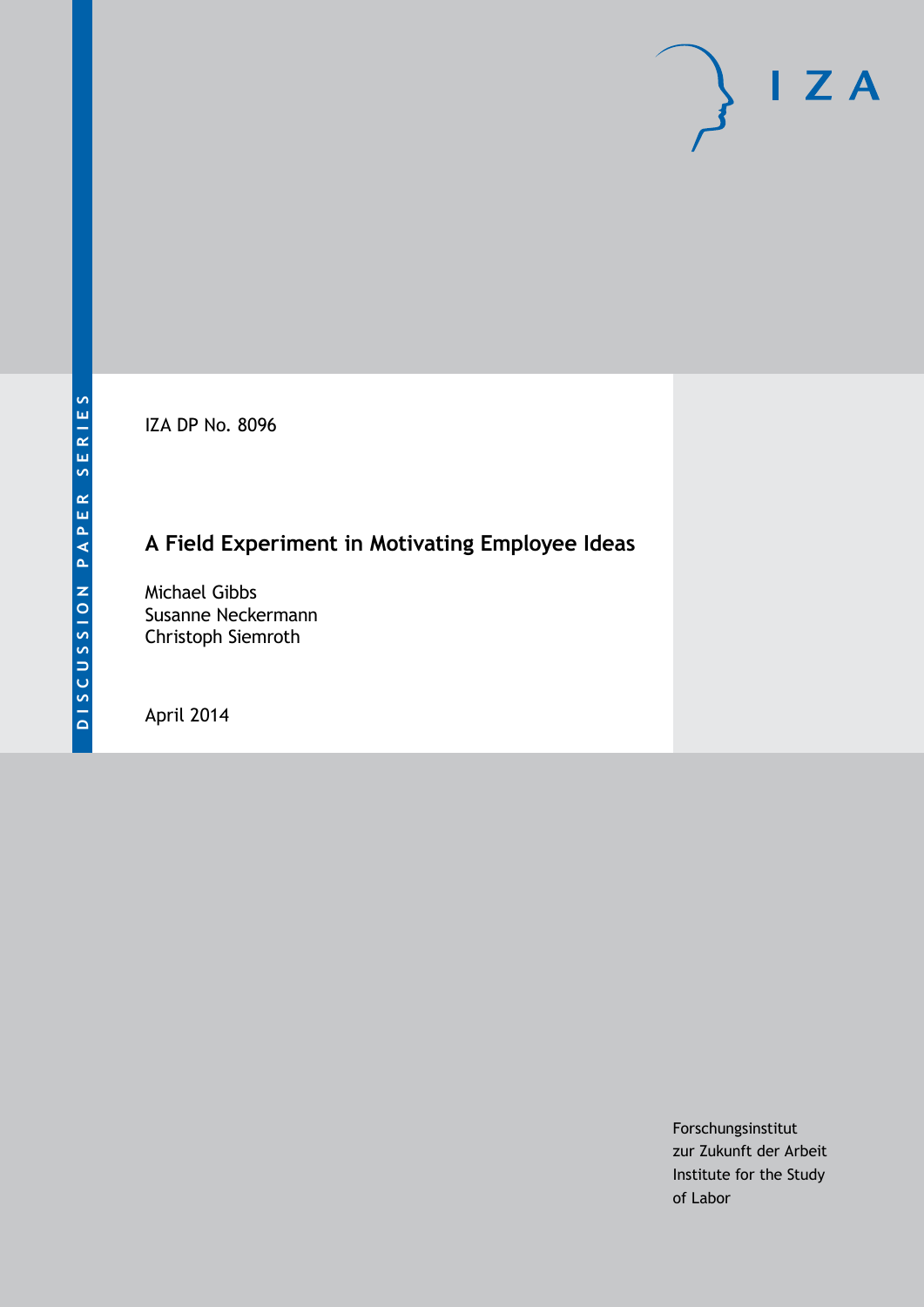IZA DP No. 8096

# **A Field Experiment in Motivating Employee Ideas**

Michael Gibbs Susanne Neckermann Christoph Siemroth

April 2014

Forschungsinstitut zur Zukunft der Arbeit Institute for the Study of Labor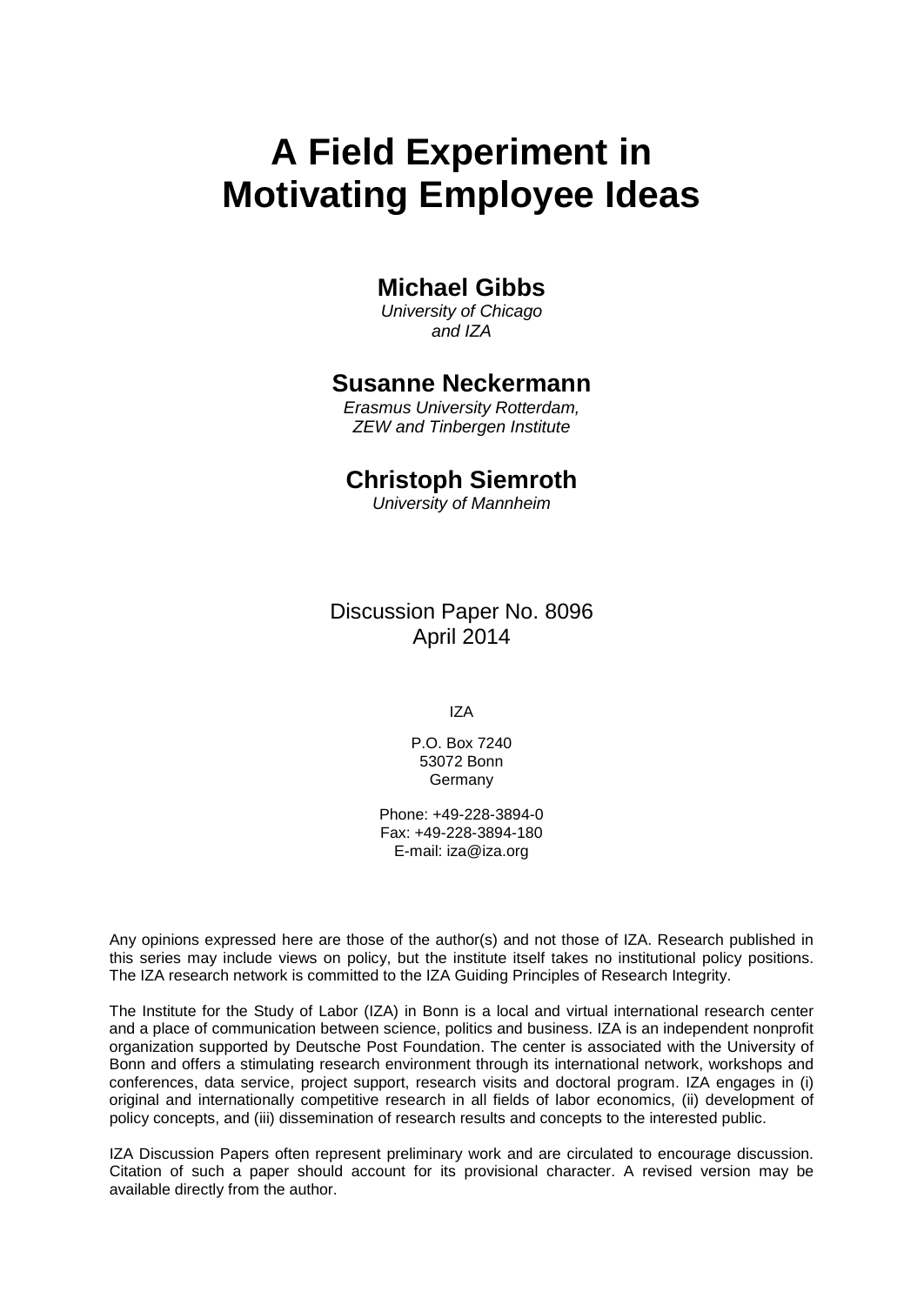# **A Field Experiment in Motivating Employee Ideas**

# **Michael Gibbs**

*University of Chicago and IZA*

### **Susanne Neckermann**

*Erasmus University Rotterdam, ZEW and Tinbergen Institute*

# **Christoph Siemroth**

*University of Mannheim*

Discussion Paper No. 8096 April 2014

IZA

P.O. Box 7240 53072 Bonn Germany

Phone: +49-228-3894-0 Fax: +49-228-3894-180 E-mail: [iza@iza.org](mailto:iza@iza.org)

Any opinions expressed here are those of the author(s) and not those of IZA. Research published in this series may include views on policy, but the institute itself takes no institutional policy positions. The IZA research network is committed to the IZA Guiding Principles of Research Integrity.

The Institute for the Study of Labor (IZA) in Bonn is a local and virtual international research center and a place of communication between science, politics and business. IZA is an independent nonprofit organization supported by Deutsche Post Foundation. The center is associated with the University of Bonn and offers a stimulating research environment through its international network, workshops and conferences, data service, project support, research visits and doctoral program. IZA engages in (i) original and internationally competitive research in all fields of labor economics, (ii) development of policy concepts, and (iii) dissemination of research results and concepts to the interested public.

<span id="page-1-0"></span>IZA Discussion Papers often represent preliminary work and are circulated to encourage discussion. Citation of such a paper should account for its provisional character. A revised version may be available directly from the author.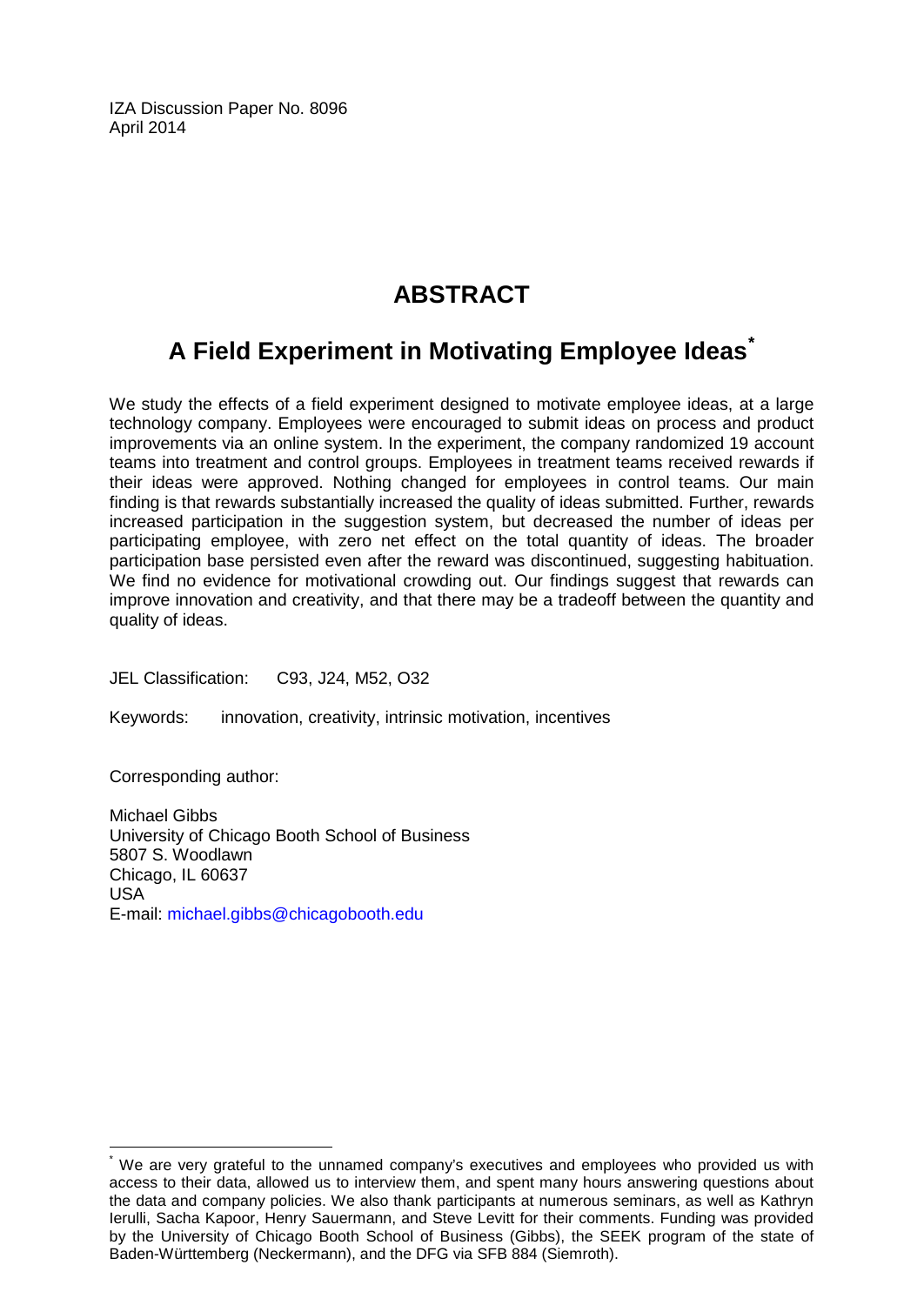IZA Discussion Paper No. 8096 April 2014

# **ABSTRACT**

# **A Field Experiment in Motivating Employee Ideas[\\*](#page-1-0)**

We study the effects of a field experiment designed to motivate employee ideas, at a large technology company. Employees were encouraged to submit ideas on process and product improvements via an online system. In the experiment, the company randomized 19 account teams into treatment and control groups. Employees in treatment teams received rewards if their ideas were approved. Nothing changed for employees in control teams. Our main finding is that rewards substantially increased the quality of ideas submitted. Further, rewards increased participation in the suggestion system, but decreased the number of ideas per participating employee, with zero net effect on the total quantity of ideas. The broader participation base persisted even after the reward was discontinued, suggesting habituation. We find no evidence for motivational crowding out. Our findings suggest that rewards can improve innovation and creativity, and that there may be a tradeoff between the quantity and quality of ideas.

JEL Classification: C93, J24, M52, O32

Keywords: innovation, creativity, intrinsic motivation, incentives

Corresponding author:

Michael Gibbs University of Chicago Booth School of Business 5807 S. Woodlawn Chicago, IL 60637 USA E-mail: [michael.gibbs@chicagobooth.edu](mailto:michael.gibbs@chicagobooth.edu)

We are very grateful to the unnamed company's executives and employees who provided us with access to their data, allowed us to interview them, and spent many hours answering questions about the data and company policies. We also thank participants at numerous seminars, as well as Kathryn Ierulli, Sacha Kapoor, Henry Sauermann, and Steve Levitt for their comments. Funding was provided by the University of Chicago Booth School of Business (Gibbs), the SEEK program of the state of Baden-Württemberg (Neckermann), and the DFG via SFB 884 (Siemroth).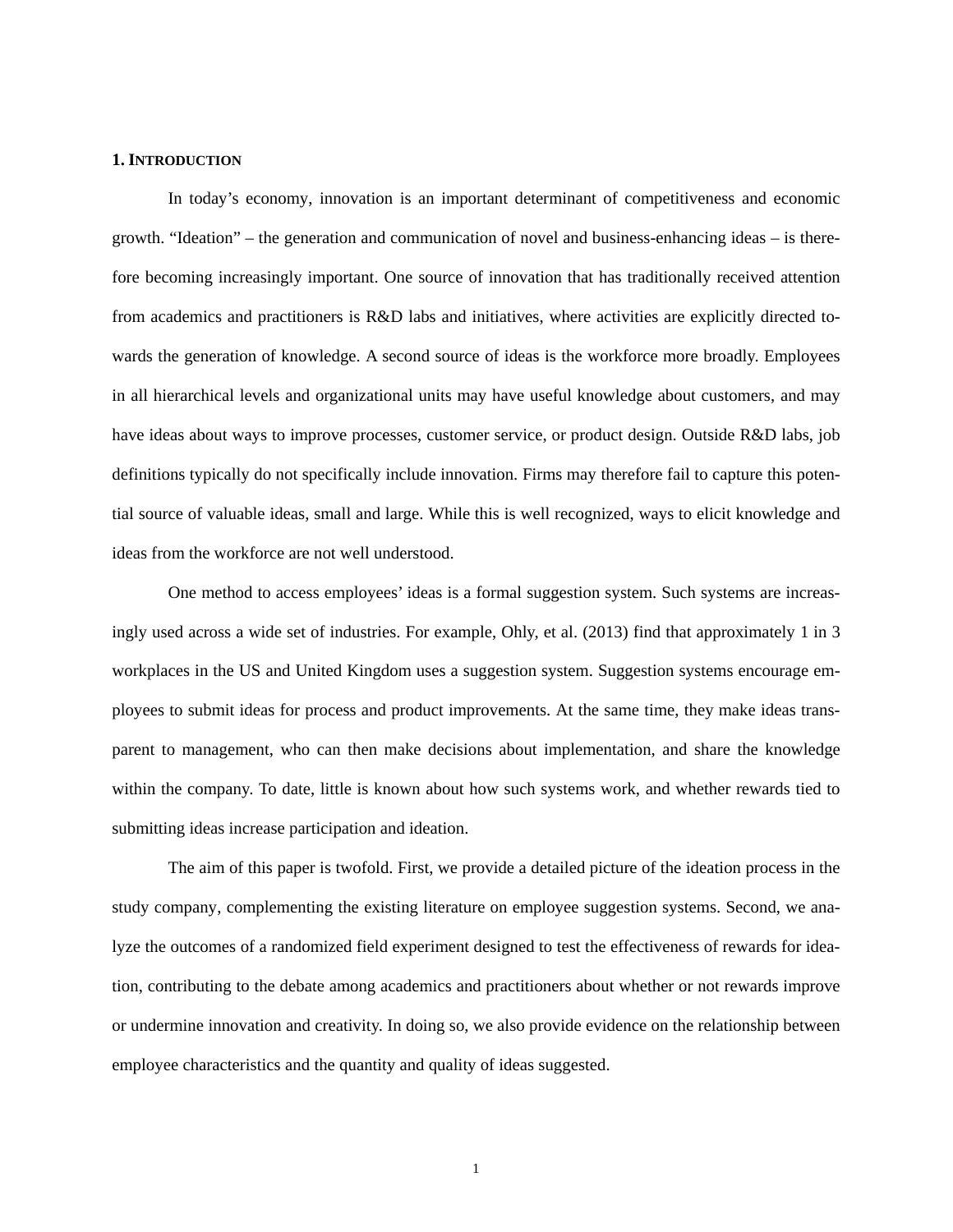#### **1. INTRODUCTION**

In today's economy, innovation is an important determinant of competitiveness and economic growth. "Ideation" – the generation and communication of novel and business-enhancing ideas – is therefore becoming increasingly important. One source of innovation that has traditionally received attention from academics and practitioners is R&D labs and initiatives, where activities are explicitly directed towards the generation of knowledge. A second source of ideas is the workforce more broadly. Employees in all hierarchical levels and organizational units may have useful knowledge about customers, and may have ideas about ways to improve processes, customer service, or product design. Outside R&D labs, job definitions typically do not specifically include innovation. Firms may therefore fail to capture this potential source of valuable ideas, small and large. While this is well recognized, ways to elicit knowledge and ideas from the workforce are not well understood.

One method to access employees' ideas is a formal suggestion system. Such systems are increasingly used across a wide set of industries. For example, Ohly, et al. (2013) find that approximately 1 in 3 workplaces in the US and United Kingdom uses a suggestion system. Suggestion systems encourage employees to submit ideas for process and product improvements. At the same time, they make ideas transparent to management, who can then make decisions about implementation, and share the knowledge within the company. To date, little is known about how such systems work, and whether rewards tied to submitting ideas increase participation and ideation.

The aim of this paper is twofold. First, we provide a detailed picture of the ideation process in the study company, complementing the existing literature on employee suggestion systems. Second, we analyze the outcomes of a randomized field experiment designed to test the effectiveness of rewards for ideation, contributing to the debate among academics and practitioners about whether or not rewards improve or undermine innovation and creativity. In doing so, we also provide evidence on the relationship between employee characteristics and the quantity and quality of ideas suggested.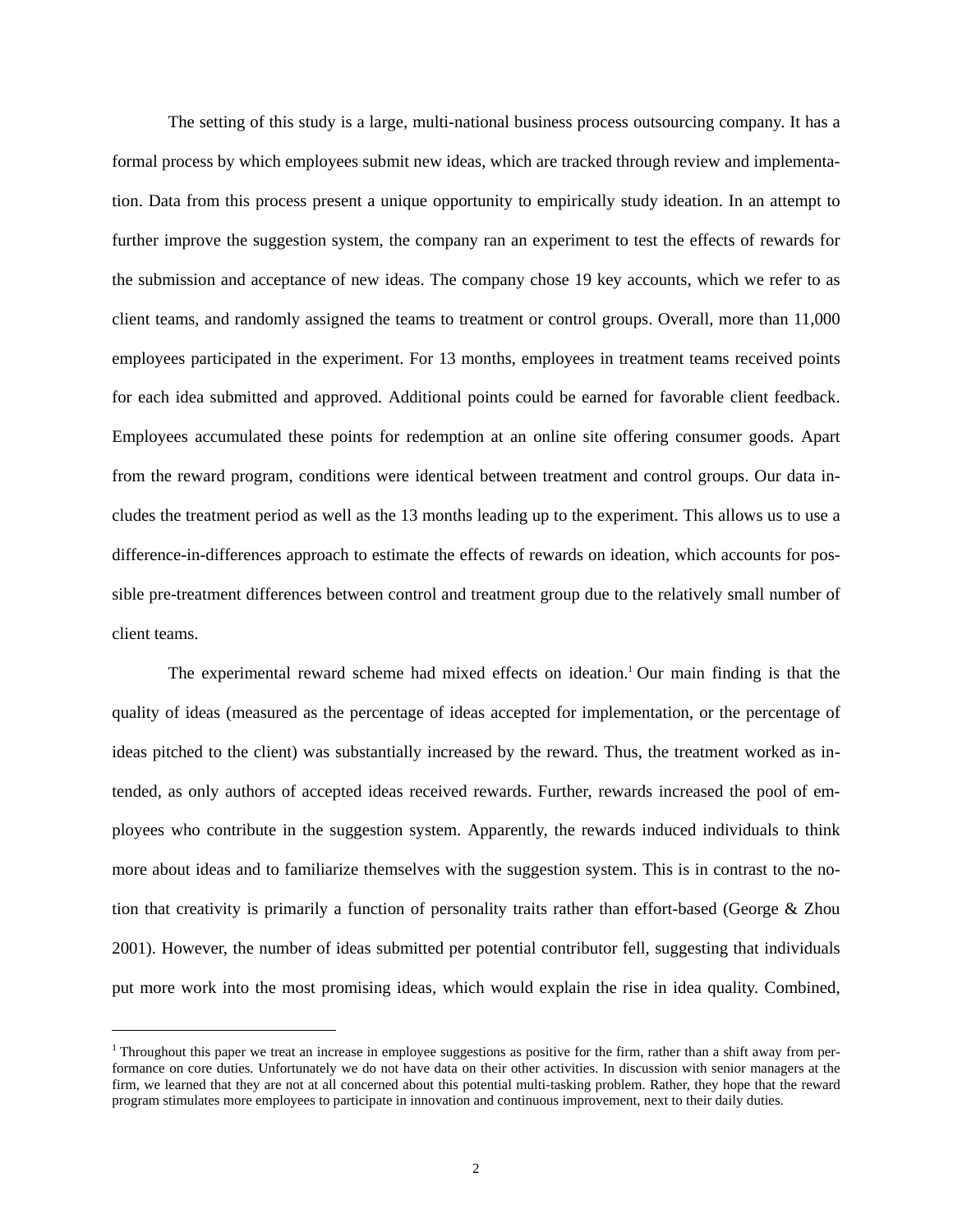The setting of this study is a large, multi-national business process outsourcing company. It has a formal process by which employees submit new ideas, which are tracked through review and implementation. Data from this process present a unique opportunity to empirically study ideation. In an attempt to further improve the suggestion system, the company ran an experiment to test the effects of rewards for the submission and acceptance of new ideas. The company chose 19 key accounts, which we refer to as client teams, and randomly assigned the teams to treatment or control groups. Overall, more than 11,000 employees participated in the experiment. For 13 months, employees in treatment teams received points for each idea submitted and approved. Additional points could be earned for favorable client feedback. Employees accumulated these points for redemption at an online site offering consumer goods. Apart from the reward program, conditions were identical between treatment and control groups. Our data includes the treatment period as well as the 13 months leading up to the experiment. This allows us to use a difference-in-differences approach to estimate the effects of rewards on ideation, which accounts for possible pre-treatment differences between control and treatment group due to the relatively small number of client teams.

The experimental reward scheme had mixed effects on ideation.<sup>1</sup> Our main finding is that the quality of ideas (measured as the percentage of ideas accepted for implementation, or the percentage of ideas pitched to the client) was substantially increased by the reward. Thus, the treatment worked as intended, as only authors of accepted ideas received rewards. Further, rewards increased the pool of employees who contribute in the suggestion system. Apparently, the rewards induced individuals to think more about ideas and to familiarize themselves with the suggestion system. This is in contrast to the notion that creativity is primarily a function of personality traits rather than effort-based (George  $\&$  Zhou 2001). However, the number of ideas submitted per potential contributor fell, suggesting that individuals put more work into the most promising ideas, which would explain the rise in idea quality. Combined,

1

<sup>&</sup>lt;sup>1</sup> Throughout this paper we treat an increase in employee suggestions as positive for the firm, rather than a shift away from performance on core duties. Unfortunately we do not have data on their other activities. In discussion with senior managers at the firm, we learned that they are not at all concerned about this potential multi-tasking problem. Rather, they hope that the reward program stimulates more employees to participate in innovation and continuous improvement, next to their daily duties.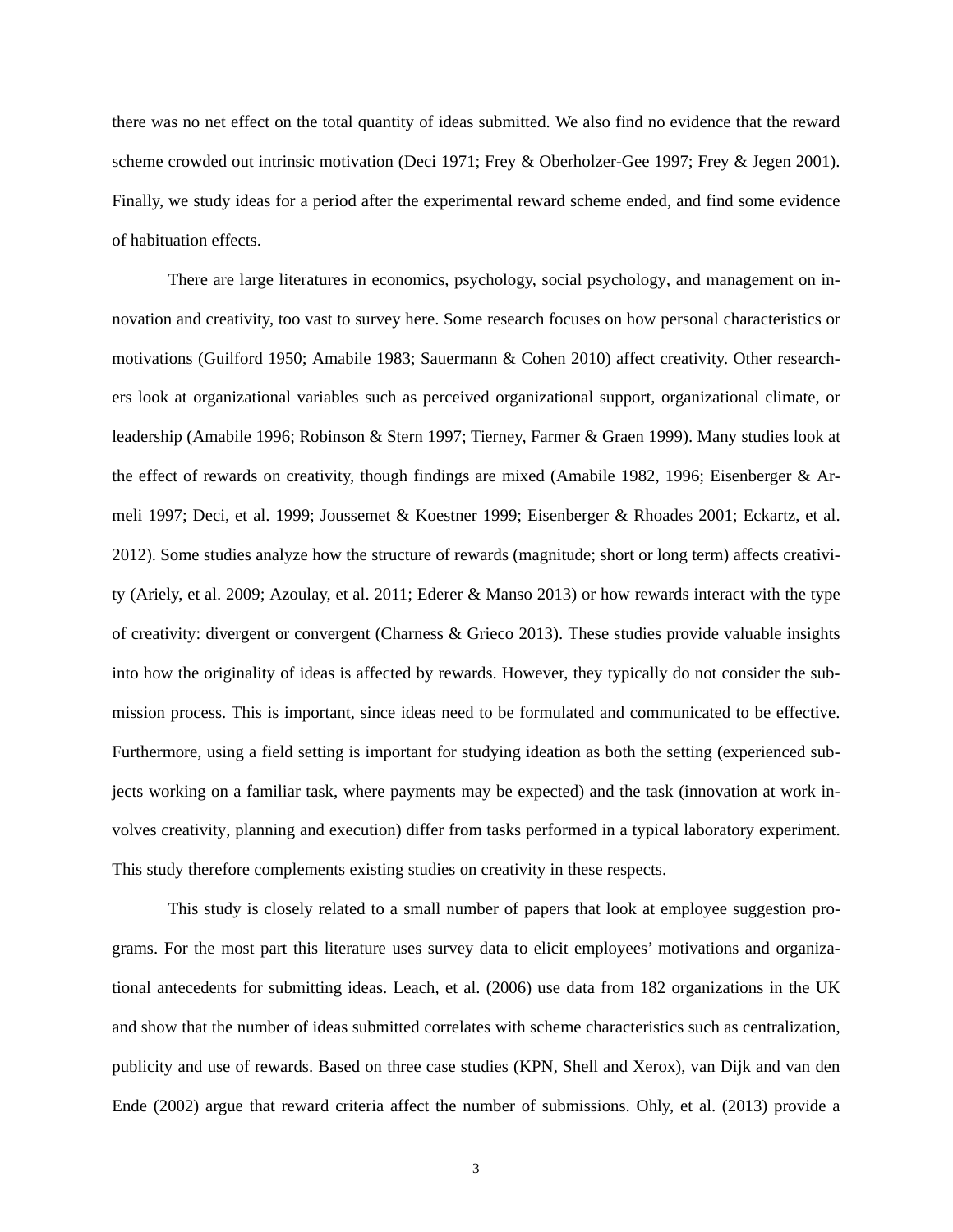there was no net effect on the total quantity of ideas submitted. We also find no evidence that the reward scheme crowded out intrinsic motivation (Deci 1971; Frey & Oberholzer-Gee 1997; Frey & Jegen 2001). Finally, we study ideas for a period after the experimental reward scheme ended, and find some evidence of habituation effects.

There are large literatures in economics, psychology, social psychology, and management on innovation and creativity, too vast to survey here. Some research focuses on how personal characteristics or motivations (Guilford 1950; Amabile 1983; Sauermann & Cohen 2010) affect creativity. Other researchers look at organizational variables such as perceived organizational support, organizational climate, or leadership (Amabile 1996; Robinson & Stern 1997; Tierney, Farmer & Graen 1999). Many studies look at the effect of rewards on creativity, though findings are mixed (Amabile 1982, 1996; Eisenberger & Armeli 1997; Deci, et al. 1999; Joussemet & Koestner 1999; Eisenberger & Rhoades 2001; Eckartz, et al. 2012). Some studies analyze how the structure of rewards (magnitude; short or long term) affects creativity (Ariely, et al. 2009; Azoulay, et al. 2011; Ederer & Manso 2013) or how rewards interact with the type of creativity: divergent or convergent (Charness & Grieco 2013). These studies provide valuable insights into how the originality of ideas is affected by rewards. However, they typically do not consider the submission process. This is important, since ideas need to be formulated and communicated to be effective. Furthermore, using a field setting is important for studying ideation as both the setting (experienced subjects working on a familiar task, where payments may be expected) and the task (innovation at work involves creativity, planning and execution) differ from tasks performed in a typical laboratory experiment. This study therefore complements existing studies on creativity in these respects.

This study is closely related to a small number of papers that look at employee suggestion programs. For the most part this literature uses survey data to elicit employees' motivations and organizational antecedents for submitting ideas. Leach, et al. (2006) use data from 182 organizations in the UK and show that the number of ideas submitted correlates with scheme characteristics such as centralization, publicity and use of rewards. Based on three case studies (KPN, Shell and Xerox), van Dijk and van den Ende (2002) argue that reward criteria affect the number of submissions. Ohly, et al. (2013) provide a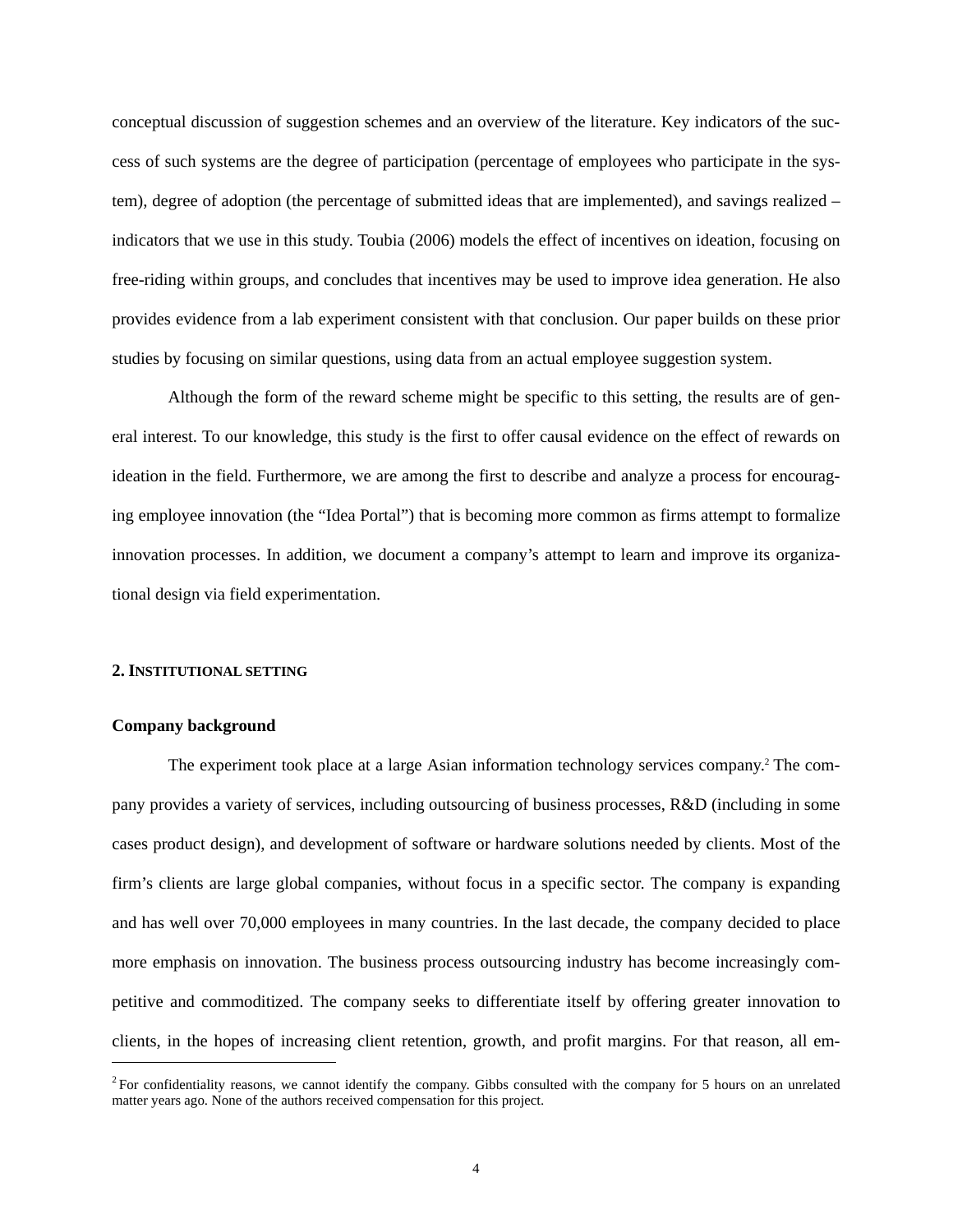conceptual discussion of suggestion schemes and an overview of the literature. Key indicators of the success of such systems are the degree of participation (percentage of employees who participate in the system), degree of adoption (the percentage of submitted ideas that are implemented), and savings realized – indicators that we use in this study. Toubia (2006) models the effect of incentives on ideation, focusing on free-riding within groups, and concludes that incentives may be used to improve idea generation. He also provides evidence from a lab experiment consistent with that conclusion. Our paper builds on these prior studies by focusing on similar questions, using data from an actual employee suggestion system.

Although the form of the reward scheme might be specific to this setting, the results are of general interest. To our knowledge, this study is the first to offer causal evidence on the effect of rewards on ideation in the field. Furthermore, we are among the first to describe and analyze a process for encouraging employee innovation (the "Idea Portal") that is becoming more common as firms attempt to formalize innovation processes. In addition, we document a company's attempt to learn and improve its organizational design via field experimentation.

#### **2. INSTITUTIONAL SETTING**

#### **Company background**

l

The experiment took place at a large Asian information technology services company.<sup>2</sup> The company provides a variety of services, including outsourcing of business processes, R&D (including in some cases product design), and development of software or hardware solutions needed by clients. Most of the firm's clients are large global companies, without focus in a specific sector. The company is expanding and has well over 70,000 employees in many countries. In the last decade, the company decided to place more emphasis on innovation. The business process outsourcing industry has become increasingly competitive and commoditized. The company seeks to differentiate itself by offering greater innovation to clients, in the hopes of increasing client retention, growth, and profit margins. For that reason, all em-

<sup>&</sup>lt;sup>2</sup> For confidentiality reasons, we cannot identify the company. Gibbs consulted with the company for 5 hours on an unrelated matter years ago. None of the authors received compensation for this project.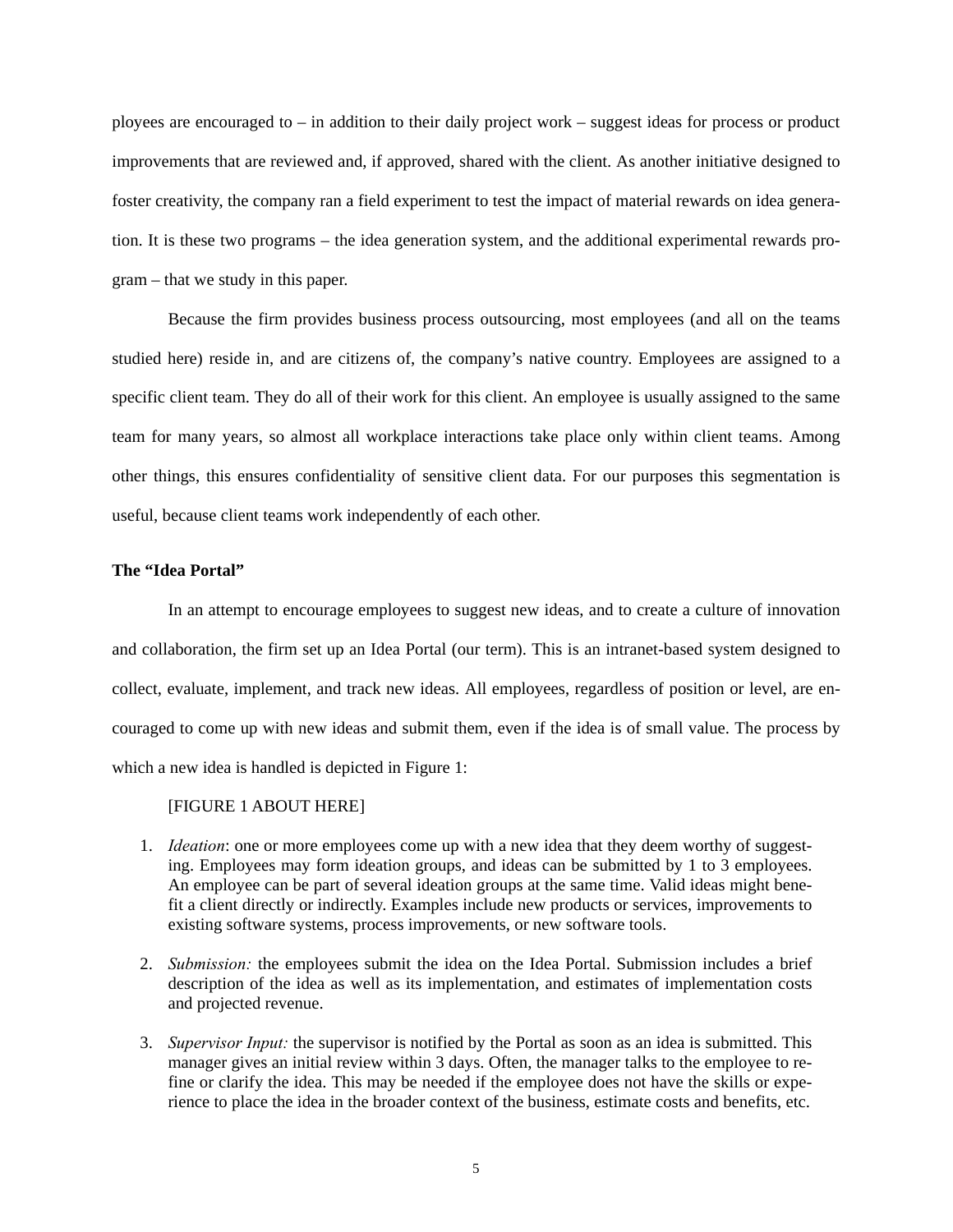ployees are encouraged to – in addition to their daily project work – suggest ideas for process or product improvements that are reviewed and, if approved, shared with the client. As another initiative designed to foster creativity, the company ran a field experiment to test the impact of material rewards on idea generation. It is these two programs – the idea generation system, and the additional experimental rewards program – that we study in this paper.

Because the firm provides business process outsourcing, most employees (and all on the teams studied here) reside in, and are citizens of, the company's native country. Employees are assigned to a specific client team. They do all of their work for this client. An employee is usually assigned to the same team for many years, so almost all workplace interactions take place only within client teams. Among other things, this ensures confidentiality of sensitive client data. For our purposes this segmentation is useful, because client teams work independently of each other.

#### **The "Idea Portal"**

In an attempt to encourage employees to suggest new ideas, and to create a culture of innovation and collaboration, the firm set up an Idea Portal (our term). This is an intranet-based system designed to collect, evaluate, implement, and track new ideas. All employees, regardless of position or level, are encouraged to come up with new ideas and submit them, even if the idea is of small value. The process by which a new idea is handled is depicted in Figure 1:

#### [FIGURE 1 ABOUT HERE]

- 1. *Ideation*: one or more employees come up with a new idea that they deem worthy of suggesting. Employees may form ideation groups, and ideas can be submitted by 1 to 3 employees. An employee can be part of several ideation groups at the same time. Valid ideas might benefit a client directly or indirectly. Examples include new products or services, improvements to existing software systems, process improvements, or new software tools.
- 2. *Submission:* the employees submit the idea on the Idea Portal. Submission includes a brief description of the idea as well as its implementation, and estimates of implementation costs and projected revenue.
- 3. *Supervisor Input:* the supervisor is notified by the Portal as soon as an idea is submitted. This manager gives an initial review within 3 days. Often, the manager talks to the employee to refine or clarify the idea. This may be needed if the employee does not have the skills or experience to place the idea in the broader context of the business, estimate costs and benefits, etc.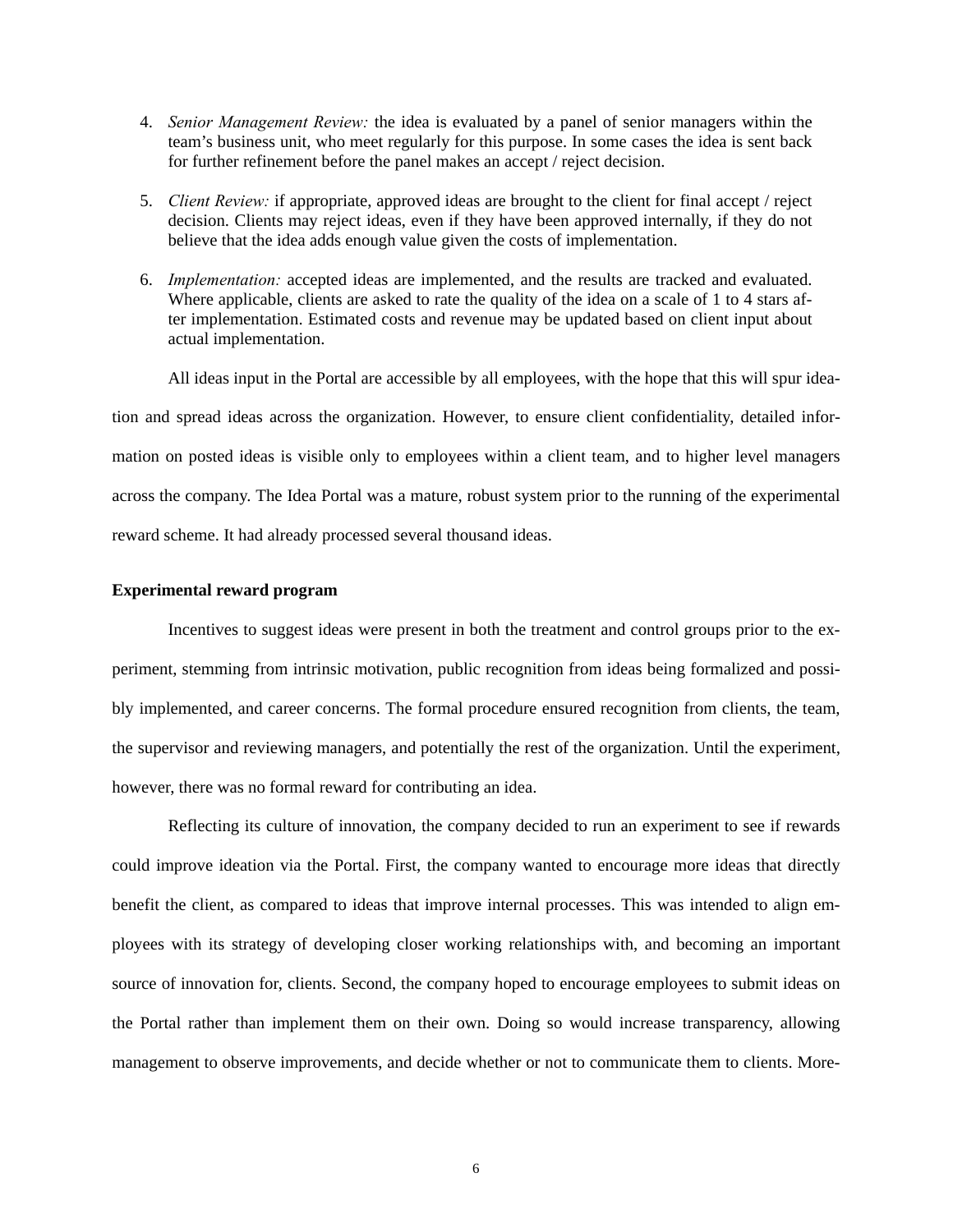- 4. *Senior Management Review:* the idea is evaluated by a panel of senior managers within the team's business unit, who meet regularly for this purpose. In some cases the idea is sent back for further refinement before the panel makes an accept / reject decision.
- 5. *Client Review:* if appropriate, approved ideas are brought to the client for final accept / reject decision. Clients may reject ideas, even if they have been approved internally, if they do not believe that the idea adds enough value given the costs of implementation.
- 6. *Implementation:* accepted ideas are implemented, and the results are tracked and evaluated. Where applicable, clients are asked to rate the quality of the idea on a scale of 1 to 4 stars after implementation. Estimated costs and revenue may be updated based on client input about actual implementation.

All ideas input in the Portal are accessible by all employees, with the hope that this will spur ideation and spread ideas across the organization. However, to ensure client confidentiality, detailed information on posted ideas is visible only to employees within a client team, and to higher level managers across the company. The Idea Portal was a mature, robust system prior to the running of the experimental reward scheme. It had already processed several thousand ideas.

#### **Experimental reward program**

Incentives to suggest ideas were present in both the treatment and control groups prior to the experiment, stemming from intrinsic motivation, public recognition from ideas being formalized and possibly implemented, and career concerns. The formal procedure ensured recognition from clients, the team, the supervisor and reviewing managers, and potentially the rest of the organization. Until the experiment, however, there was no formal reward for contributing an idea.

Reflecting its culture of innovation, the company decided to run an experiment to see if rewards could improve ideation via the Portal. First, the company wanted to encourage more ideas that directly benefit the client, as compared to ideas that improve internal processes. This was intended to align employees with its strategy of developing closer working relationships with, and becoming an important source of innovation for, clients. Second, the company hoped to encourage employees to submit ideas on the Portal rather than implement them on their own. Doing so would increase transparency, allowing management to observe improvements, and decide whether or not to communicate them to clients. More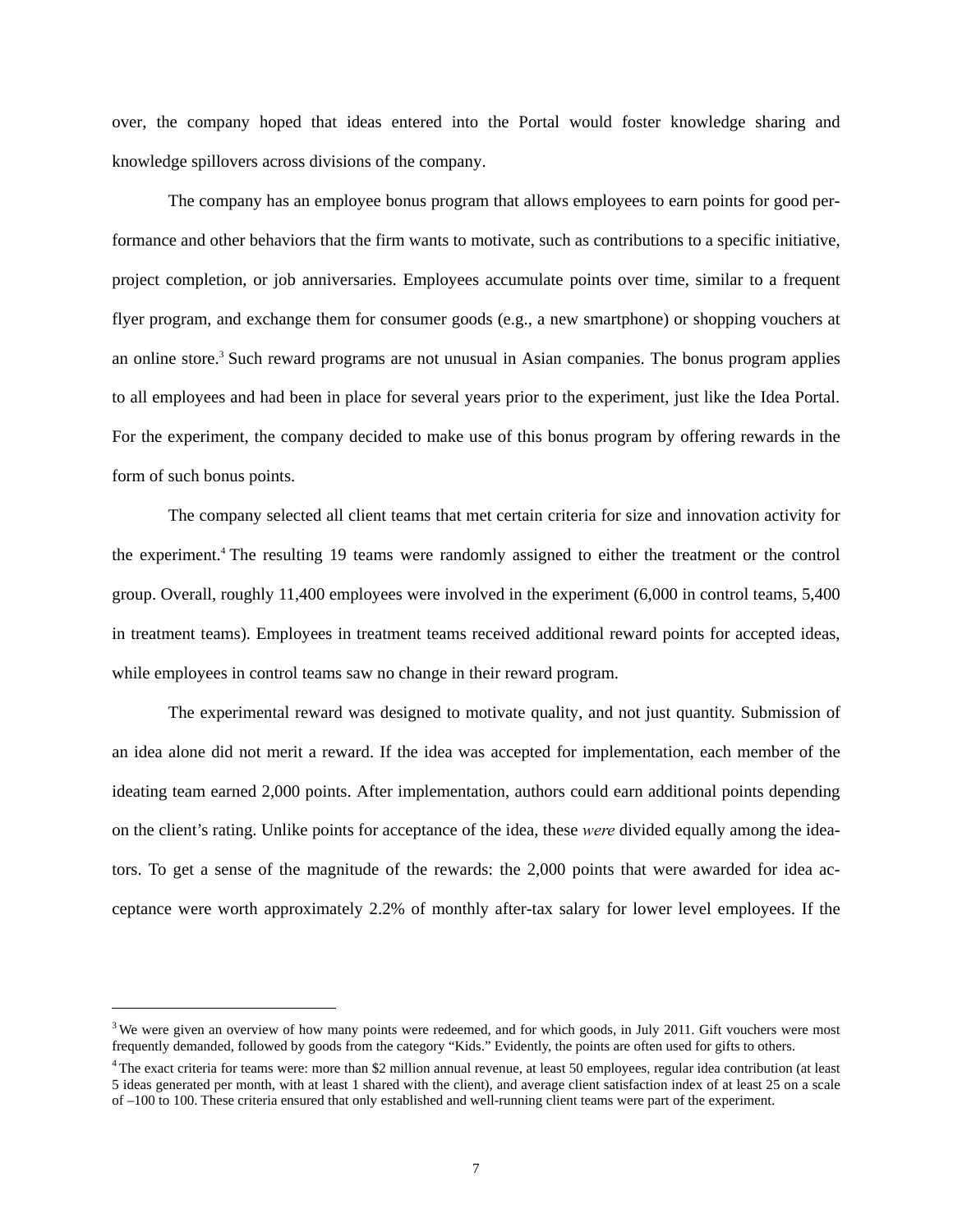over, the company hoped that ideas entered into the Portal would foster knowledge sharing and knowledge spillovers across divisions of the company.

The company has an employee bonus program that allows employees to earn points for good performance and other behaviors that the firm wants to motivate, such as contributions to a specific initiative, project completion, or job anniversaries. Employees accumulate points over time, similar to a frequent flyer program, and exchange them for consumer goods (e.g., a new smartphone) or shopping vouchers at an online store.<sup>3</sup> Such reward programs are not unusual in Asian companies. The bonus program applies to all employees and had been in place for several years prior to the experiment, just like the Idea Portal. For the experiment, the company decided to make use of this bonus program by offering rewards in the form of such bonus points.

The company selected all client teams that met certain criteria for size and innovation activity for the experiment.<sup>4</sup> The resulting 19 teams were randomly assigned to either the treatment or the control group. Overall, roughly 11,400 employees were involved in the experiment (6,000 in control teams, 5,400 in treatment teams). Employees in treatment teams received additional reward points for accepted ideas, while employees in control teams saw no change in their reward program.

The experimental reward was designed to motivate quality, and not just quantity. Submission of an idea alone did not merit a reward. If the idea was accepted for implementation, each member of the ideating team earned 2,000 points. After implementation, authors could earn additional points depending on the client's rating. Unlike points for acceptance of the idea, these *were* divided equally among the ideators. To get a sense of the magnitude of the rewards: the 2,000 points that were awarded for idea acceptance were worth approximately 2.2% of monthly after-tax salary for lower level employees. If the

 $\overline{a}$ 

 $3$  We were given an overview of how many points were redeemed, and for which goods, in July 2011. Gift vouchers were most frequently demanded, followed by goods from the category "Kids." Evidently, the points are often used for gifts to others.

<sup>&</sup>lt;sup>4</sup> The exact criteria for teams were: more than \$2 million annual revenue, at least 50 employees, regular idea contribution (at least 5 ideas generated per month, with at least 1 shared with the client), and average client satisfaction index of at least 25 on a scale of –100 to 100. These criteria ensured that only established and well-running client teams were part of the experiment.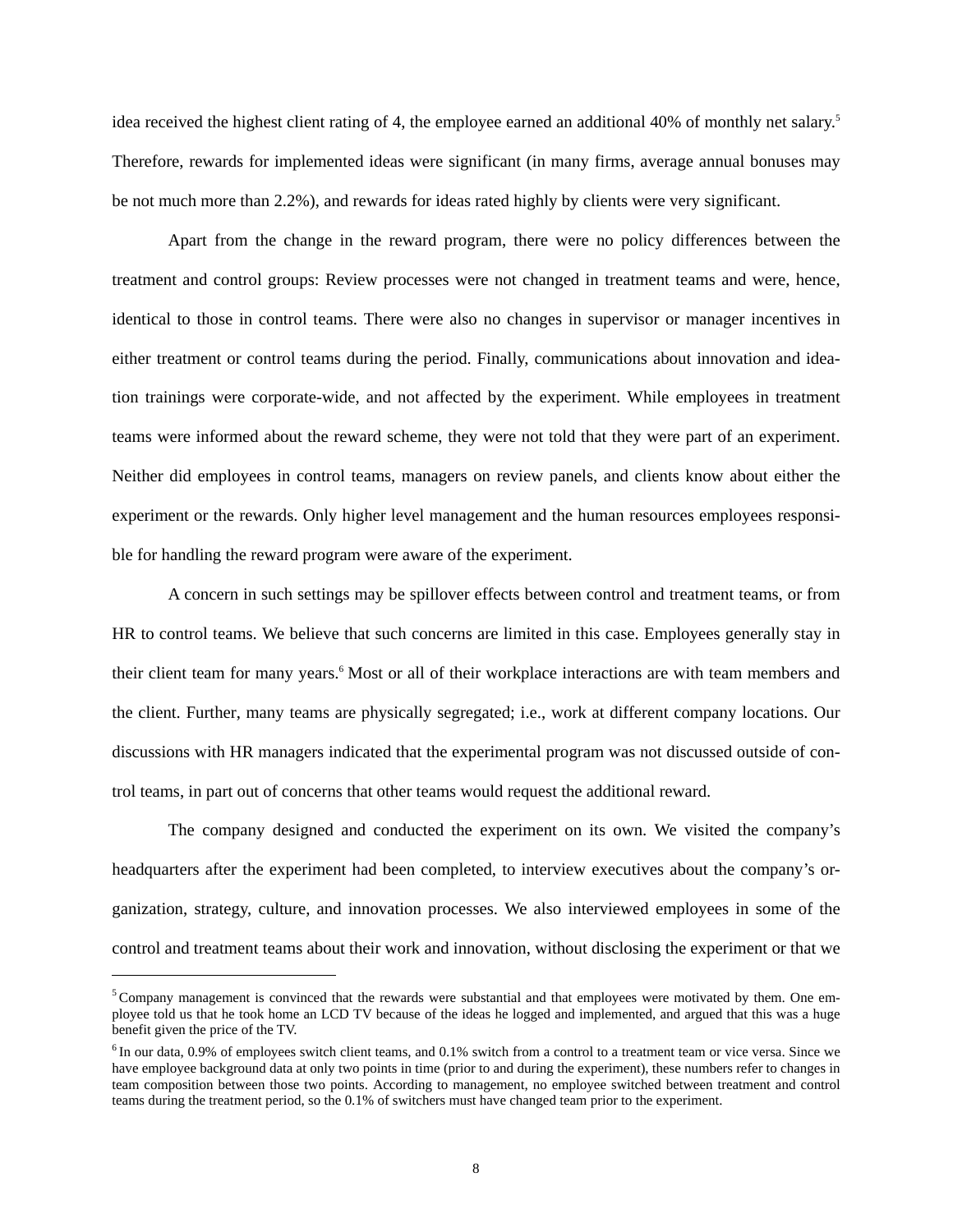idea received the highest client rating of 4, the employee earned an additional 40% of monthly net salary.<sup>5</sup> Therefore, rewards for implemented ideas were significant (in many firms, average annual bonuses may be not much more than 2.2%), and rewards for ideas rated highly by clients were very significant.

Apart from the change in the reward program, there were no policy differences between the treatment and control groups: Review processes were not changed in treatment teams and were, hence, identical to those in control teams. There were also no changes in supervisor or manager incentives in either treatment or control teams during the period. Finally, communications about innovation and ideation trainings were corporate-wide, and not affected by the experiment. While employees in treatment teams were informed about the reward scheme, they were not told that they were part of an experiment. Neither did employees in control teams, managers on review panels, and clients know about either the experiment or the rewards. Only higher level management and the human resources employees responsible for handling the reward program were aware of the experiment.

A concern in such settings may be spillover effects between control and treatment teams, or from HR to control teams. We believe that such concerns are limited in this case. Employees generally stay in their client team for many years.<sup>6</sup> Most or all of their workplace interactions are with team members and the client. Further, many teams are physically segregated; i.e., work at different company locations. Our discussions with HR managers indicated that the experimental program was not discussed outside of control teams, in part out of concerns that other teams would request the additional reward.

The company designed and conducted the experiment on its own. We visited the company's headquarters after the experiment had been completed, to interview executives about the company's organization, strategy, culture, and innovation processes. We also interviewed employees in some of the control and treatment teams about their work and innovation, without disclosing the experiment or that we

 $\overline{a}$ 

 $5$  Company management is convinced that the rewards were substantial and that employees were motivated by them. One employee told us that he took home an LCD TV because of the ideas he logged and implemented, and argued that this was a huge benefit given the price of the TV.

 $6$  In our data, 0.9% of employees switch client teams, and 0.1% switch from a control to a treatment team or vice versa. Since we have employee background data at only two points in time (prior to and during the experiment), these numbers refer to changes in team composition between those two points. According to management, no employee switched between treatment and control teams during the treatment period, so the 0.1% of switchers must have changed team prior to the experiment.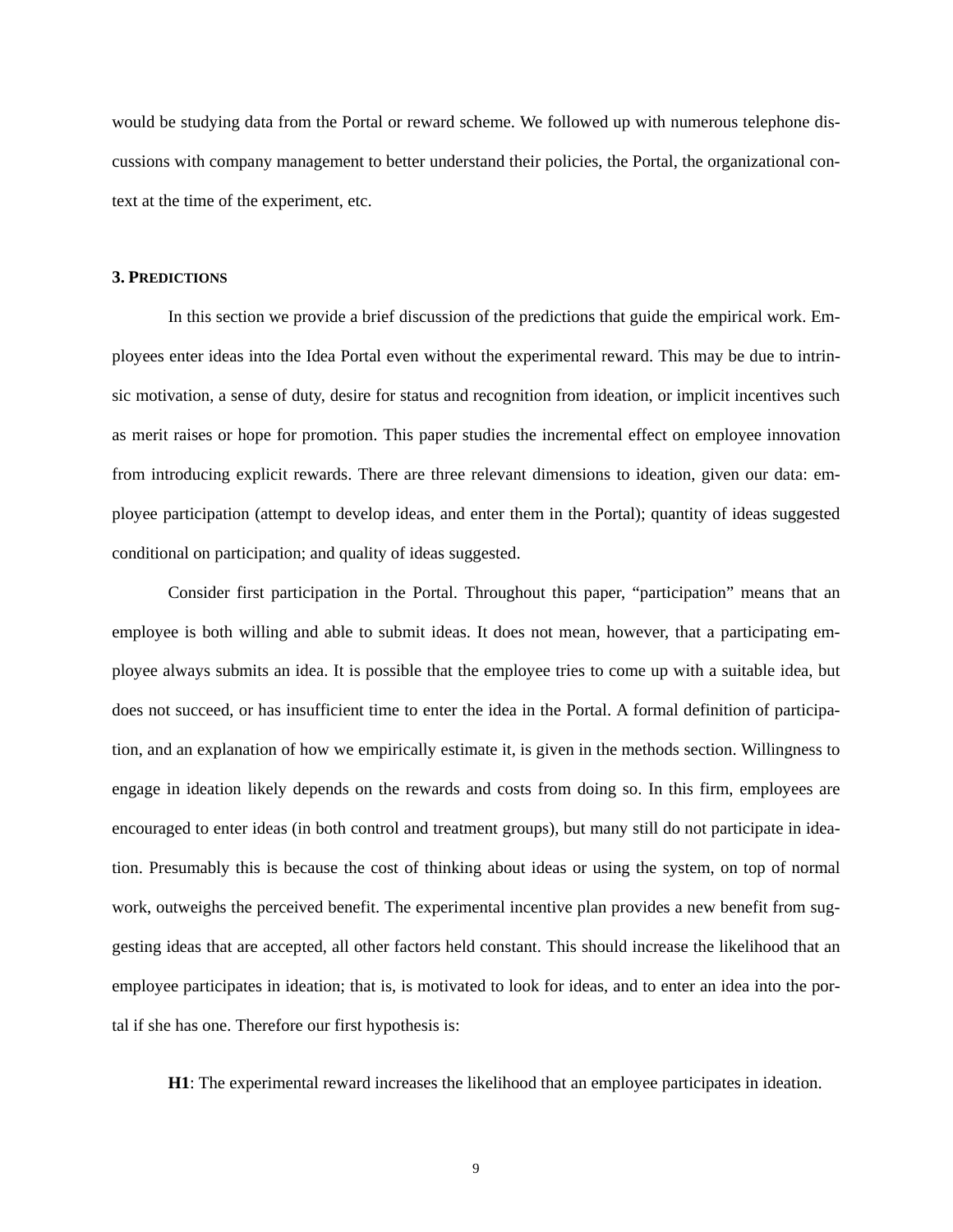would be studying data from the Portal or reward scheme. We followed up with numerous telephone discussions with company management to better understand their policies, the Portal, the organizational context at the time of the experiment, etc.

#### **3. PREDICTIONS**

In this section we provide a brief discussion of the predictions that guide the empirical work. Employees enter ideas into the Idea Portal even without the experimental reward. This may be due to intrinsic motivation, a sense of duty, desire for status and recognition from ideation, or implicit incentives such as merit raises or hope for promotion. This paper studies the incremental effect on employee innovation from introducing explicit rewards. There are three relevant dimensions to ideation, given our data: employee participation (attempt to develop ideas, and enter them in the Portal); quantity of ideas suggested conditional on participation; and quality of ideas suggested.

Consider first participation in the Portal. Throughout this paper, "participation" means that an employee is both willing and able to submit ideas. It does not mean, however, that a participating employee always submits an idea. It is possible that the employee tries to come up with a suitable idea, but does not succeed, or has insufficient time to enter the idea in the Portal. A formal definition of participation, and an explanation of how we empirically estimate it, is given in the methods section. Willingness to engage in ideation likely depends on the rewards and costs from doing so. In this firm, employees are encouraged to enter ideas (in both control and treatment groups), but many still do not participate in ideation. Presumably this is because the cost of thinking about ideas or using the system, on top of normal work, outweighs the perceived benefit. The experimental incentive plan provides a new benefit from suggesting ideas that are accepted, all other factors held constant. This should increase the likelihood that an employee participates in ideation; that is, is motivated to look for ideas, and to enter an idea into the portal if she has one. Therefore our first hypothesis is:

**H1**: The experimental reward increases the likelihood that an employee participates in ideation.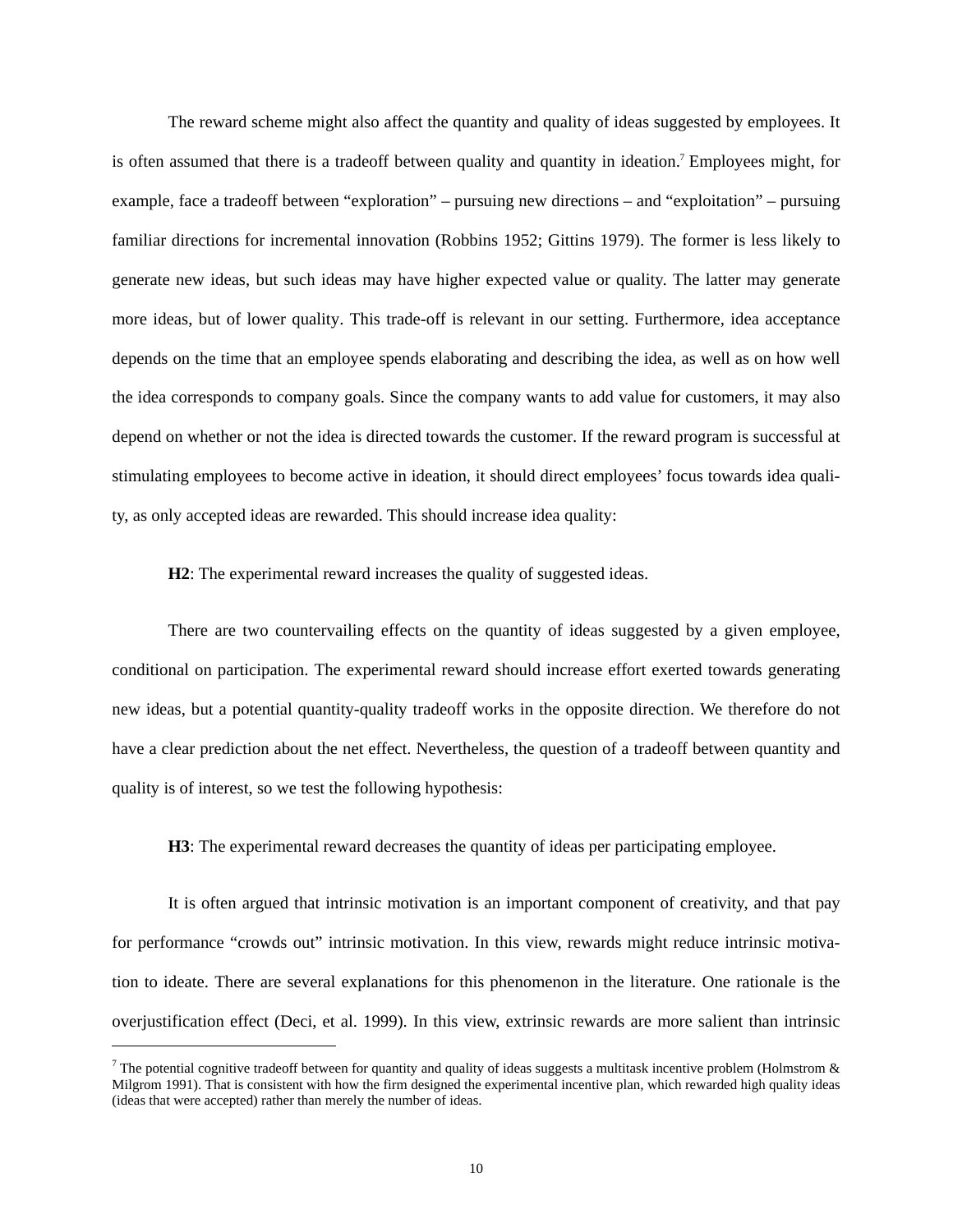The reward scheme might also affect the quantity and quality of ideas suggested by employees. It is often assumed that there is a tradeoff between quality and quantity in ideation.<sup>7</sup> Employees might, for example, face a tradeoff between "exploration" – pursuing new directions – and "exploitation" – pursuing familiar directions for incremental innovation (Robbins 1952; Gittins 1979). The former is less likely to generate new ideas, but such ideas may have higher expected value or quality. The latter may generate more ideas, but of lower quality. This trade-off is relevant in our setting. Furthermore, idea acceptance depends on the time that an employee spends elaborating and describing the idea, as well as on how well the idea corresponds to company goals. Since the company wants to add value for customers, it may also depend on whether or not the idea is directed towards the customer. If the reward program is successful at stimulating employees to become active in ideation, it should direct employees' focus towards idea quality, as only accepted ideas are rewarded. This should increase idea quality:

**H2**: The experimental reward increases the quality of suggested ideas.

There are two countervailing effects on the quantity of ideas suggested by a given employee, conditional on participation. The experimental reward should increase effort exerted towards generating new ideas, but a potential quantity-quality tradeoff works in the opposite direction. We therefore do not have a clear prediction about the net effect. Nevertheless, the question of a tradeoff between quantity and quality is of interest, so we test the following hypothesis:

**H3**: The experimental reward decreases the quantity of ideas per participating employee.

It is often argued that intrinsic motivation is an important component of creativity, and that pay for performance "crowds out" intrinsic motivation. In this view, rewards might reduce intrinsic motivation to ideate. There are several explanations for this phenomenon in the literature. One rationale is the overjustification effect (Deci, et al. 1999). In this view, extrinsic rewards are more salient than intrinsic

 $\overline{a}$ 

<sup>&</sup>lt;sup>7</sup> The potential cognitive tradeoff between for quantity and quality of ideas suggests a multitask incentive problem (Holmstrom & Milgrom 1991). That is consistent with how the firm designed the experimental incentive plan, which rewarded high quality ideas (ideas that were accepted) rather than merely the number of ideas.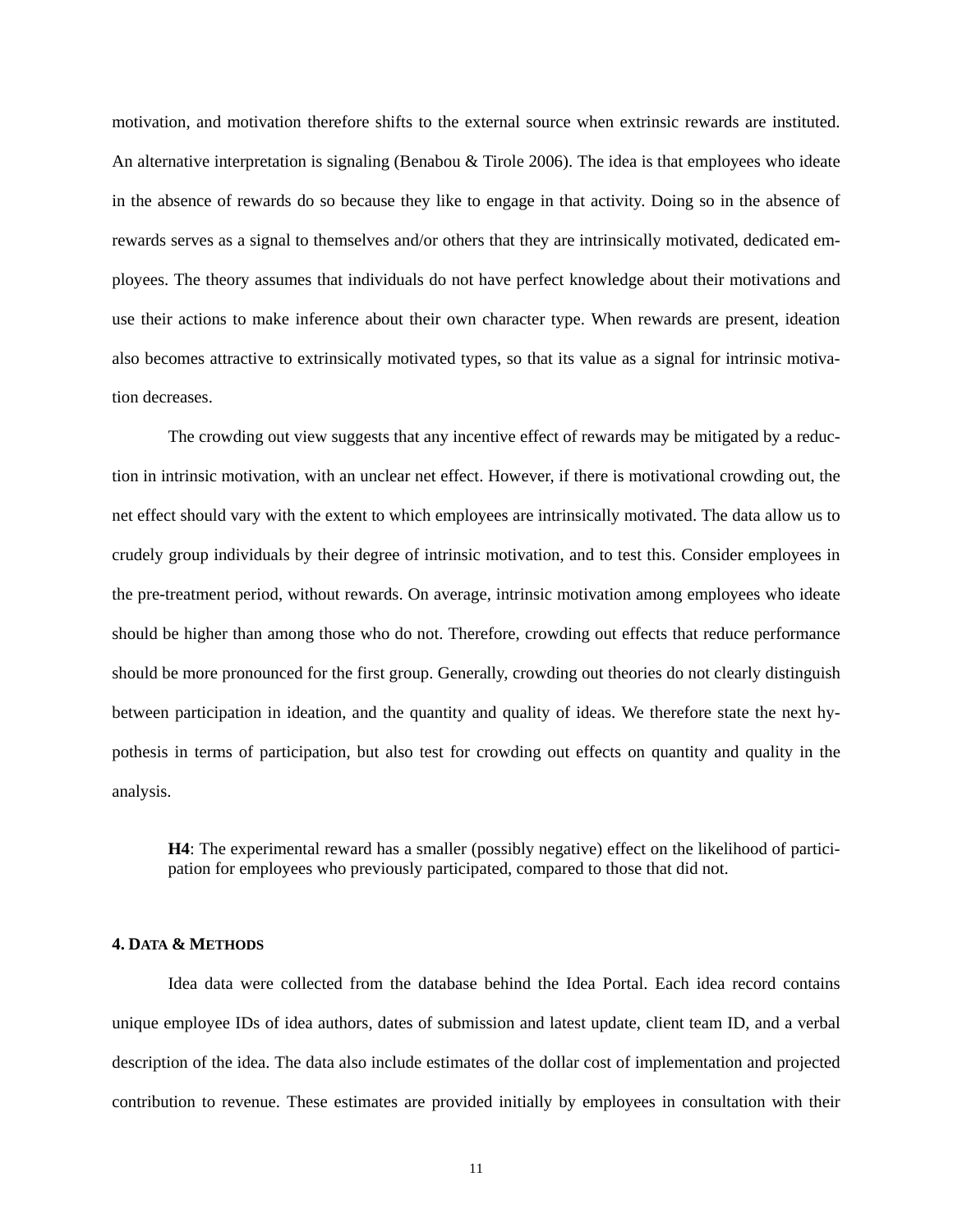motivation, and motivation therefore shifts to the external source when extrinsic rewards are instituted. An alternative interpretation is signaling (Benabou & Tirole 2006). The idea is that employees who ideate in the absence of rewards do so because they like to engage in that activity. Doing so in the absence of rewards serves as a signal to themselves and/or others that they are intrinsically motivated, dedicated employees. The theory assumes that individuals do not have perfect knowledge about their motivations and use their actions to make inference about their own character type. When rewards are present, ideation also becomes attractive to extrinsically motivated types, so that its value as a signal for intrinsic motivation decreases.

The crowding out view suggests that any incentive effect of rewards may be mitigated by a reduction in intrinsic motivation, with an unclear net effect. However, if there is motivational crowding out, the net effect should vary with the extent to which employees are intrinsically motivated. The data allow us to crudely group individuals by their degree of intrinsic motivation, and to test this. Consider employees in the pre-treatment period, without rewards. On average, intrinsic motivation among employees who ideate should be higher than among those who do not. Therefore, crowding out effects that reduce performance should be more pronounced for the first group. Generally, crowding out theories do not clearly distinguish between participation in ideation, and the quantity and quality of ideas. We therefore state the next hypothesis in terms of participation, but also test for crowding out effects on quantity and quality in the analysis.

**H4**: The experimental reward has a smaller (possibly negative) effect on the likelihood of participation for employees who previously participated, compared to those that did not.

#### **4. DATA & METHODS**

Idea data were collected from the database behind the Idea Portal. Each idea record contains unique employee IDs of idea authors, dates of submission and latest update, client team ID, and a verbal description of the idea. The data also include estimates of the dollar cost of implementation and projected contribution to revenue. These estimates are provided initially by employees in consultation with their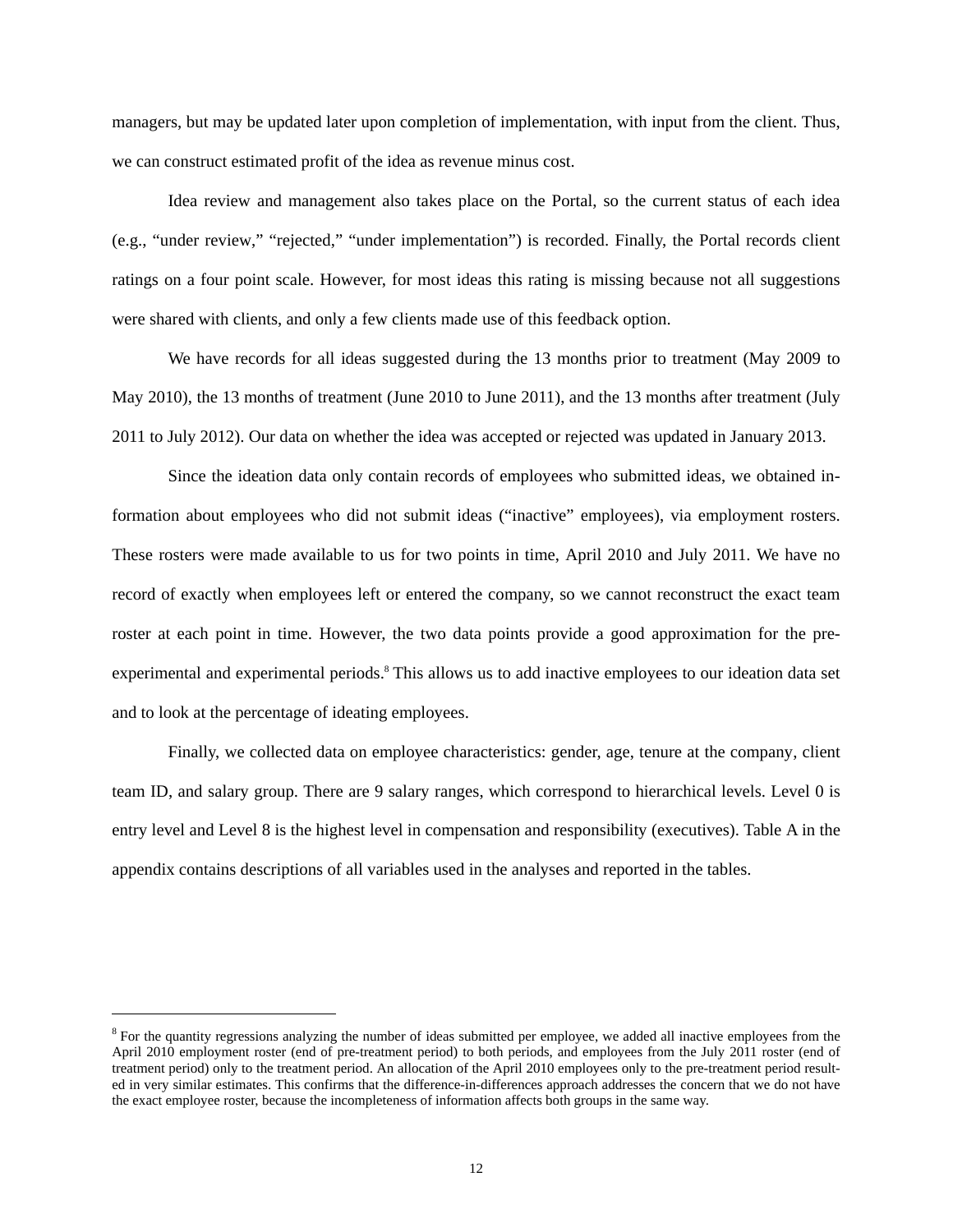managers, but may be updated later upon completion of implementation, with input from the client. Thus, we can construct estimated profit of the idea as revenue minus cost.

Idea review and management also takes place on the Portal, so the current status of each idea (e.g., "under review," "rejected," "under implementation") is recorded. Finally, the Portal records client ratings on a four point scale. However, for most ideas this rating is missing because not all suggestions were shared with clients, and only a few clients made use of this feedback option.

We have records for all ideas suggested during the 13 months prior to treatment (May 2009 to May 2010), the 13 months of treatment (June 2010 to June 2011), and the 13 months after treatment (July 2011 to July 2012). Our data on whether the idea was accepted or rejected was updated in January 2013.

Since the ideation data only contain records of employees who submitted ideas, we obtained information about employees who did not submit ideas ("inactive" employees), via employment rosters. These rosters were made available to us for two points in time, April 2010 and July 2011. We have no record of exactly when employees left or entered the company, so we cannot reconstruct the exact team roster at each point in time. However, the two data points provide a good approximation for the preexperimental and experimental periods.<sup>8</sup> This allows us to add inactive employees to our ideation data set and to look at the percentage of ideating employees.

Finally, we collected data on employee characteristics: gender, age, tenure at the company, client team ID, and salary group. There are 9 salary ranges, which correspond to hierarchical levels. Level 0 is entry level and Level 8 is the highest level in compensation and responsibility (executives). Table A in the appendix contains descriptions of all variables used in the analyses and reported in the tables.

1

<sup>&</sup>lt;sup>8</sup> For the quantity regressions analyzing the number of ideas submitted per employee, we added all inactive employees from the April 2010 employment roster (end of pre-treatment period) to both periods, and employees from the July 2011 roster (end of treatment period) only to the treatment period. An allocation of the April 2010 employees only to the pre-treatment period resulted in very similar estimates. This confirms that the difference-in-differences approach addresses the concern that we do not have the exact employee roster, because the incompleteness of information affects both groups in the same way.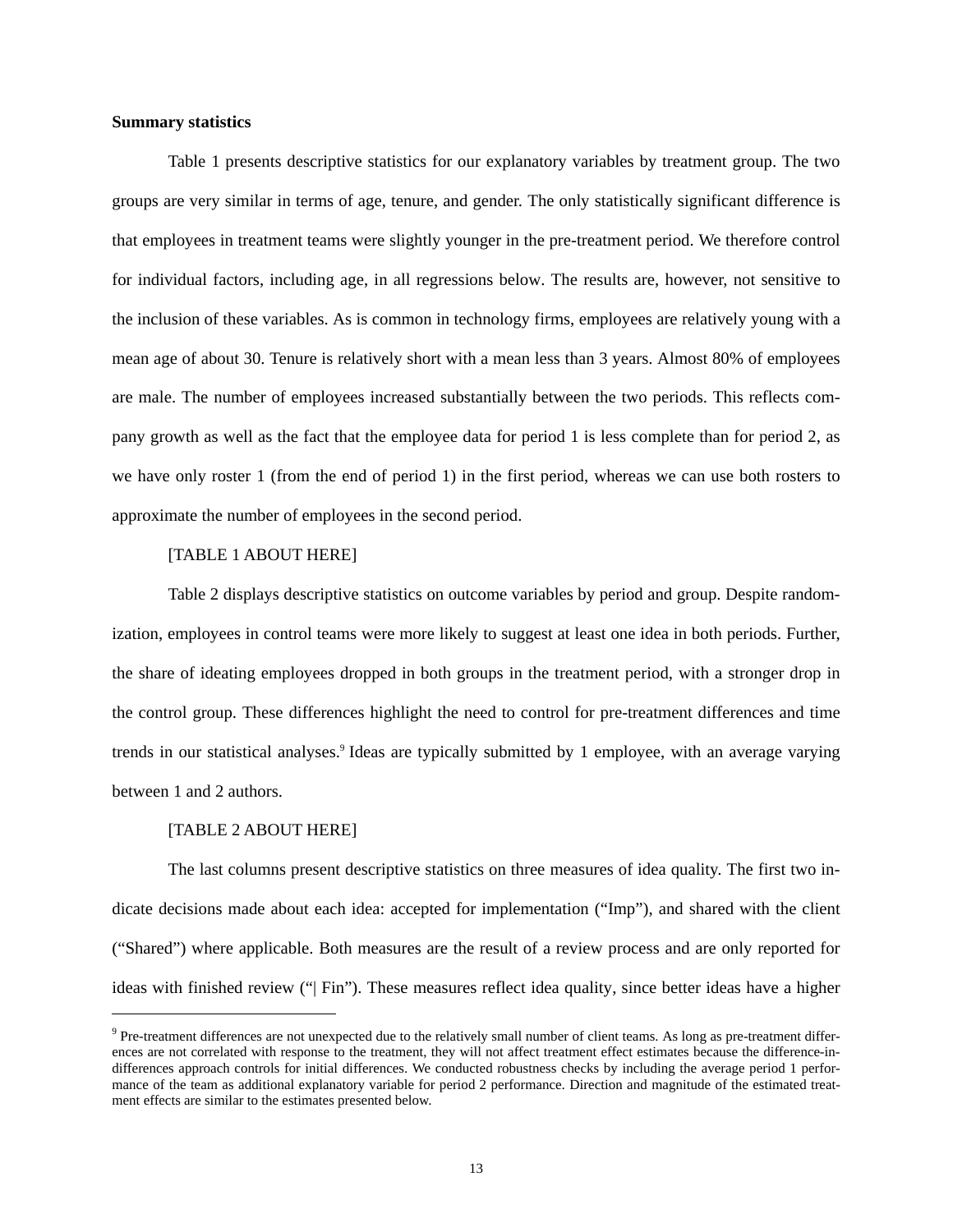#### **Summary statistics**

Table 1 presents descriptive statistics for our explanatory variables by treatment group. The two groups are very similar in terms of age, tenure, and gender. The only statistically significant difference is that employees in treatment teams were slightly younger in the pre-treatment period. We therefore control for individual factors, including age, in all regressions below. The results are, however, not sensitive to the inclusion of these variables. As is common in technology firms, employees are relatively young with a mean age of about 30. Tenure is relatively short with a mean less than 3 years. Almost 80% of employees are male. The number of employees increased substantially between the two periods. This reflects company growth as well as the fact that the employee data for period 1 is less complete than for period 2, as we have only roster 1 (from the end of period 1) in the first period, whereas we can use both rosters to approximate the number of employees in the second period.

#### [TABLE 1 ABOUT HERE]

Table 2 displays descriptive statistics on outcome variables by period and group. Despite randomization, employees in control teams were more likely to suggest at least one idea in both periods. Further, the share of ideating employees dropped in both groups in the treatment period, with a stronger drop in the control group. These differences highlight the need to control for pre-treatment differences and time trends in our statistical analyses.<sup>9</sup> Ideas are typically submitted by 1 employee, with an average varying between 1 and 2 authors.

#### [TABLE 2 ABOUT HERE]

1

The last columns present descriptive statistics on three measures of idea quality. The first two indicate decisions made about each idea: accepted for implementation ("Imp"), and shared with the client ("Shared") where applicable. Both measures are the result of a review process and are only reported for ideas with finished review ("| Fin"). These measures reflect idea quality, since better ideas have a higher

 $9$  Pre-treatment differences are not unexpected due to the relatively small number of client teams. As long as pre-treatment differences are not correlated with response to the treatment, they will not affect treatment effect estimates because the difference-indifferences approach controls for initial differences. We conducted robustness checks by including the average period 1 performance of the team as additional explanatory variable for period 2 performance. Direction and magnitude of the estimated treatment effects are similar to the estimates presented below.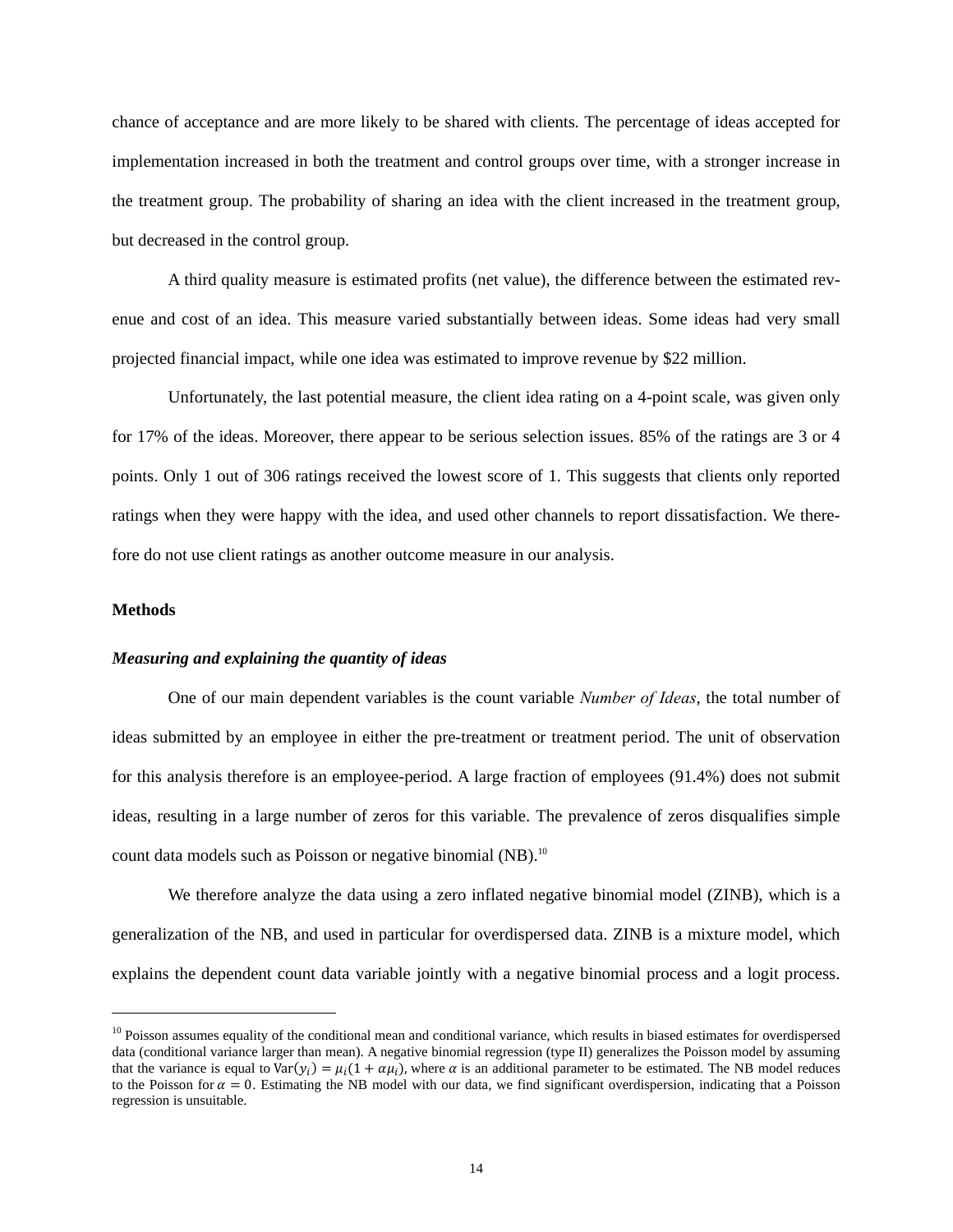chance of acceptance and are more likely to be shared with clients. The percentage of ideas accepted for implementation increased in both the treatment and control groups over time, with a stronger increase in the treatment group. The probability of sharing an idea with the client increased in the treatment group, but decreased in the control group.

A third quality measure is estimated profits (net value), the difference between the estimated revenue and cost of an idea. This measure varied substantially between ideas. Some ideas had very small projected financial impact, while one idea was estimated to improve revenue by \$22 million.

Unfortunately, the last potential measure, the client idea rating on a 4-point scale, was given only for 17% of the ideas. Moreover, there appear to be serious selection issues. 85% of the ratings are 3 or 4 points. Only 1 out of 306 ratings received the lowest score of 1. This suggests that clients only reported ratings when they were happy with the idea, and used other channels to report dissatisfaction. We therefore do not use client ratings as another outcome measure in our analysis.

#### **Methods**

l

#### *Measuring and explaining the quantity of ideas*

One of our main dependent variables is the count variable *Number of Ideas*, the total number of ideas submitted by an employee in either the pre-treatment or treatment period. The unit of observation for this analysis therefore is an employee-period. A large fraction of employees (91.4%) does not submit ideas, resulting in a large number of zeros for this variable. The prevalence of zeros disqualifies simple count data models such as Poisson or negative binomial (NB).<sup>10</sup>

We therefore analyze the data using a zero inflated negative binomial model (ZINB), which is a generalization of the NB, and used in particular for overdispersed data. ZINB is a mixture model, which explains the dependent count data variable jointly with a negative binomial process and a logit process.

<sup>&</sup>lt;sup>10</sup> Poisson assumes equality of the conditional mean and conditional variance, which results in biased estimates for overdispersed data (conditional variance larger than mean). A negative binomial regression (type II) generalizes the Poisson model by assuming that the variance is equal to  $Var(y_i) = \mu_i(1 + \alpha \mu_i)$ , where  $\alpha$  is an additional parameter to be estimated. The NB model reduces to the Poisson for  $\alpha = 0$ . Estimating the NB model with our data, we find significant overdispersion, indicating that a Poisson regression is unsuitable.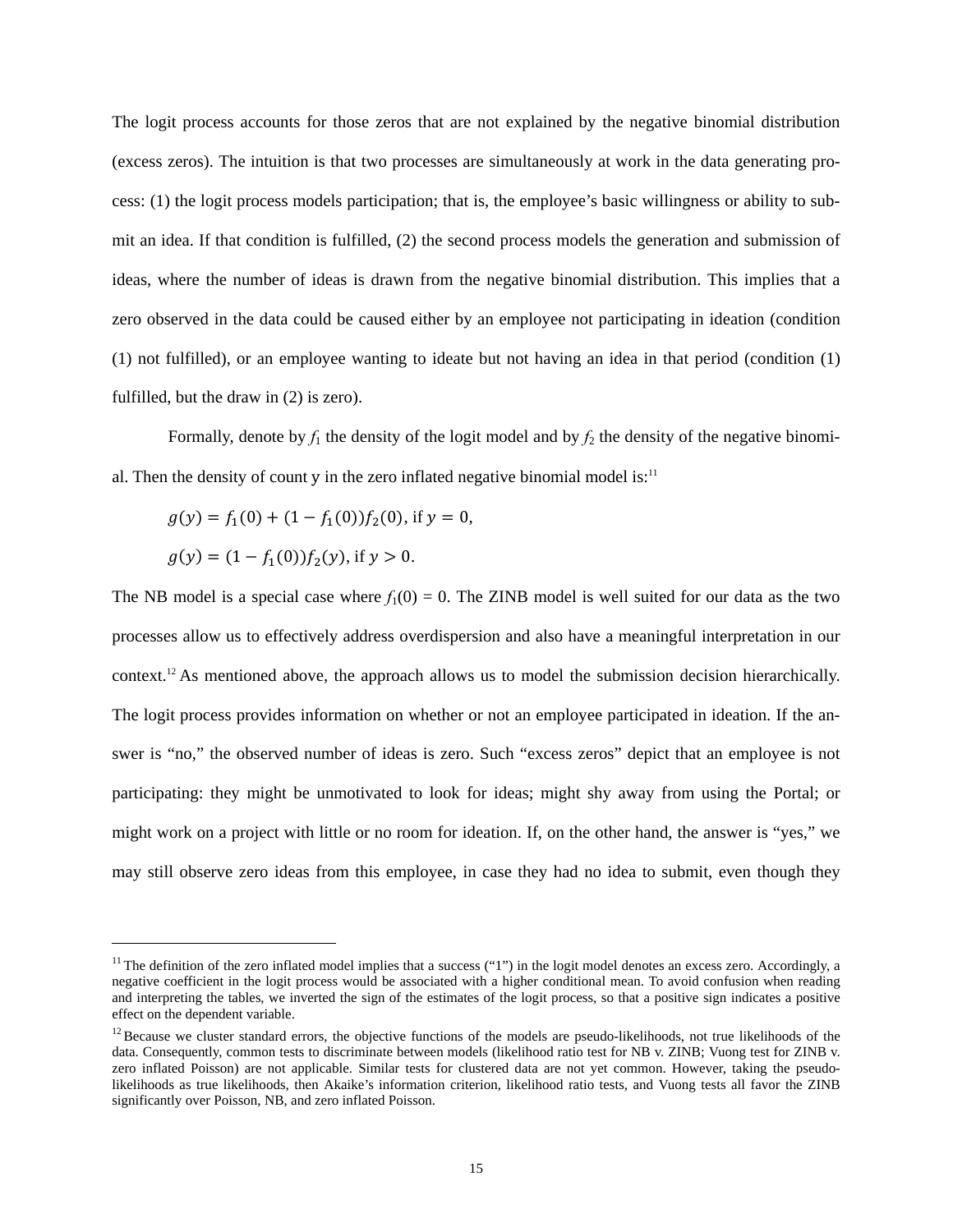The logit process accounts for those zeros that are not explained by the negative binomial distribution (excess zeros). The intuition is that two processes are simultaneously at work in the data generating process: (1) the logit process models participation; that is, the employee's basic willingness or ability to submit an idea. If that condition is fulfilled, (2) the second process models the generation and submission of ideas, where the number of ideas is drawn from the negative binomial distribution. This implies that a zero observed in the data could be caused either by an employee not participating in ideation (condition (1) not fulfilled), or an employee wanting to ideate but not having an idea in that period (condition (1) fulfilled, but the draw in (2) is zero).

Formally, denote by  $f_1$  the density of the logit model and by  $f_2$  the density of the negative binomial. Then the density of count y in the zero inflated negative binomial model is: $11$ 

$$
g(y) = f_1(0) + (1 - f_1(0))f_2(0), \text{ if } y = 0,
$$
  

$$
g(y) = (1 - f_1(0))f_2(y), \text{ if } y > 0.
$$

l

The NB model is a special case where  $f_1(0) = 0$ . The ZINB model is well suited for our data as the two processes allow us to effectively address overdispersion and also have a meaningful interpretation in our context.12 As mentioned above, the approach allows us to model the submission decision hierarchically. The logit process provides information on whether or not an employee participated in ideation. If the answer is "no," the observed number of ideas is zero. Such "excess zeros" depict that an employee is not participating: they might be unmotivated to look for ideas; might shy away from using the Portal; or might work on a project with little or no room for ideation. If, on the other hand, the answer is "yes," we may still observe zero ideas from this employee, in case they had no idea to submit, even though they

 $11$  The definition of the zero inflated model implies that a success ("1") in the logit model denotes an excess zero. Accordingly, a negative coefficient in the logit process would be associated with a higher conditional mean. To avoid confusion when reading and interpreting the tables, we inverted the sign of the estimates of the logit process, so that a positive sign indicates a positive effect on the dependent variable.

 $12$  Because we cluster standard errors, the objective functions of the models are pseudo-likelihoods, not true likelihoods of the data. Consequently, common tests to discriminate between models (likelihood ratio test for NB v. ZINB; Vuong test for ZINB v. zero inflated Poisson) are not applicable. Similar tests for clustered data are not yet common. However, taking the pseudolikelihoods as true likelihoods, then Akaike's information criterion, likelihood ratio tests, and Vuong tests all favor the ZINB significantly over Poisson, NB, and zero inflated Poisson.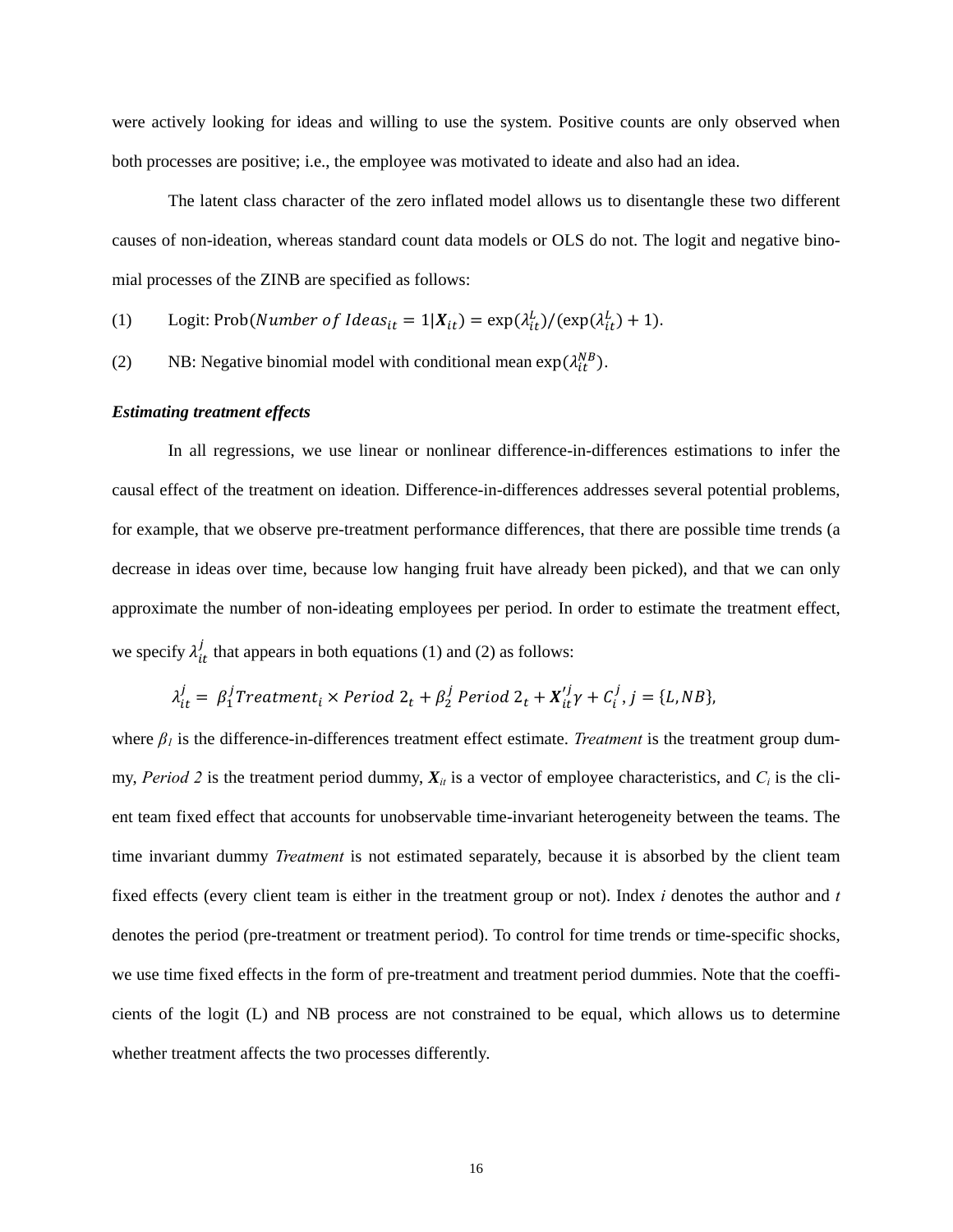were actively looking for ideas and willing to use the system. Positive counts are only observed when both processes are positive; i.e., the employee was motivated to ideate and also had an idea.

The latent class character of the zero inflated model allows us to disentangle these two different causes of non-ideation, whereas standard count data models or OLS do not. The logit and negative binomial processes of the ZINB are specified as follows:

- (1) Logit: Prob(Number of Ideas<sub>it</sub> =  $1|X_{it}$ ) =  $\exp(\lambda_{it}^L) / (\exp(\lambda_{it}^L) + 1)$ .
- (2) NB: Negative binomial model with conditional mean  $\exp(\lambda_{it}^{NB})$ .

#### *Estimating treatment effects*

In all regressions, we use linear or nonlinear difference-in-differences estimations to infer the causal effect of the treatment on ideation. Difference-in-differences addresses several potential problems, for example, that we observe pre-treatment performance differences, that there are possible time trends (a decrease in ideas over time, because low hanging fruit have already been picked), and that we can only approximate the number of non-ideating employees per period. In order to estimate the treatment effect, we specify  $\lambda_{it}^j$  that appears in both equations (1) and (2) as follows:

$$
\lambda_{it}^j = \beta_1^j Treatment_i \times Period \ 2_t + \beta_2^j Period \ 2_t + X_{it}^j \gamma + C_i^j, j = \{L, NB\},\
$$

where *β1* is the difference-in-differences treatment effect estimate. *Treatment* is the treatment group dummy, *Period 2* is the treatment period dummy,  $X_{it}$  is a vector of employee characteristics, and  $C_i$  is the client team fixed effect that accounts for unobservable time-invariant heterogeneity between the teams. The time invariant dummy *Treatment* is not estimated separately, because it is absorbed by the client team fixed effects (every client team is either in the treatment group or not). Index *i* denotes the author and *t* denotes the period (pre-treatment or treatment period). To control for time trends or time-specific shocks, we use time fixed effects in the form of pre-treatment and treatment period dummies. Note that the coefficients of the logit (L) and NB process are not constrained to be equal, which allows us to determine whether treatment affects the two processes differently.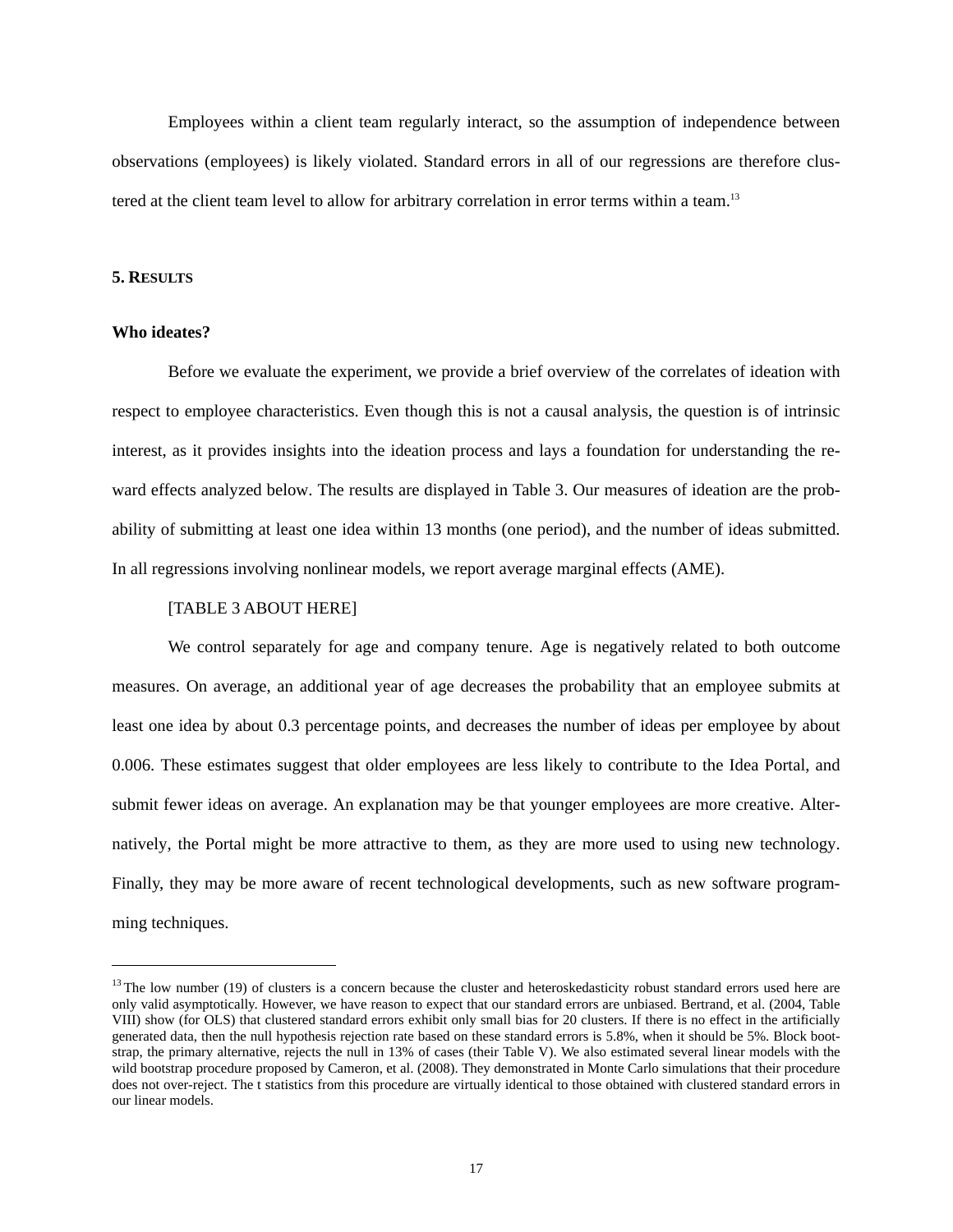Employees within a client team regularly interact, so the assumption of independence between observations (employees) is likely violated. Standard errors in all of our regressions are therefore clustered at the client team level to allow for arbitrary correlation in error terms within a team.<sup>13</sup>

#### **5. RESULTS**

#### **Who ideates?**

 $\overline{a}$ 

Before we evaluate the experiment, we provide a brief overview of the correlates of ideation with respect to employee characteristics. Even though this is not a causal analysis, the question is of intrinsic interest, as it provides insights into the ideation process and lays a foundation for understanding the reward effects analyzed below. The results are displayed in Table 3. Our measures of ideation are the probability of submitting at least one idea within 13 months (one period), and the number of ideas submitted. In all regressions involving nonlinear models, we report average marginal effects (AME).

#### [TABLE 3 ABOUT HERE]

We control separately for age and company tenure. Age is negatively related to both outcome measures. On average, an additional year of age decreases the probability that an employee submits at least one idea by about 0.3 percentage points, and decreases the number of ideas per employee by about 0.006. These estimates suggest that older employees are less likely to contribute to the Idea Portal, and submit fewer ideas on average. An explanation may be that younger employees are more creative. Alternatively, the Portal might be more attractive to them, as they are more used to using new technology. Finally, they may be more aware of recent technological developments, such as new software programming techniques.

 $13$  The low number (19) of clusters is a concern because the cluster and heteroskedasticity robust standard errors used here are only valid asymptotically. However, we have reason to expect that our standard errors are unbiased. Bertrand, et al. (2004, Table VIII) show (for OLS) that clustered standard errors exhibit only small bias for 20 clusters. If there is no effect in the artificially generated data, then the null hypothesis rejection rate based on these standard errors is 5.8%, when it should be 5%. Block bootstrap, the primary alternative, rejects the null in 13% of cases (their Table V). We also estimated several linear models with the wild bootstrap procedure proposed by Cameron, et al. (2008). They demonstrated in Monte Carlo simulations that their procedure does not over-reject. The t statistics from this procedure are virtually identical to those obtained with clustered standard errors in our linear models.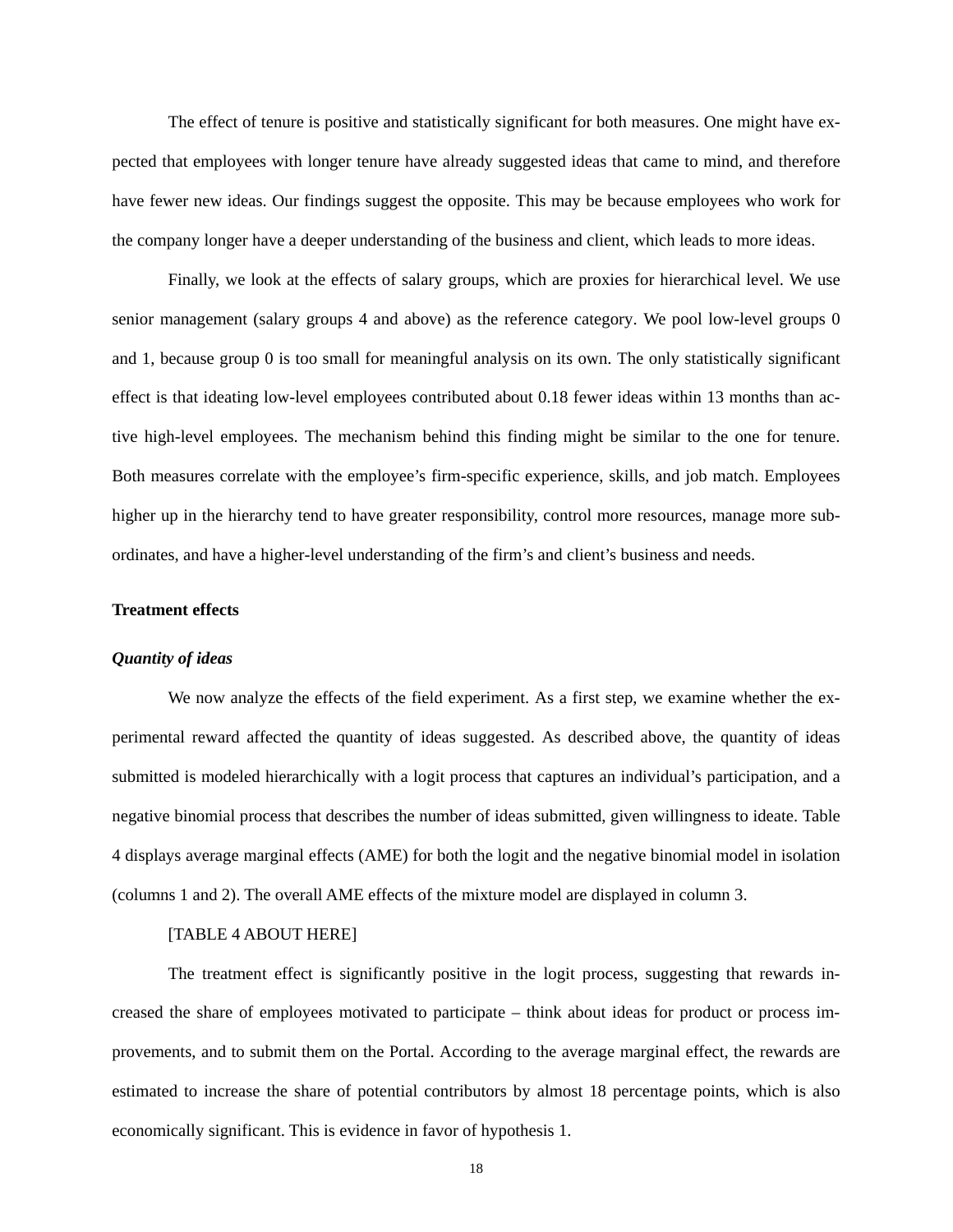The effect of tenure is positive and statistically significant for both measures. One might have expected that employees with longer tenure have already suggested ideas that came to mind, and therefore have fewer new ideas. Our findings suggest the opposite. This may be because employees who work for the company longer have a deeper understanding of the business and client, which leads to more ideas.

Finally, we look at the effects of salary groups, which are proxies for hierarchical level. We use senior management (salary groups 4 and above) as the reference category. We pool low-level groups 0 and 1, because group 0 is too small for meaningful analysis on its own. The only statistically significant effect is that ideating low-level employees contributed about 0.18 fewer ideas within 13 months than active high-level employees. The mechanism behind this finding might be similar to the one for tenure. Both measures correlate with the employee's firm-specific experience, skills, and job match. Employees higher up in the hierarchy tend to have greater responsibility, control more resources, manage more subordinates, and have a higher-level understanding of the firm's and client's business and needs.

#### **Treatment effects**

#### *Quantity of ideas*

We now analyze the effects of the field experiment. As a first step, we examine whether the experimental reward affected the quantity of ideas suggested. As described above, the quantity of ideas submitted is modeled hierarchically with a logit process that captures an individual's participation, and a negative binomial process that describes the number of ideas submitted, given willingness to ideate. Table 4 displays average marginal effects (AME) for both the logit and the negative binomial model in isolation (columns 1 and 2). The overall AME effects of the mixture model are displayed in column 3.

#### [TABLE 4 ABOUT HERE]

The treatment effect is significantly positive in the logit process, suggesting that rewards increased the share of employees motivated to participate – think about ideas for product or process improvements, and to submit them on the Portal. According to the average marginal effect, the rewards are estimated to increase the share of potential contributors by almost 18 percentage points, which is also economically significant. This is evidence in favor of hypothesis 1.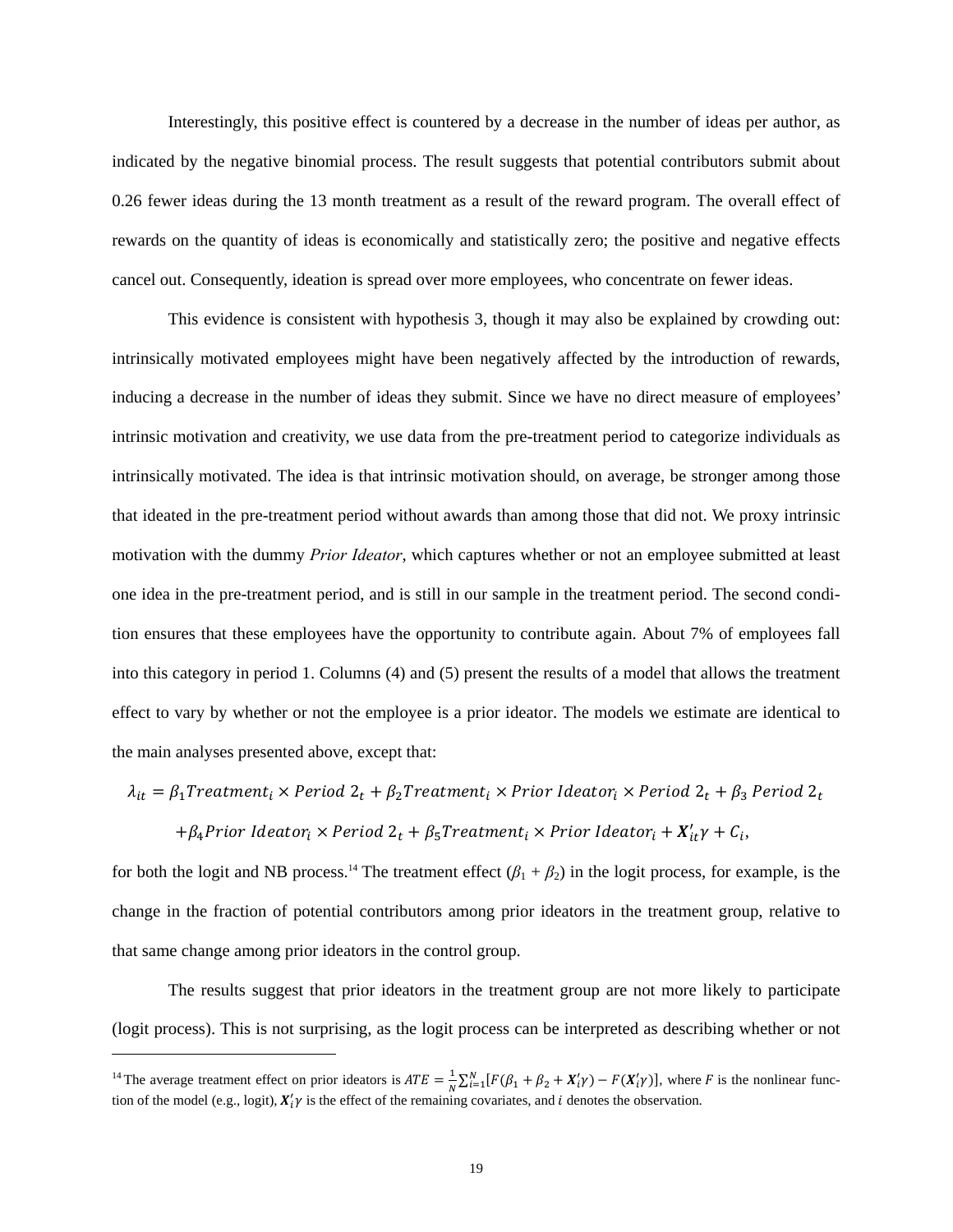Interestingly, this positive effect is countered by a decrease in the number of ideas per author, as indicated by the negative binomial process. The result suggests that potential contributors submit about 0.26 fewer ideas during the 13 month treatment as a result of the reward program. The overall effect of rewards on the quantity of ideas is economically and statistically zero; the positive and negative effects cancel out. Consequently, ideation is spread over more employees, who concentrate on fewer ideas.

This evidence is consistent with hypothesis 3, though it may also be explained by crowding out: intrinsically motivated employees might have been negatively affected by the introduction of rewards, inducing a decrease in the number of ideas they submit. Since we have no direct measure of employees' intrinsic motivation and creativity, we use data from the pre-treatment period to categorize individuals as intrinsically motivated. The idea is that intrinsic motivation should, on average, be stronger among those that ideated in the pre-treatment period without awards than among those that did not. We proxy intrinsic motivation with the dummy *Prior Ideator*, which captures whether or not an employee submitted at least one idea in the pre-treatment period, and is still in our sample in the treatment period. The second condition ensures that these employees have the opportunity to contribute again. About 7% of employees fall into this category in period 1. Columns (4) and (5) present the results of a model that allows the treatment effect to vary by whether or not the employee is a prior ideator. The models we estimate are identical to the main analyses presented above, except that:

### $\lambda_{it} = \beta_1$ Treatment<sub>i</sub> × Period  $2_t + \beta_2$ Treatment<sub>i</sub> × Prior Ideator<sub>i</sub> × Period  $2_t + \beta_3$  Period  $2_t$

### + $\beta_4$ Prior Ideator<sub>i</sub> × Period  $2_t + \beta_5$ Treatment<sub>i</sub> × Prior Ideator<sub>i</sub> +  $X'_{it}$  $\gamma$  +  $C_i$ ,

for both the logit and NB process.<sup>14</sup> The treatment effect  $(\beta_1 + \beta_2)$  in the logit process, for example, is the change in the fraction of potential contributors among prior ideators in the treatment group, relative to that same change among prior ideators in the control group.

The results suggest that prior ideators in the treatment group are not more likely to participate (logit process). This is not surprising, as the logit process can be interpreted as describing whether or not

l

<sup>&</sup>lt;sup>14</sup> The average treatment effect on prior ideators is  $ATE = \frac{1}{N} \sum_{i=1}^{N} [F(\beta_1 + \beta_2 + X'_i \gamma) - F(X'_i \gamma)]$ , where *F* is the nonlinear function of the model (e.g., logit),  $X'_i \gamma$  is the effect of the remaining covariates, and *i* denotes the observation.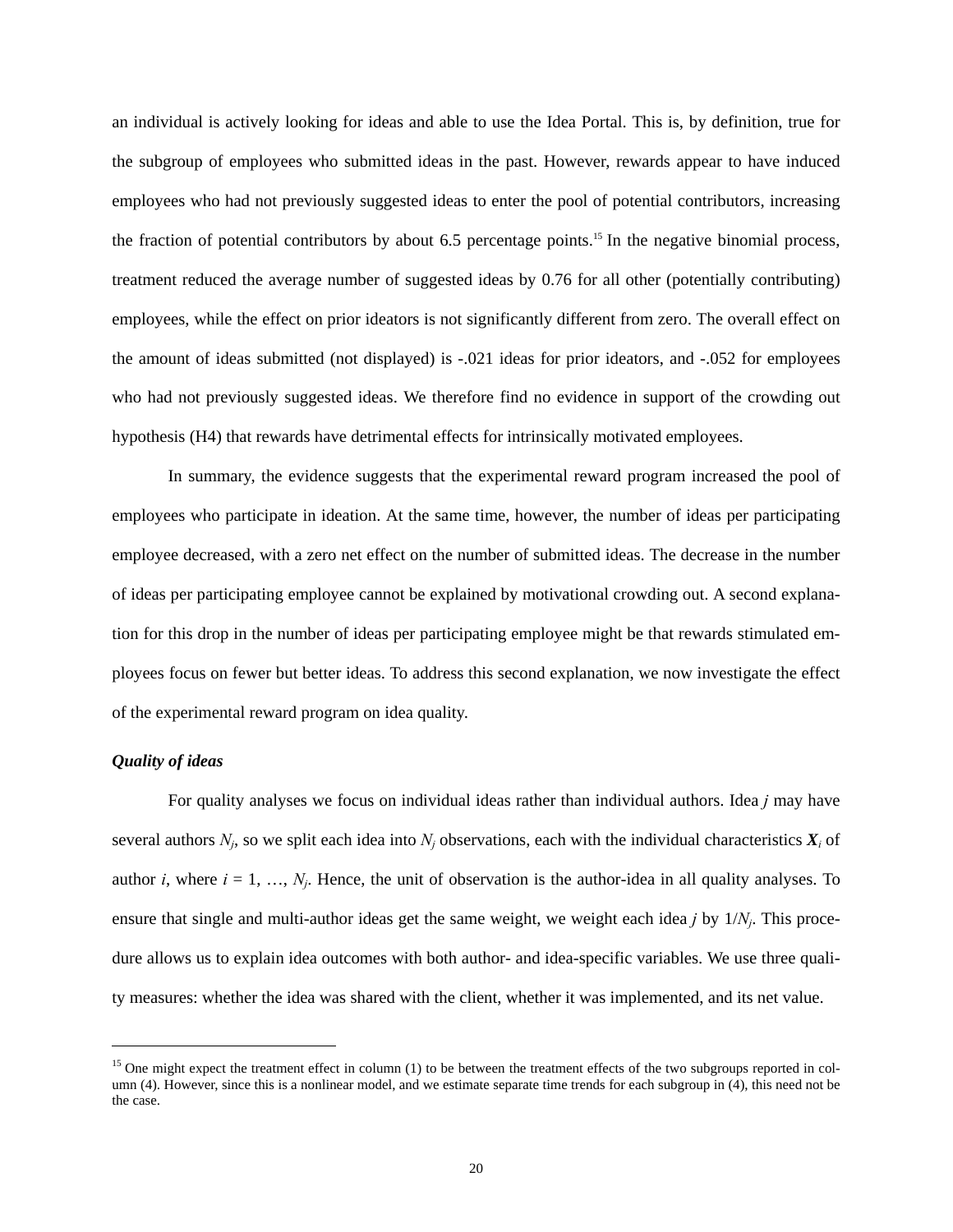an individual is actively looking for ideas and able to use the Idea Portal. This is, by definition, true for the subgroup of employees who submitted ideas in the past. However, rewards appear to have induced employees who had not previously suggested ideas to enter the pool of potential contributors, increasing the fraction of potential contributors by about 6.5 percentage points.<sup>15</sup> In the negative binomial process, treatment reduced the average number of suggested ideas by 0.76 for all other (potentially contributing) employees, while the effect on prior ideators is not significantly different from zero. The overall effect on the amount of ideas submitted (not displayed) is -.021 ideas for prior ideators, and -.052 for employees who had not previously suggested ideas. We therefore find no evidence in support of the crowding out hypothesis (H4) that rewards have detrimental effects for intrinsically motivated employees.

In summary, the evidence suggests that the experimental reward program increased the pool of employees who participate in ideation. At the same time, however, the number of ideas per participating employee decreased, with a zero net effect on the number of submitted ideas. The decrease in the number of ideas per participating employee cannot be explained by motivational crowding out. A second explanation for this drop in the number of ideas per participating employee might be that rewards stimulated employees focus on fewer but better ideas. To address this second explanation, we now investigate the effect of the experimental reward program on idea quality.

#### *Quality of ideas*

 $\overline{a}$ 

For quality analyses we focus on individual ideas rather than individual authors. Idea *j* may have several authors  $N_i$ , so we split each idea into  $N_i$  observations, each with the individual characteristics  $X_i$  of author *i*, where  $i = 1, \ldots, N_i$ . Hence, the unit of observation is the author-idea in all quality analyses. To ensure that single and multi-author ideas get the same weight, we weight each idea *j* by 1/*Nj*. This procedure allows us to explain idea outcomes with both author- and idea-specific variables. We use three quality measures: whether the idea was shared with the client, whether it was implemented, and its net value.

 $<sup>15</sup>$  One might expect the treatment effect in column (1) to be between the treatment effects of the two subgroups reported in col-</sup> umn (4). However, since this is a nonlinear model, and we estimate separate time trends for each subgroup in (4), this need not be the case.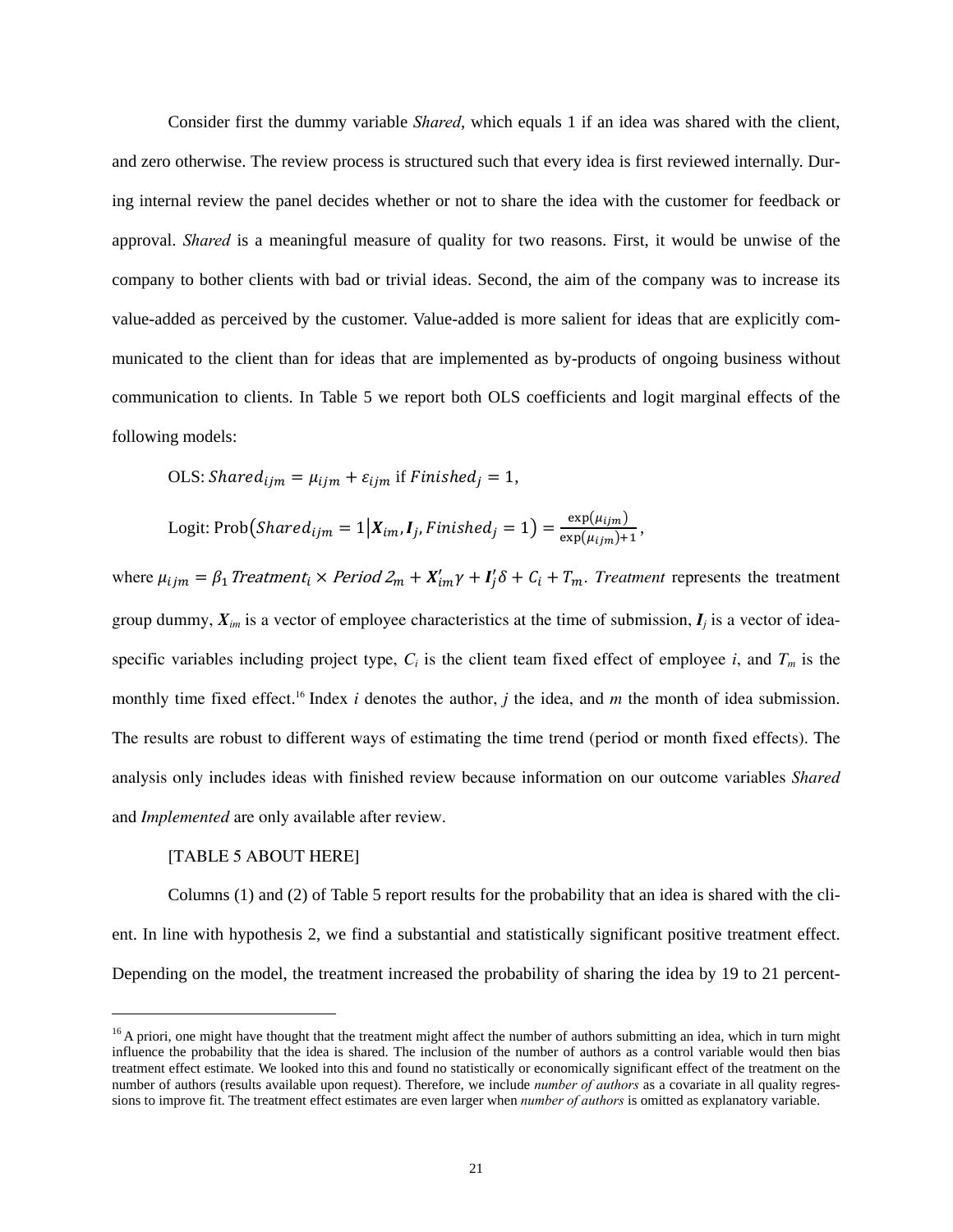Consider first the dummy variable *Shared*, which equals 1 if an idea was shared with the client, and zero otherwise. The review process is structured such that every idea is first reviewed internally. During internal review the panel decides whether or not to share the idea with the customer for feedback or approval. *Shared* is a meaningful measure of quality for two reasons. First, it would be unwise of the company to bother clients with bad or trivial ideas. Second, the aim of the company was to increase its value-added as perceived by the customer. Value-added is more salient for ideas that are explicitly communicated to the client than for ideas that are implemented as by-products of ongoing business without communication to clients. In Table 5 we report both OLS coefficients and logit marginal effects of the following models:

OLS: Shared<sub>ijm</sub> = 
$$
\mu_{ijm} + \varepsilon_{ijm}
$$
 if *Finished*<sub>j</sub> = 1,

Logit: Prob(Shared<sub>ijm</sub> = 1 | 
$$
X_{im}
$$
,  $I_j$ , *Finished*<sub>j</sub> = 1) =  $\frac{\exp(\mu_{ijm})}{\exp(\mu_{ijm})+1}$ ,

where  $\mu_{ijm} = \beta_1$  Treatment<sub>i</sub> × Period  $2_m + X'_{im} \gamma + I'_j \delta + C_i + T_m$ . Treatment represents the treatment group dummy,  $X_{im}$  is a vector of employee characteristics at the time of submission,  $I_i$  is a vector of ideaspecific variables including project type,  $C_i$  is the client team fixed effect of employee *i*, and  $T_m$  is the monthly time fixed effect.<sup>16</sup> Index *i* denotes the author, *j* the idea, and *m* the month of idea submission. The results are robust to different ways of estimating the time trend (period or month fixed effects). The analysis only includes ideas with finished review because information on our outcome variables *Shared* and *Implemented* are only available after review.

#### [TABLE 5 ABOUT HERE]

l

Columns (1) and (2) of Table 5 report results for the probability that an idea is shared with the client. In line with hypothesis 2, we find a substantial and statistically significant positive treatment effect. Depending on the model, the treatment increased the probability of sharing the idea by 19 to 21 percent-

 $16$  A priori, one might have thought that the treatment might affect the number of authors submitting an idea, which in turn might influence the probability that the idea is shared. The inclusion of the number of authors as a control variable would then bias treatment effect estimate. We looked into this and found no statistically or economically significant effect of the treatment on the number of authors (results available upon request). Therefore, we include *number of authors* as a covariate in all quality regressions to improve fit. The treatment effect estimates are even larger when *number of authors* is omitted as explanatory variable.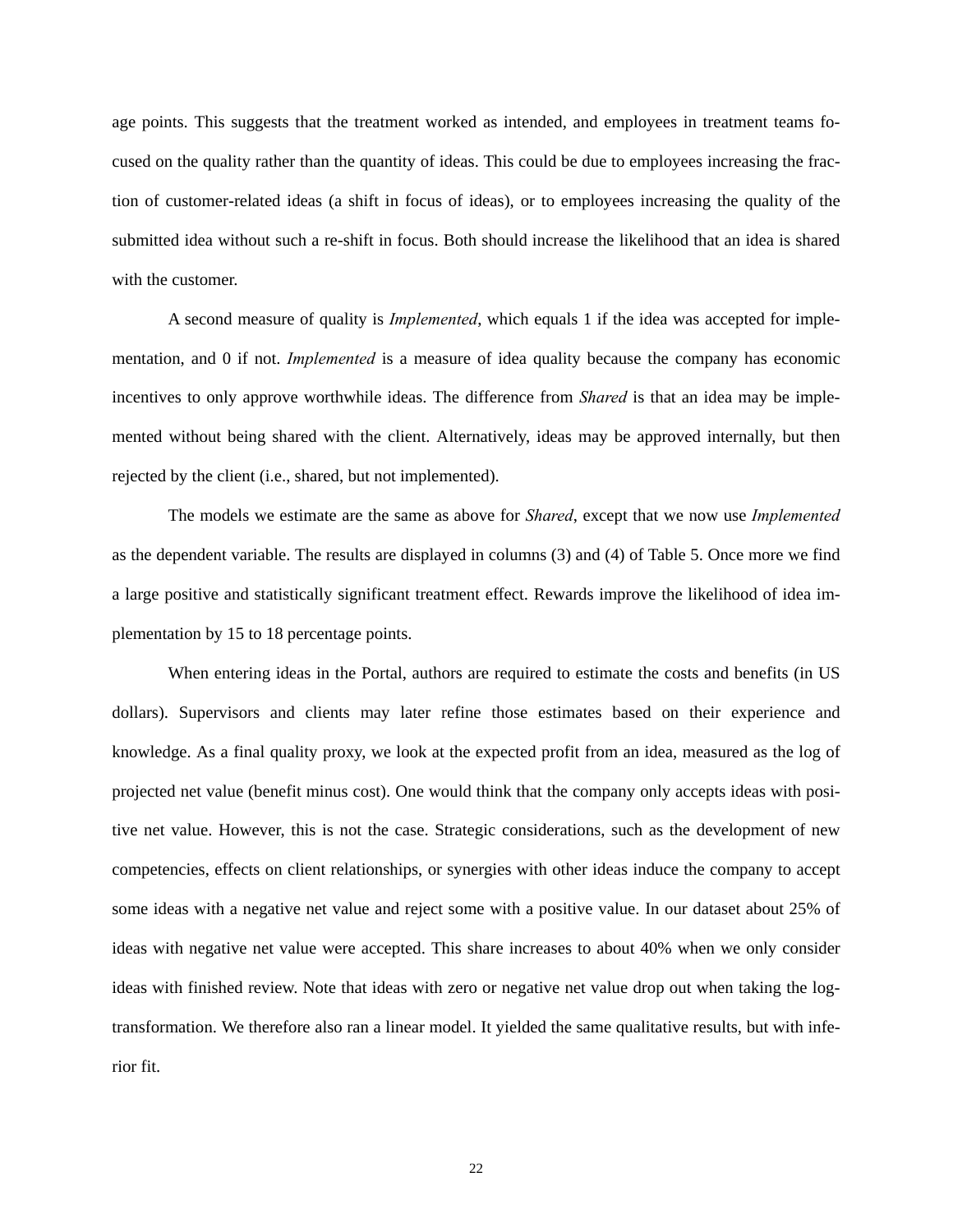age points. This suggests that the treatment worked as intended, and employees in treatment teams focused on the quality rather than the quantity of ideas. This could be due to employees increasing the fraction of customer-related ideas (a shift in focus of ideas), or to employees increasing the quality of the submitted idea without such a re-shift in focus. Both should increase the likelihood that an idea is shared with the customer.

A second measure of quality is *Implemented*, which equals 1 if the idea was accepted for implementation, and 0 if not. *Implemented* is a measure of idea quality because the company has economic incentives to only approve worthwhile ideas. The difference from *Shared* is that an idea may be implemented without being shared with the client. Alternatively, ideas may be approved internally, but then rejected by the client (i.e., shared, but not implemented).

The models we estimate are the same as above for *Shared*, except that we now use *Implemented* as the dependent variable. The results are displayed in columns (3) and (4) of Table 5. Once more we find a large positive and statistically significant treatment effect. Rewards improve the likelihood of idea implementation by 15 to 18 percentage points.

When entering ideas in the Portal, authors are required to estimate the costs and benefits (in US dollars). Supervisors and clients may later refine those estimates based on their experience and knowledge. As a final quality proxy, we look at the expected profit from an idea, measured as the log of projected net value (benefit minus cost). One would think that the company only accepts ideas with positive net value. However, this is not the case. Strategic considerations, such as the development of new competencies, effects on client relationships, or synergies with other ideas induce the company to accept some ideas with a negative net value and reject some with a positive value. In our dataset about 25% of ideas with negative net value were accepted. This share increases to about 40% when we only consider ideas with finished review. Note that ideas with zero or negative net value drop out when taking the logtransformation. We therefore also ran a linear model. It yielded the same qualitative results, but with inferior fit.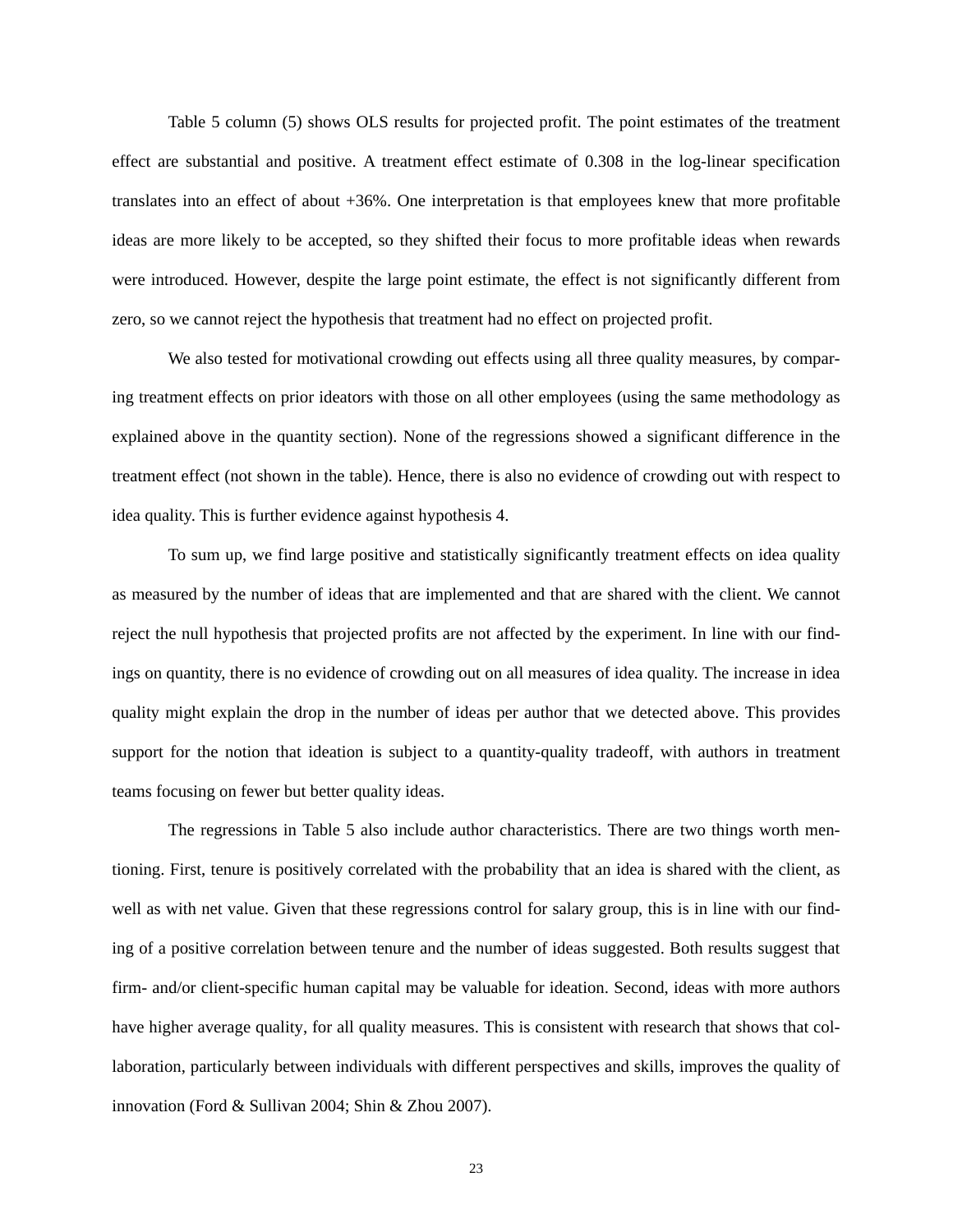Table 5 column (5) shows OLS results for projected profit. The point estimates of the treatment effect are substantial and positive. A treatment effect estimate of 0.308 in the log-linear specification translates into an effect of about +36%. One interpretation is that employees knew that more profitable ideas are more likely to be accepted, so they shifted their focus to more profitable ideas when rewards were introduced. However, despite the large point estimate, the effect is not significantly different from zero, so we cannot reject the hypothesis that treatment had no effect on projected profit.

We also tested for motivational crowding out effects using all three quality measures, by comparing treatment effects on prior ideators with those on all other employees (using the same methodology as explained above in the quantity section). None of the regressions showed a significant difference in the treatment effect (not shown in the table). Hence, there is also no evidence of crowding out with respect to idea quality. This is further evidence against hypothesis 4.

To sum up, we find large positive and statistically significantly treatment effects on idea quality as measured by the number of ideas that are implemented and that are shared with the client. We cannot reject the null hypothesis that projected profits are not affected by the experiment. In line with our findings on quantity, there is no evidence of crowding out on all measures of idea quality. The increase in idea quality might explain the drop in the number of ideas per author that we detected above. This provides support for the notion that ideation is subject to a quantity-quality tradeoff, with authors in treatment teams focusing on fewer but better quality ideas.

The regressions in Table 5 also include author characteristics. There are two things worth mentioning. First, tenure is positively correlated with the probability that an idea is shared with the client, as well as with net value. Given that these regressions control for salary group, this is in line with our finding of a positive correlation between tenure and the number of ideas suggested. Both results suggest that firm- and/or client-specific human capital may be valuable for ideation. Second, ideas with more authors have higher average quality, for all quality measures. This is consistent with research that shows that collaboration, particularly between individuals with different perspectives and skills, improves the quality of innovation (Ford & Sullivan 2004; Shin & Zhou 2007).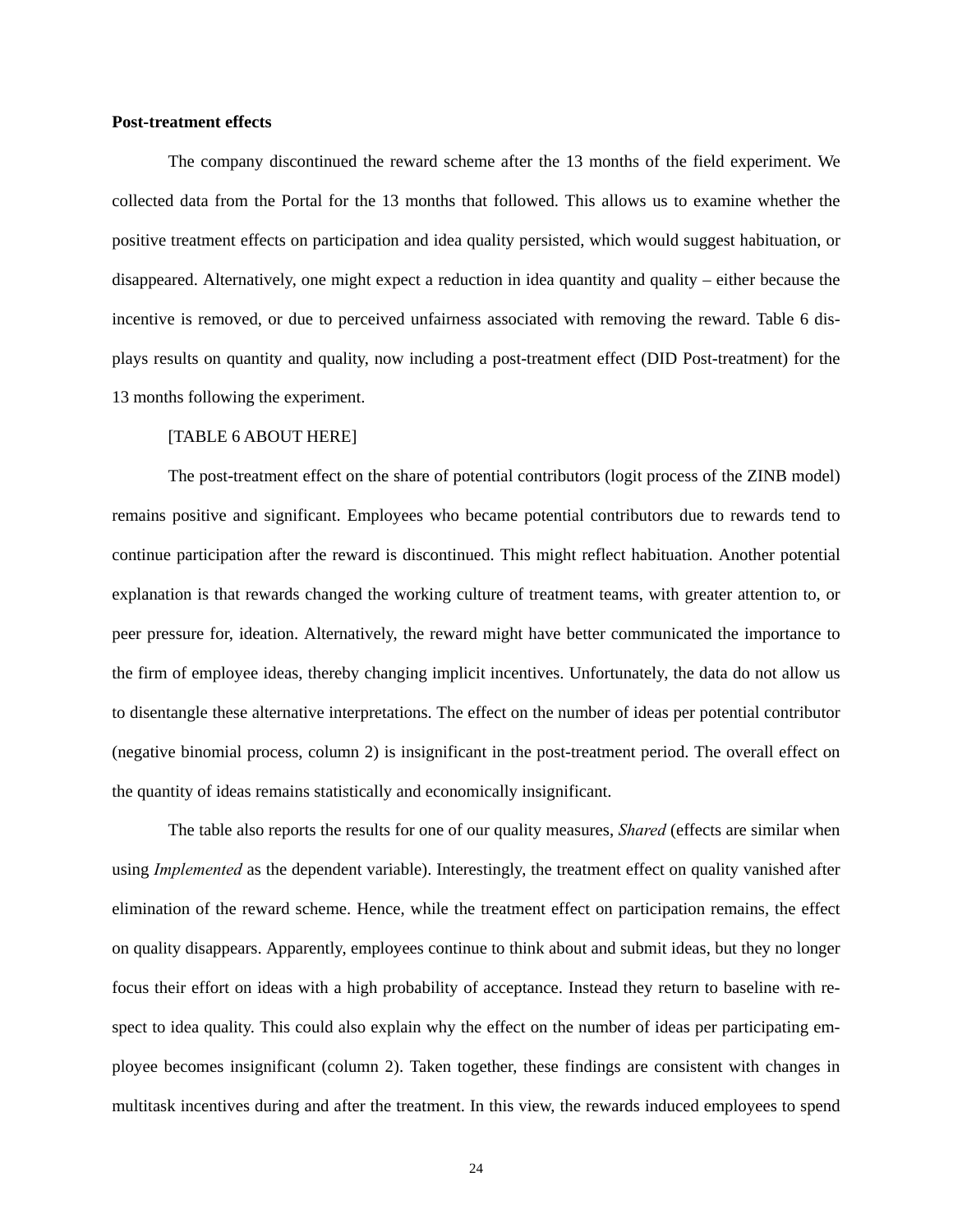#### **Post-treatment effects**

The company discontinued the reward scheme after the 13 months of the field experiment. We collected data from the Portal for the 13 months that followed. This allows us to examine whether the positive treatment effects on participation and idea quality persisted, which would suggest habituation, or disappeared. Alternatively, one might expect a reduction in idea quantity and quality – either because the incentive is removed, or due to perceived unfairness associated with removing the reward. Table 6 displays results on quantity and quality, now including a post-treatment effect (DID Post-treatment) for the 13 months following the experiment.

#### [TABLE 6 ABOUT HERE]

The post-treatment effect on the share of potential contributors (logit process of the ZINB model) remains positive and significant. Employees who became potential contributors due to rewards tend to continue participation after the reward is discontinued. This might reflect habituation. Another potential explanation is that rewards changed the working culture of treatment teams, with greater attention to, or peer pressure for, ideation. Alternatively, the reward might have better communicated the importance to the firm of employee ideas, thereby changing implicit incentives. Unfortunately, the data do not allow us to disentangle these alternative interpretations. The effect on the number of ideas per potential contributor (negative binomial process, column 2) is insignificant in the post-treatment period. The overall effect on the quantity of ideas remains statistically and economically insignificant.

The table also reports the results for one of our quality measures, *Shared* (effects are similar when using *Implemented* as the dependent variable). Interestingly, the treatment effect on quality vanished after elimination of the reward scheme. Hence, while the treatment effect on participation remains, the effect on quality disappears. Apparently, employees continue to think about and submit ideas, but they no longer focus their effort on ideas with a high probability of acceptance. Instead they return to baseline with respect to idea quality. This could also explain why the effect on the number of ideas per participating employee becomes insignificant (column 2). Taken together, these findings are consistent with changes in multitask incentives during and after the treatment. In this view, the rewards induced employees to spend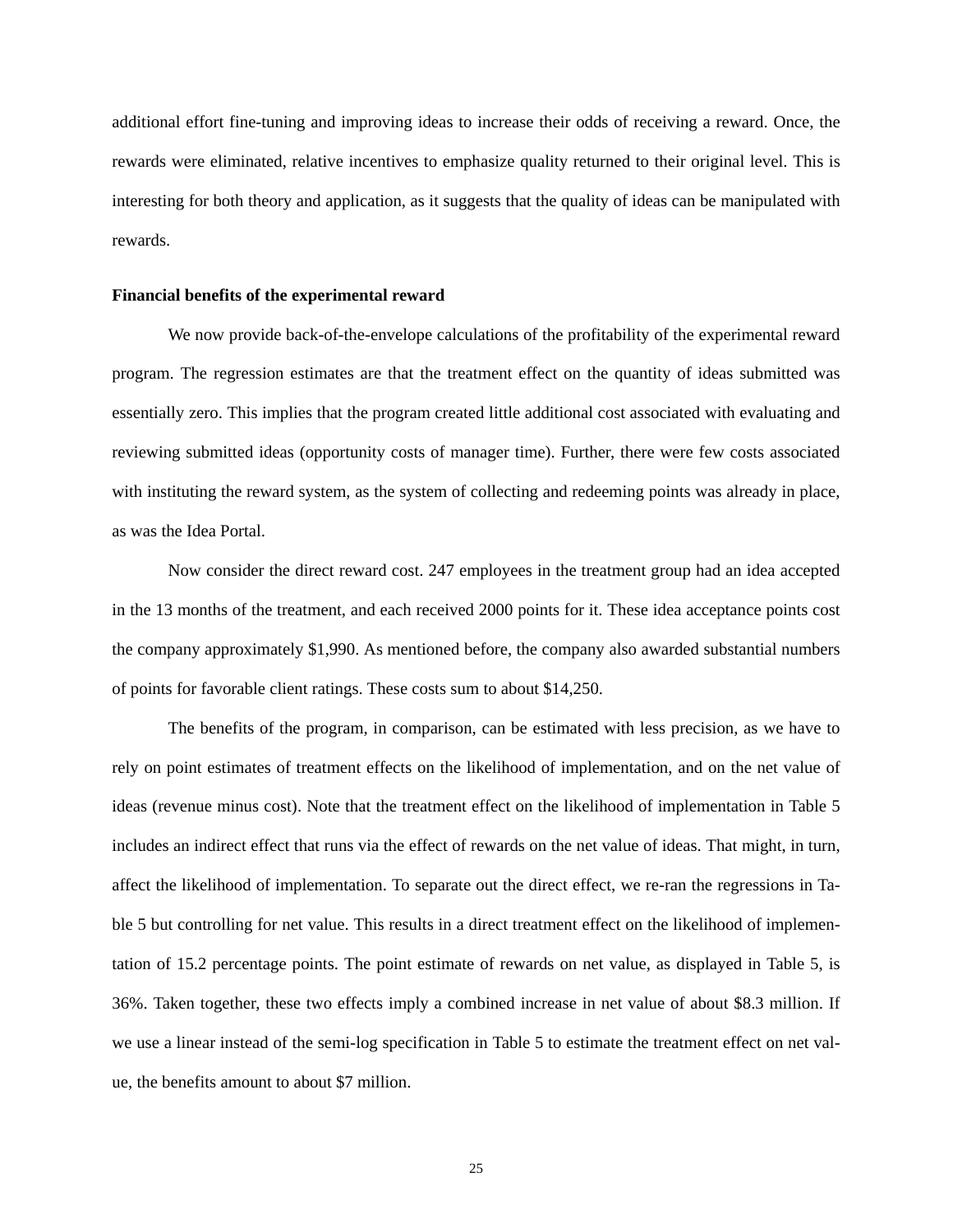additional effort fine-tuning and improving ideas to increase their odds of receiving a reward. Once, the rewards were eliminated, relative incentives to emphasize quality returned to their original level. This is interesting for both theory and application, as it suggests that the quality of ideas can be manipulated with rewards.

#### **Financial benefits of the experimental reward**

We now provide back-of-the-envelope calculations of the profitability of the experimental reward program. The regression estimates are that the treatment effect on the quantity of ideas submitted was essentially zero. This implies that the program created little additional cost associated with evaluating and reviewing submitted ideas (opportunity costs of manager time). Further, there were few costs associated with instituting the reward system, as the system of collecting and redeeming points was already in place, as was the Idea Portal.

Now consider the direct reward cost. 247 employees in the treatment group had an idea accepted in the 13 months of the treatment, and each received 2000 points for it. These idea acceptance points cost the company approximately \$1,990. As mentioned before, the company also awarded substantial numbers of points for favorable client ratings. These costs sum to about \$14,250.

The benefits of the program, in comparison, can be estimated with less precision, as we have to rely on point estimates of treatment effects on the likelihood of implementation, and on the net value of ideas (revenue minus cost). Note that the treatment effect on the likelihood of implementation in Table 5 includes an indirect effect that runs via the effect of rewards on the net value of ideas. That might, in turn, affect the likelihood of implementation. To separate out the direct effect, we re-ran the regressions in Table 5 but controlling for net value. This results in a direct treatment effect on the likelihood of implementation of 15.2 percentage points. The point estimate of rewards on net value, as displayed in Table 5, is 36%. Taken together, these two effects imply a combined increase in net value of about \$8.3 million. If we use a linear instead of the semi-log specification in Table 5 to estimate the treatment effect on net value, the benefits amount to about \$7 million.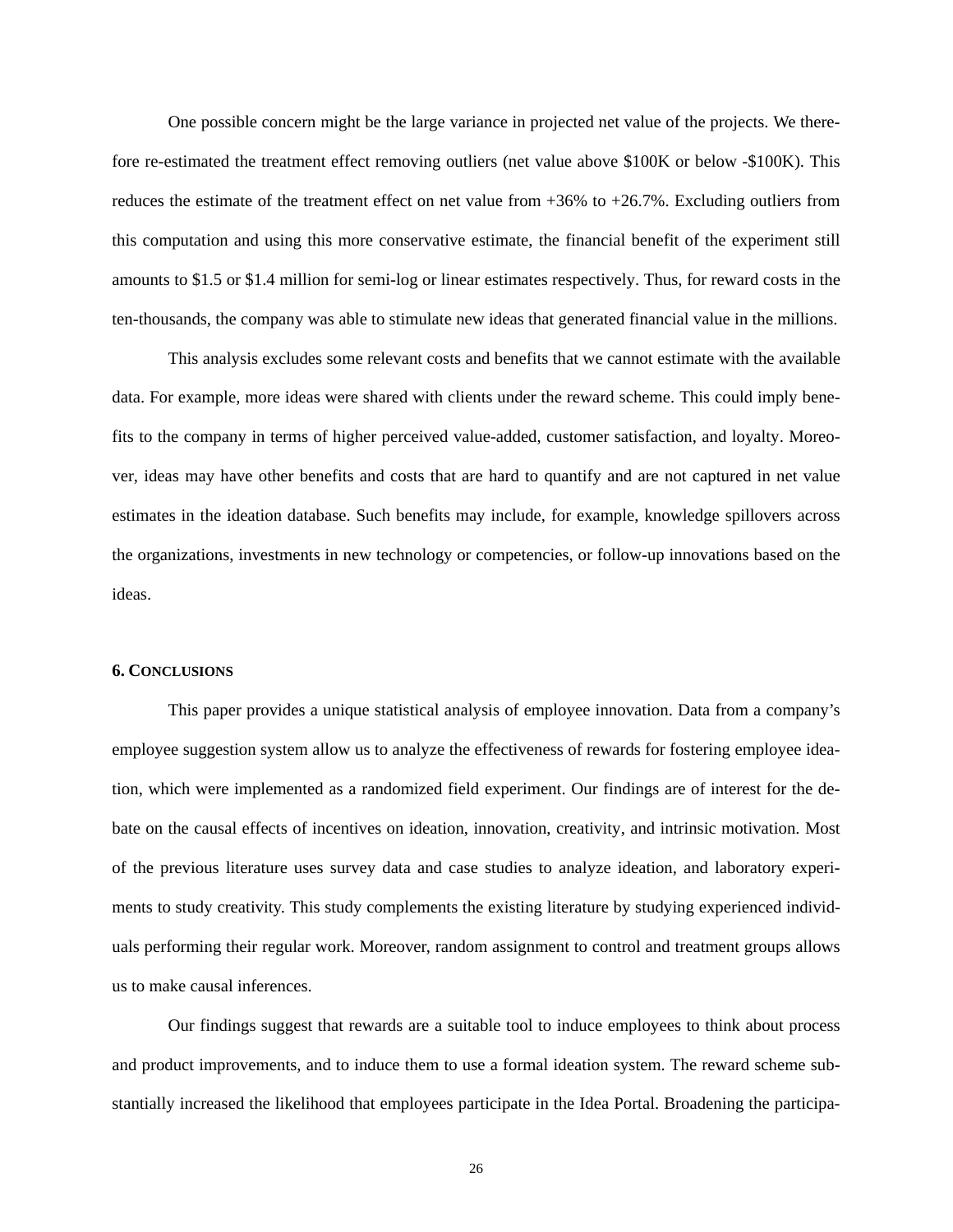One possible concern might be the large variance in projected net value of the projects. We therefore re-estimated the treatment effect removing outliers (net value above \$100K or below -\$100K). This reduces the estimate of the treatment effect on net value from +36% to +26.7%. Excluding outliers from this computation and using this more conservative estimate, the financial benefit of the experiment still amounts to \$1.5 or \$1.4 million for semi-log or linear estimates respectively. Thus, for reward costs in the ten-thousands, the company was able to stimulate new ideas that generated financial value in the millions.

This analysis excludes some relevant costs and benefits that we cannot estimate with the available data. For example, more ideas were shared with clients under the reward scheme. This could imply benefits to the company in terms of higher perceived value-added, customer satisfaction, and loyalty. Moreover, ideas may have other benefits and costs that are hard to quantify and are not captured in net value estimates in the ideation database. Such benefits may include, for example, knowledge spillovers across the organizations, investments in new technology or competencies, or follow-up innovations based on the ideas.

#### **6. CONCLUSIONS**

This paper provides a unique statistical analysis of employee innovation. Data from a company's employee suggestion system allow us to analyze the effectiveness of rewards for fostering employee ideation, which were implemented as a randomized field experiment. Our findings are of interest for the debate on the causal effects of incentives on ideation, innovation, creativity, and intrinsic motivation. Most of the previous literature uses survey data and case studies to analyze ideation, and laboratory experiments to study creativity. This study complements the existing literature by studying experienced individuals performing their regular work. Moreover, random assignment to control and treatment groups allows us to make causal inferences.

Our findings suggest that rewards are a suitable tool to induce employees to think about process and product improvements, and to induce them to use a formal ideation system. The reward scheme substantially increased the likelihood that employees participate in the Idea Portal. Broadening the participa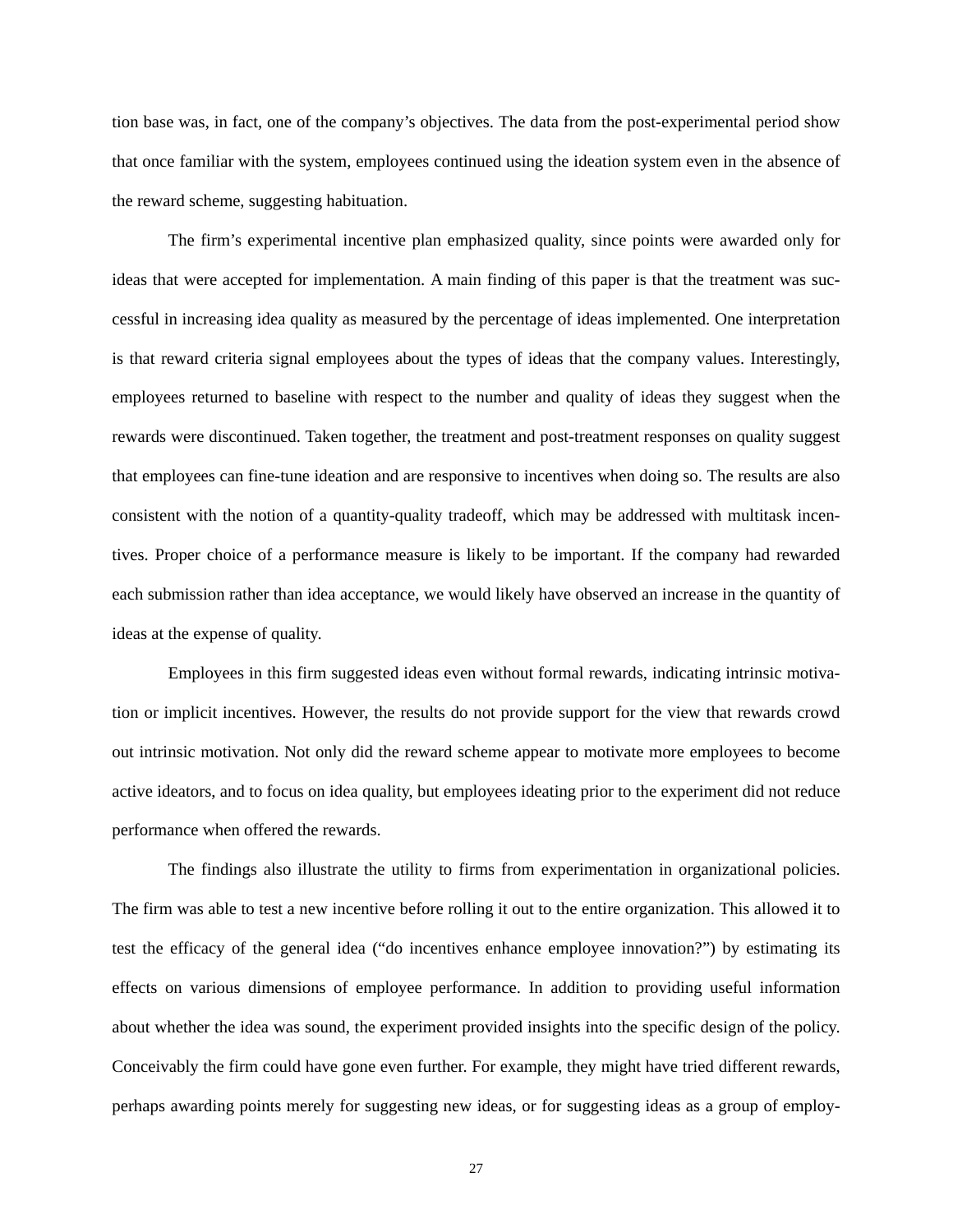tion base was, in fact, one of the company's objectives. The data from the post-experimental period show that once familiar with the system, employees continued using the ideation system even in the absence of the reward scheme, suggesting habituation.

The firm's experimental incentive plan emphasized quality, since points were awarded only for ideas that were accepted for implementation. A main finding of this paper is that the treatment was successful in increasing idea quality as measured by the percentage of ideas implemented. One interpretation is that reward criteria signal employees about the types of ideas that the company values. Interestingly, employees returned to baseline with respect to the number and quality of ideas they suggest when the rewards were discontinued. Taken together, the treatment and post-treatment responses on quality suggest that employees can fine-tune ideation and are responsive to incentives when doing so. The results are also consistent with the notion of a quantity-quality tradeoff, which may be addressed with multitask incentives. Proper choice of a performance measure is likely to be important. If the company had rewarded each submission rather than idea acceptance, we would likely have observed an increase in the quantity of ideas at the expense of quality.

Employees in this firm suggested ideas even without formal rewards, indicating intrinsic motivation or implicit incentives. However, the results do not provide support for the view that rewards crowd out intrinsic motivation. Not only did the reward scheme appear to motivate more employees to become active ideators, and to focus on idea quality, but employees ideating prior to the experiment did not reduce performance when offered the rewards.

The findings also illustrate the utility to firms from experimentation in organizational policies. The firm was able to test a new incentive before rolling it out to the entire organization. This allowed it to test the efficacy of the general idea ("do incentives enhance employee innovation?") by estimating its effects on various dimensions of employee performance. In addition to providing useful information about whether the idea was sound, the experiment provided insights into the specific design of the policy. Conceivably the firm could have gone even further. For example, they might have tried different rewards, perhaps awarding points merely for suggesting new ideas, or for suggesting ideas as a group of employ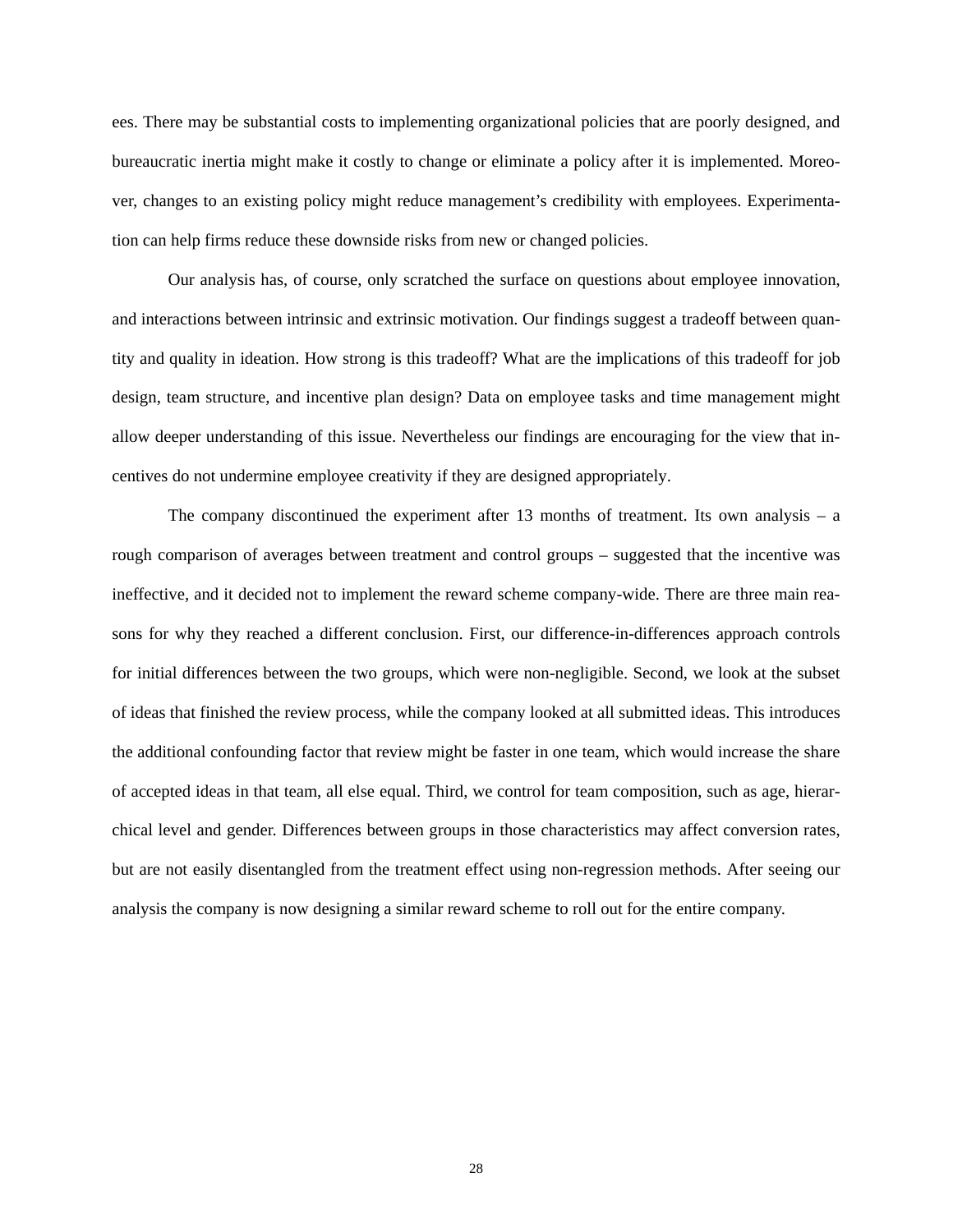ees. There may be substantial costs to implementing organizational policies that are poorly designed, and bureaucratic inertia might make it costly to change or eliminate a policy after it is implemented. Moreover, changes to an existing policy might reduce management's credibility with employees. Experimentation can help firms reduce these downside risks from new or changed policies.

Our analysis has, of course, only scratched the surface on questions about employee innovation, and interactions between intrinsic and extrinsic motivation. Our findings suggest a tradeoff between quantity and quality in ideation. How strong is this tradeoff? What are the implications of this tradeoff for job design, team structure, and incentive plan design? Data on employee tasks and time management might allow deeper understanding of this issue. Nevertheless our findings are encouraging for the view that incentives do not undermine employee creativity if they are designed appropriately.

The company discontinued the experiment after 13 months of treatment. Its own analysis – a rough comparison of averages between treatment and control groups – suggested that the incentive was ineffective, and it decided not to implement the reward scheme company-wide. There are three main reasons for why they reached a different conclusion. First, our difference-in-differences approach controls for initial differences between the two groups, which were non-negligible. Second, we look at the subset of ideas that finished the review process, while the company looked at all submitted ideas. This introduces the additional confounding factor that review might be faster in one team, which would increase the share of accepted ideas in that team, all else equal. Third, we control for team composition, such as age, hierarchical level and gender. Differences between groups in those characteristics may affect conversion rates, but are not easily disentangled from the treatment effect using non-regression methods. After seeing our analysis the company is now designing a similar reward scheme to roll out for the entire company.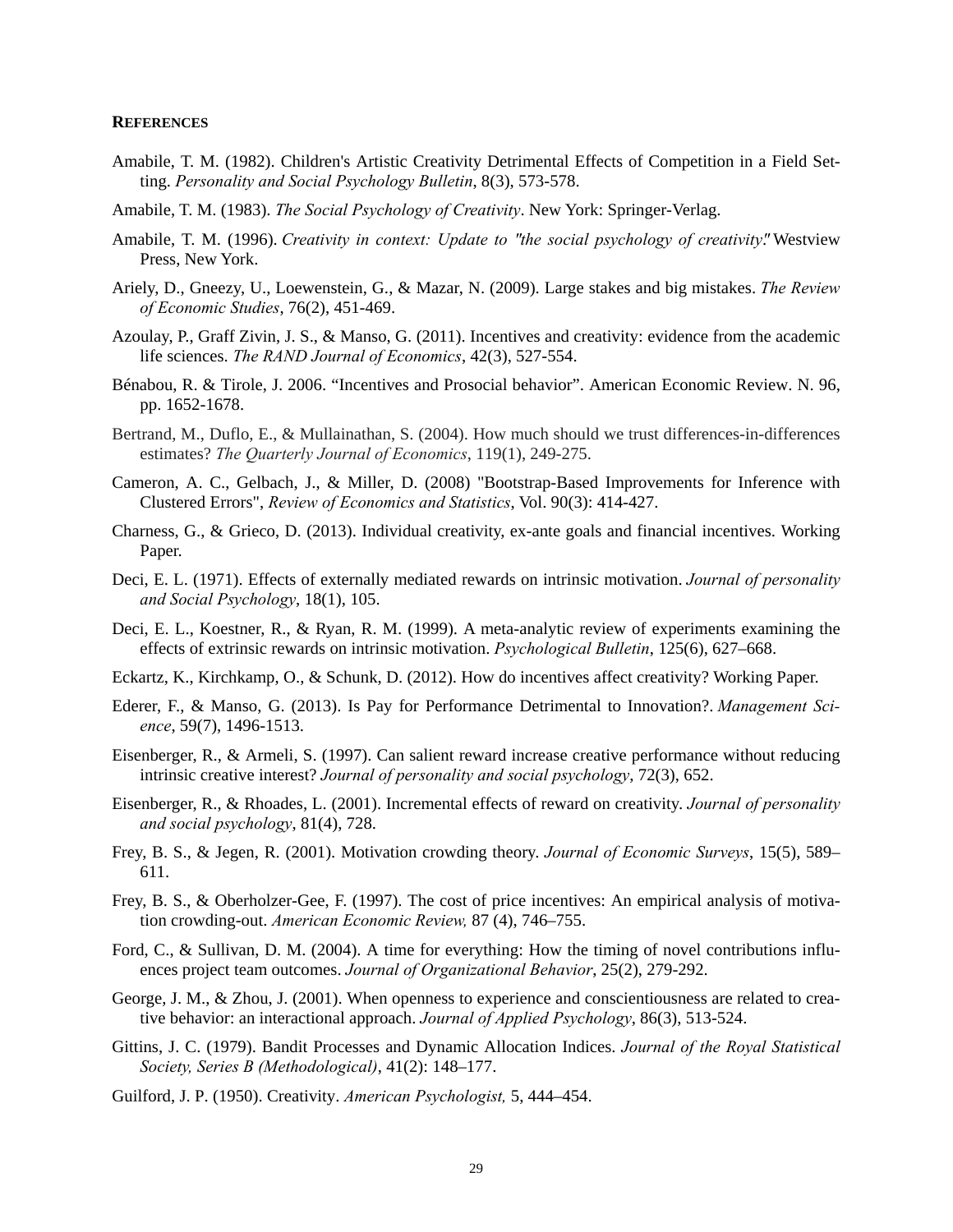#### **REFERENCES**

- Amabile, T. M. (1982). Children's Artistic Creativity Detrimental Effects of Competition in a Field Setting. *Personality and Social Psychology Bulletin*, 8(3), 573-578.
- Amabile, T. M. (1983). *The Social Psychology of Creativity*. New York: Springer-Verlag.
- Amabile, T. M. (1996). *Creativity in context: Update to " the social psychology of creativity"*. Westview Press, New York.
- Ariely, D., Gneezy, U., Loewenstein, G., & Mazar, N. (2009). Large stakes and big mistakes. *The Review of Economic Studies*, 76(2), 451-469.
- Azoulay, P., Graff Zivin, J. S., & Manso, G. (2011). Incentives and creativity: evidence from the academic life sciences. *The RAND Journal of Economics*, 42(3), 527-554.
- Bénabou, R. & Tirole, J. 2006. "Incentives and Prosocial behavior". American Economic Review. N. 96, pp. 1652-1678.
- Bertrand, M., Duflo, E., & Mullainathan, S. (2004). How much should we trust differences-in-differences estimates? *The Quarterly Journal of Economics*, 119(1), 249-275.
- Cameron, A. C., Gelbach, J., & Miller, D. (2008) "Bootstrap-Based Improvements for Inference with Clustered Errors", *Review of Economics and Statistics*, Vol. 90(3): 414-427.
- Charness, G., & Grieco, D. (2013). Individual creativity, ex-ante goals and financial incentives. Working Paper.
- Deci, E. L. (1971). Effects of externally mediated rewards on intrinsic motivation. *Journal of personality and Social Psychology*, 18(1), 105.
- Deci, E. L., Koestner, R., & Ryan, R. M. (1999). A meta-analytic review of experiments examining the effects of extrinsic rewards on intrinsic motivation. *Psychological Bulletin*, 125(6), 627–668.
- Eckartz, K., Kirchkamp, O., & Schunk, D. (2012). How do incentives affect creativity? Working Paper.
- Ederer, F., & Manso, G. (2013). Is Pay for Performance Detrimental to Innovation?. *Management Science*, 59(7), 1496-1513.
- Eisenberger, R., & Armeli, S. (1997). Can salient reward increase creative performance without reducing intrinsic creative interest? *Journal of personality and social psychology*, 72(3), 652.
- Eisenberger, R., & Rhoades, L. (2001). Incremental effects of reward on creativity. *Journal of personality and social psychology*, 81(4), 728.
- Frey, B. S., & Jegen, R. (2001). Motivation crowding theory. *Journal of Economic Surveys*, 15(5), 589– 611.
- Frey, B. S., & Oberholzer-Gee, F. (1997). The cost of price incentives: An empirical analysis of motivation crowding-out. *American Economic Review,* 87 (4), 746–755.
- Ford, C., & Sullivan, D. M. (2004). A time for everything: How the timing of novel contributions influences project team outcomes. *Journal of Organizational Behavior*, 25(2), 279-292.
- George, J. M., & Zhou, J. (2001). When openness to experience and conscientiousness are related to creative behavior: an interactional approach. *Journal of Applied Psychology*, 86(3), 513-524.
- Gittins, J. C. (1979). Bandit Processes and Dynamic Allocation Indices. *Journal of the Royal Statistical Society, Series B (Methodological)*, 41(2): 148–177.
- Guilford, J. P. (1950). Creativity. *American Psychologist,* 5, 444–454.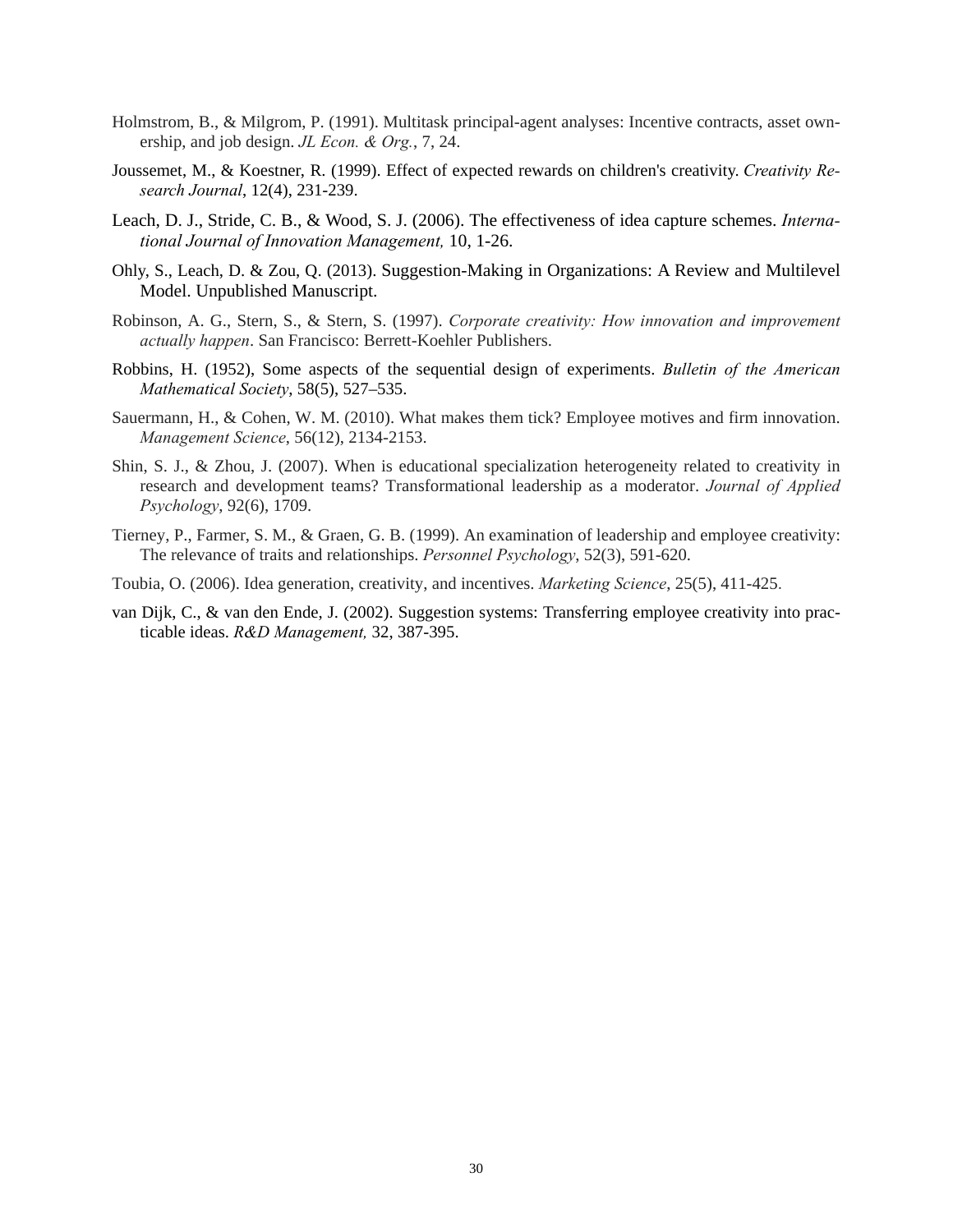- Holmstrom, B., & Milgrom, P. (1991). Multitask principal-agent analyses: Incentive contracts, asset ownership, and job design. *JL Econ. & Org.*, 7, 24.
- Joussemet, M., & Koestner, R. (1999). Effect of expected rewards on children's creativity. *Creativity Research Journal*, 12(4), 231-239.
- Leach, D. J., Stride, C. B., & Wood, S. J. (2006). The effectiveness of idea capture schemes. *International Journal of Innovation Management,* 10, 1-26.
- Ohly, S., Leach, D. & Zou, Q. (2013). Suggestion-Making in Organizations: A Review and Multilevel Model. Unpublished Manuscript.
- Robinson, A. G., Stern, S., & Stern, S. (1997). *Corporate creativity: How innovation and improvement actually happen*. San Francisco: Berrett-Koehler Publishers.
- Robbins, H. (1952), Some aspects of the sequential design of experiments. *Bulletin of the American Mathematical Society*, 58(5), 527–535.
- Sauermann, H., & Cohen, W. M. (2010). What makes them tick? Employee motives and firm innovation. *Management Science*, 56(12), 2134-2153.
- Shin, S. J., & Zhou, J. (2007). When is educational specialization heterogeneity related to creativity in research and development teams? Transformational leadership as a moderator. *Journal of Applied Psychology*, 92(6), 1709.
- Tierney, P., Farmer, S. M., & Graen, G. B. (1999). An examination of leadership and employee creativity: The relevance of traits and relationships. *Personnel Psychology*, 52(3), 591-620.
- Toubia, O. (2006). Idea generation, creativity, and incentives. *Marketing Science*, 25(5), 411-425.
- van Dijk, C., & van den Ende, J. (2002). Suggestion systems: Transferring employee creativity into practicable ideas. *R&D Management,* 32, 387-395.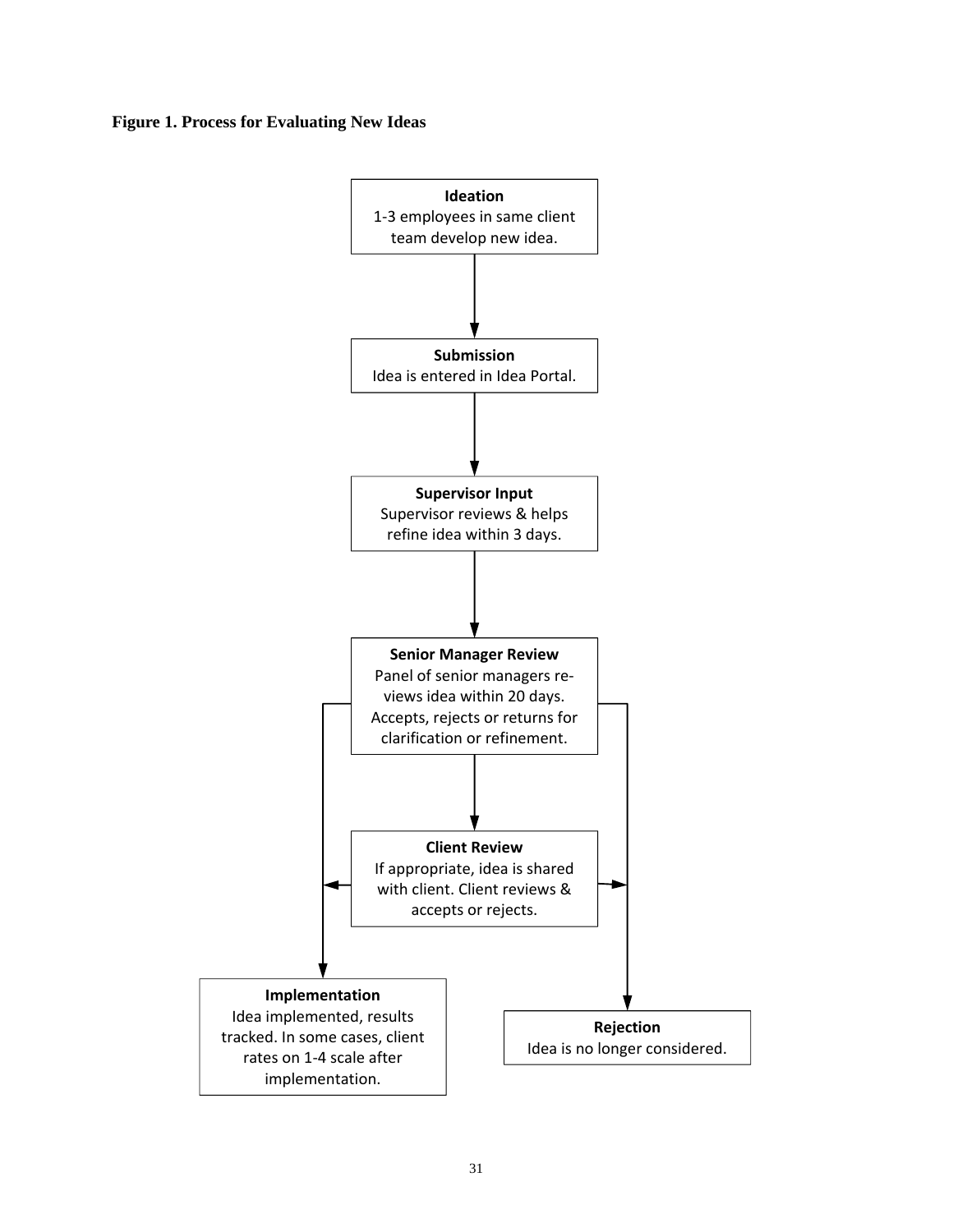#### **Figure 1. Process for Evaluating New Ideas**

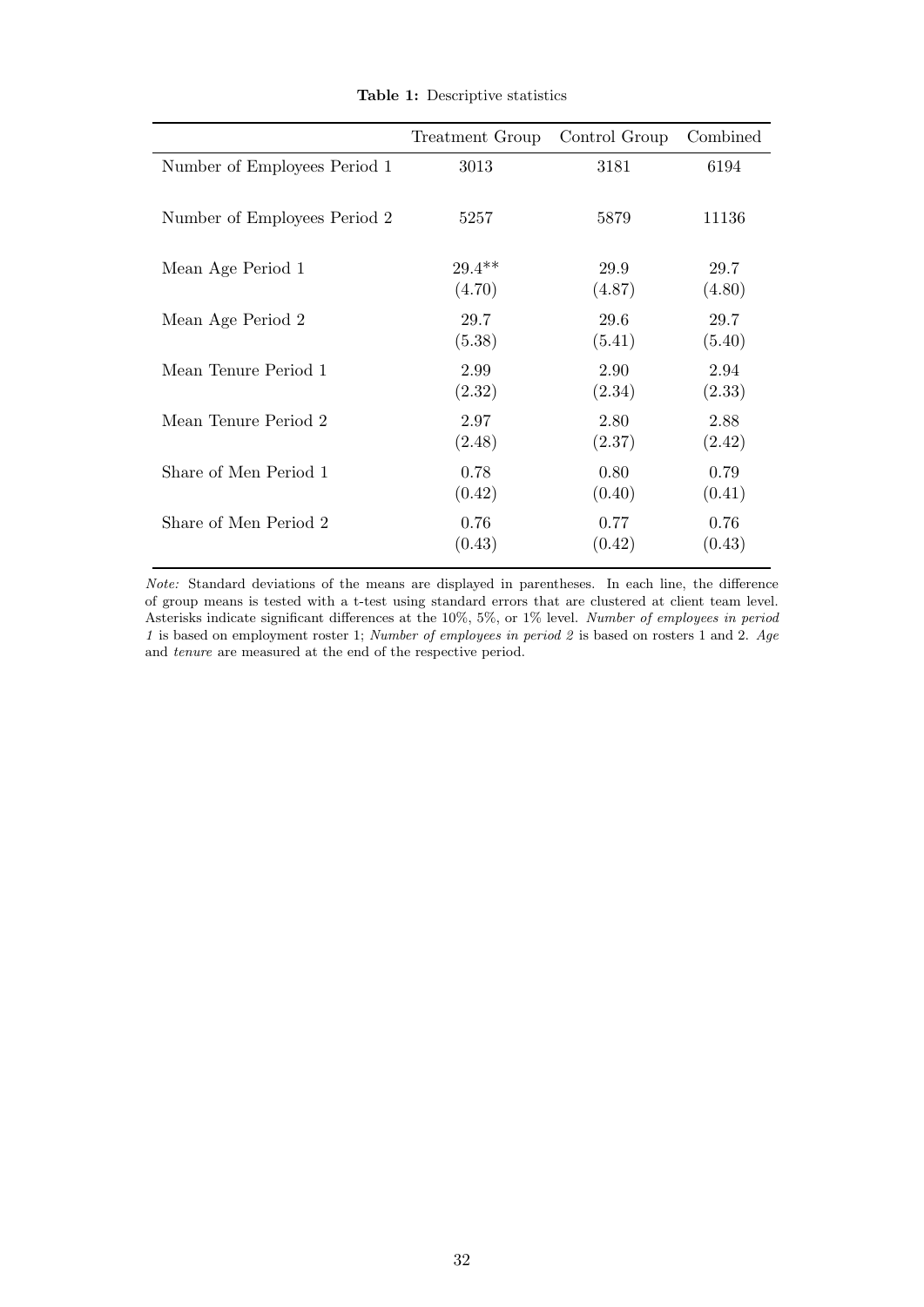|                              | Treatment Group | Control Group | Combined |
|------------------------------|-----------------|---------------|----------|
| Number of Employees Period 1 | 3013            | 3181          | 6194     |
| Number of Employees Period 2 | 5257            | 5879          | 11136    |
| Mean Age Period 1            | $29.4**$        | 29.9          | 29.7     |
|                              | (4.70)          | (4.87)        | (4.80)   |
| Mean Age Period 2            | 29.7            | 29.6          | 29.7     |
|                              | (5.38)          | (5.41)        | (5.40)   |
| Mean Tenure Period 1         | 2.99            | 2.90          | 2.94     |
|                              | (2.32)          | (2.34)        | (2.33)   |
| Mean Tenure Period 2         | 2.97            | 2.80          | 2.88     |
|                              | (2.48)          | (2.37)        | (2.42)   |
| Share of Men Period 1        | 0.78            | 0.80          | 0.79     |
|                              | (0.42)          | (0.40)        | (0.41)   |
| Share of Men Period 2        | 0.76            | 0.77          | 0.76     |
|                              | (0.43)          | (0.42)        | (0.43)   |

Table 1: Descriptive statistics

Note: Standard deviations of the means are displayed in parentheses. In each line, the difference of group means is tested with a t-test using standard errors that are clustered at client team level. Asterisks indicate significant differences at the 10%, 5%, or 1% level. Number of employees in period 1 is based on employment roster 1; Number of employees in period 2 is based on rosters 1 and 2. Age and tenure are measured at the end of the respective period.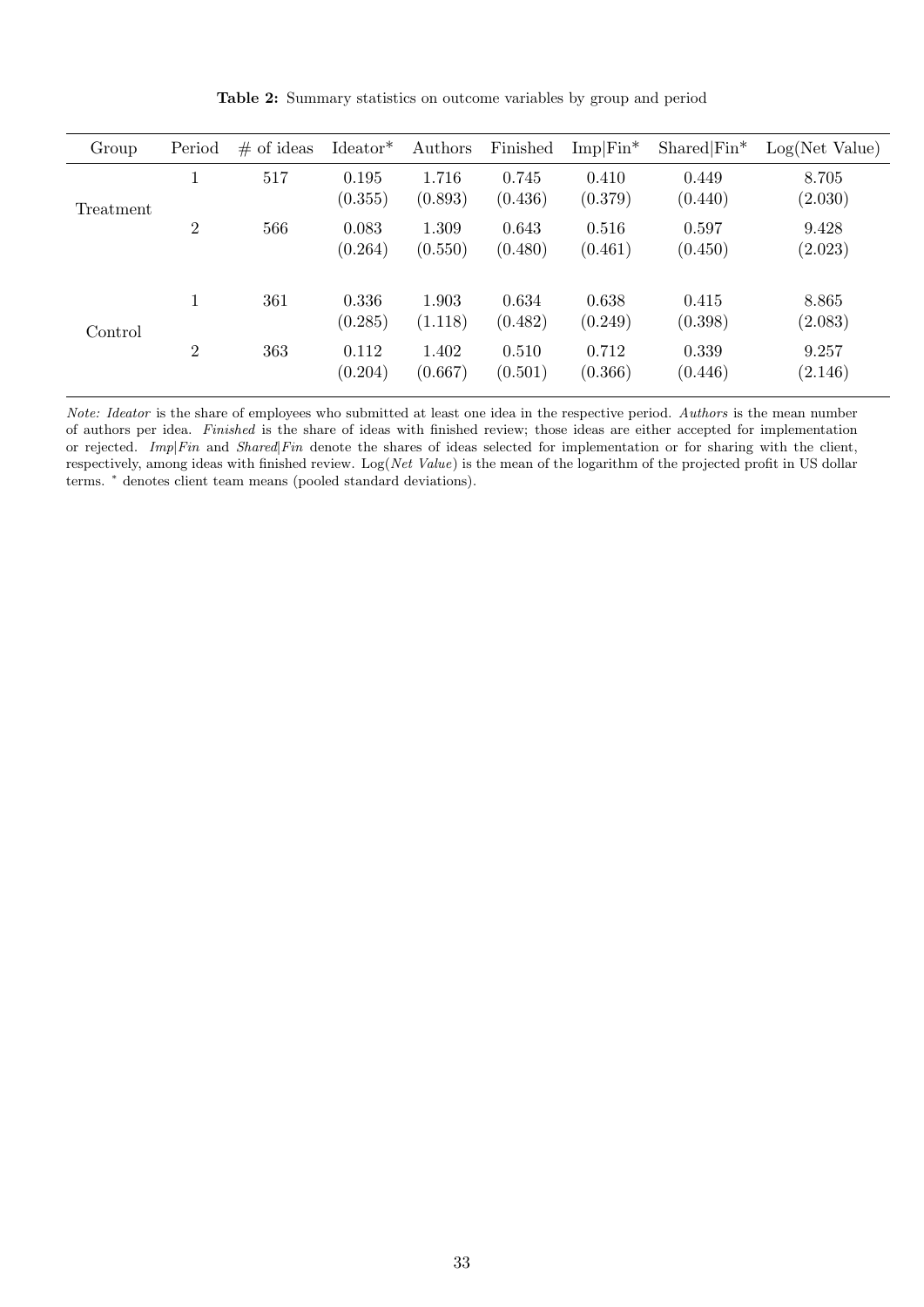| Group     | Period         | $#$ of ideas | $Ideator*$       | Authors          | Finished         | $Imp Fin^*$      | $Shared Fin^*$   | Log(Net Value)   |
|-----------|----------------|--------------|------------------|------------------|------------------|------------------|------------------|------------------|
| Treatment | T              | 517          | 0.195<br>(0.355) | 1.716<br>(0.893) | 0.745<br>(0.436) | 0.410<br>(0.379) | 0.449<br>(0.440) | 8.705<br>(2.030) |
|           | $\overline{2}$ | 566          | 0.083<br>(0.264) | 1.309<br>(0.550) | 0.643<br>(0.480) | 0.516<br>(0.461) | 0.597<br>(0.450) | 9.428<br>(2.023) |
| Control   |                | 361          | 0.336<br>(0.285) | 1.903<br>(1.118) | 0.634<br>(0.482) | 0.638<br>(0.249) | 0.415<br>(0.398) | 8.865<br>(2.083) |
|           | $\overline{2}$ | 363          | 0.112<br>(0.204) | 1.402<br>(0.667) | 0.510<br>(0.501) | 0.712<br>(0.366) | 0.339<br>(0.446) | 9.257<br>(2.146) |

Table 2: Summary statistics on outcome variables by group and period

Note: Ideator is the share of employees who submitted at least one idea in the respective period. Authors is the mean number of authors per idea. Finished is the share of ideas with finished review; those ideas are either accepted for implementation or rejected. Imp|Fin and Shared|Fin denote the shares of ideas selected for implementation or for sharing with the client, respectively, among ideas with finished review. Log(Net Value) is the mean of the logarithm of the projected profit in US dollar terms. <sup>∗</sup> denotes client team means (pooled standard deviations).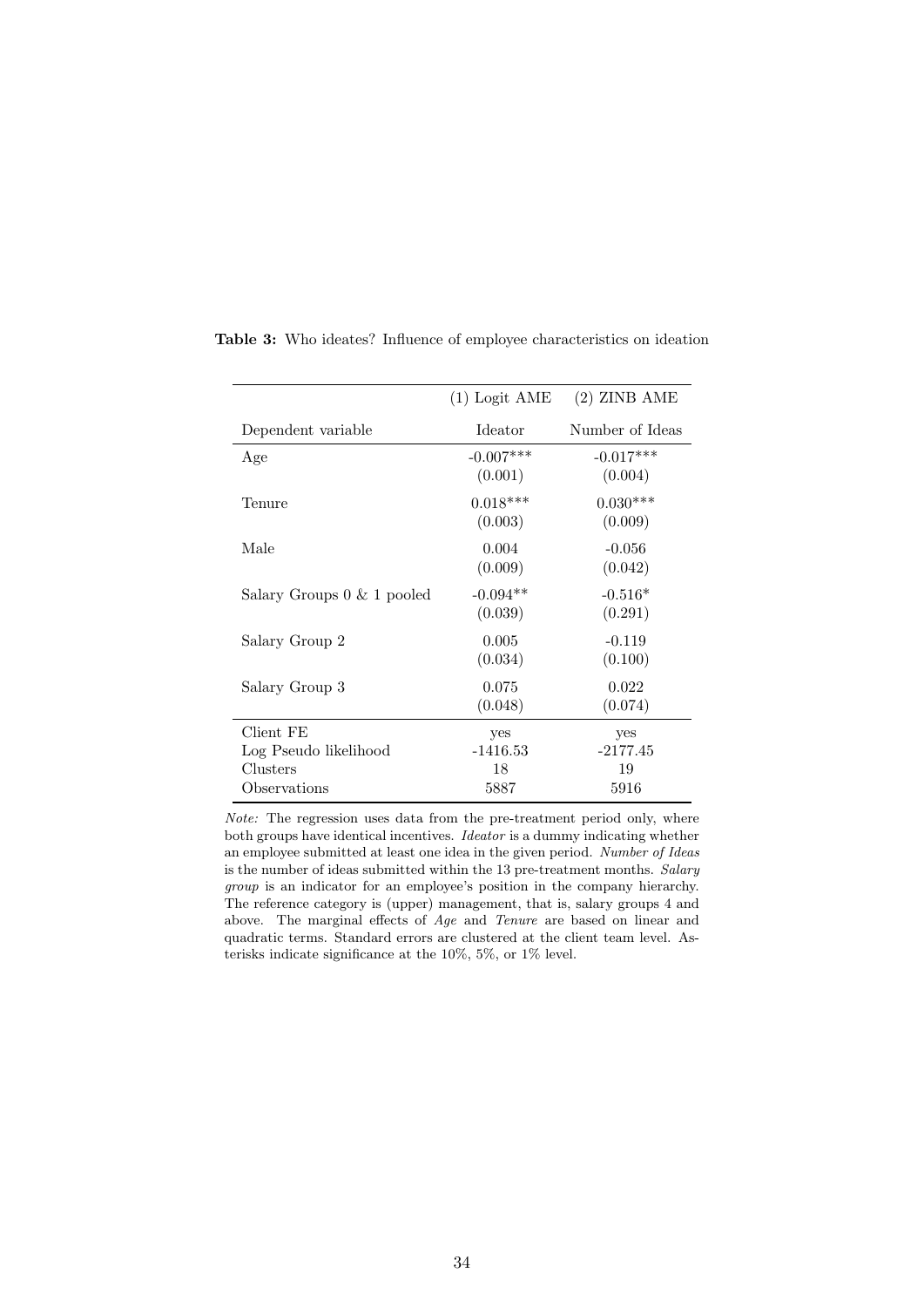|                               | $(1)$ Logit AME        | $(2)$ ZINB AME         |
|-------------------------------|------------------------|------------------------|
| Dependent variable            | <b>I</b> deator        | Number of Ideas        |
| Age                           | $-0.007***$<br>(0.001) | $-0.017***$<br>(0.004) |
| Tenure                        | $0.018***$<br>(0.003)  | $0.030***$<br>(0.009)  |
| Male                          | 0.004<br>(0.009)       | $-0.056$<br>(0.042)    |
| Salary Groups $0 \& 1$ pooled | $-0.094**$<br>(0.039)  | $-0.516*$<br>(0.291)   |
| Salary Group 2                | 0.005<br>(0.034)       | $-0.119$<br>(0.100)    |
| Salary Group 3                | 0.075<br>(0.048)       | 0.022<br>(0.074)       |
| Client FE                     | yes                    | yes                    |
| Log Pseudo likelihood         | $-1416.53$             | $-2177.45$             |
| Clusters<br>Observations      | 18<br>5887             | 19<br>5916             |

Table 3: Who ideates? Influence of employee characteristics on ideation

Note: The regression uses data from the pre-treatment period only, where both groups have identical incentives. Ideator is a dummy indicating whether an employee submitted at least one idea in the given period. Number of Ideas is the number of ideas submitted within the 13 pre-treatment months. Salary group is an indicator for an employee's position in the company hierarchy. The reference category is (upper) management, that is, salary groups 4 and above. The marginal effects of Age and Tenure are based on linear and quadratic terms. Standard errors are clustered at the client team level. Asterisks indicate significance at the 10%, 5%, or 1% level.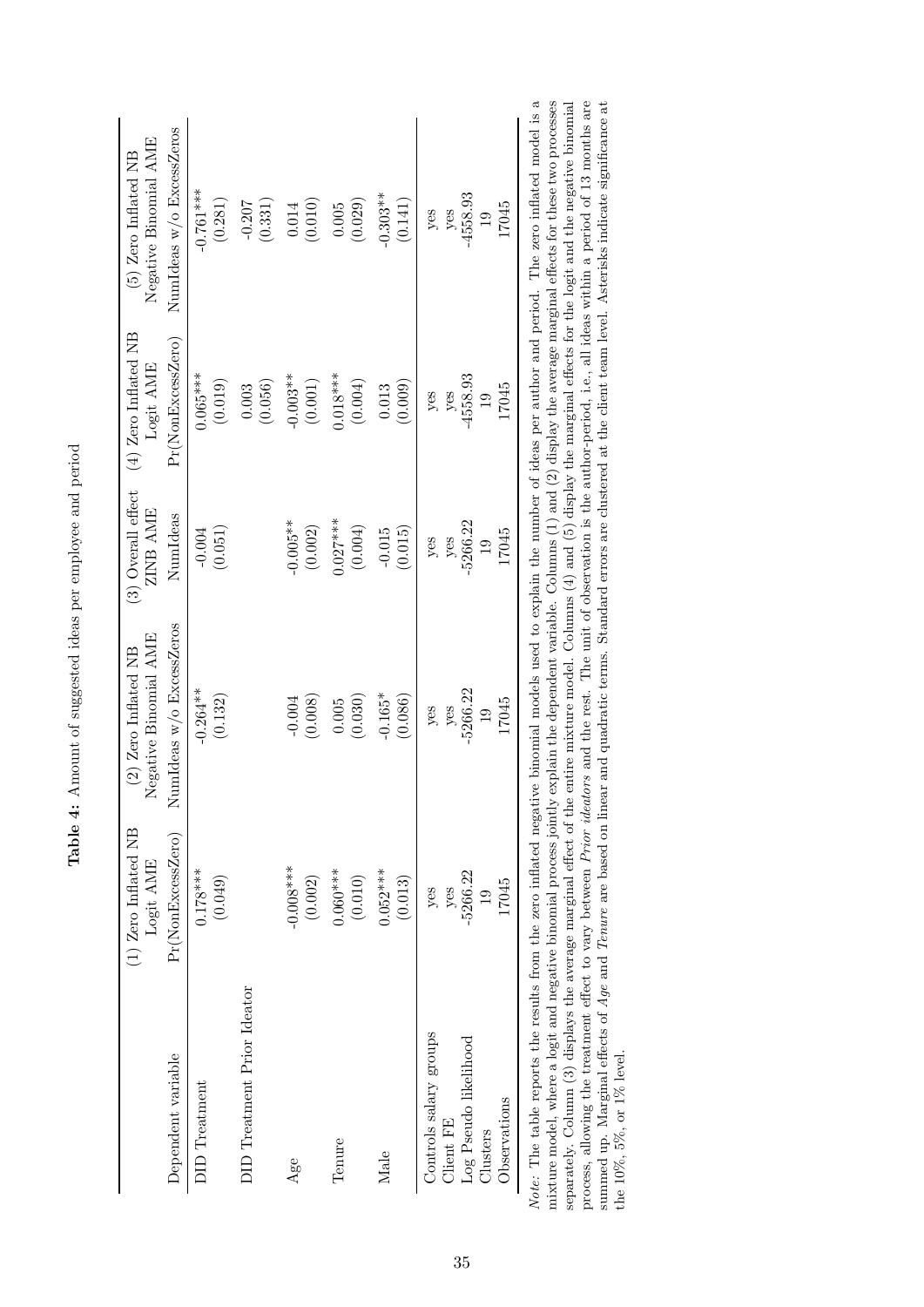|                                                                                                                                                                         | (1) Zero Inflated NB | Negative Binomial AME    | $(3)$ Overall effect | $(4)$ Zero Inflated NB | Negative Binomial AME    |
|-------------------------------------------------------------------------------------------------------------------------------------------------------------------------|----------------------|--------------------------|----------------------|------------------------|--------------------------|
|                                                                                                                                                                         | Logit AME            | $(2)$ Zero Inflated NB   | ZINB AME             | Logit AME              | $(5)$ Zero Inflated NB   |
| Dependent variable                                                                                                                                                      | Pr(NonExcessZero)    | NumIdeas w/o ExcessZeros | NumIdeas             | Pr(NonExcessZero)      | NumIdeas w/o ExcessZeros |
| <b>DID</b> Treatment                                                                                                                                                    | $0.178***$           | $-0.264***$              | (0.051)              | $0.065***$             | $-0.761***$              |
|                                                                                                                                                                         | (0.049)              | (0.132)                  | $-0.004$             | (0.019)                | (0.281)                  |
| DID Treatment Prior Ideator                                                                                                                                             |                      |                          |                      | (0.056)<br>$0.003\,$   | (0.331)<br>$-0.207$      |
| Age                                                                                                                                                                     | $-0.008***$          | (0.008)                  | $-0.005**$           | $-0.003**$             | (0.010)                  |
|                                                                                                                                                                         | (0.002)              | $-0.004$                 | (0.002)              | (0.001)                | 0.014                    |
| Tenure                                                                                                                                                                  | $0.060***$           | (0.030)                  | $0.027***$           | $0.018***$             | (0.029)                  |
|                                                                                                                                                                         | (0.010)              | 0.005                    | (0.004)              | (0.004)                | 0.005                    |
| Male                                                                                                                                                                    | $0.052***$           | $-0.165*$                | (0.015)              | (0.009)                | $-0.303**$               |
|                                                                                                                                                                         | (0.013)              | (0.086)                  | $-0.015$             | 0.013                  | (0.141)                  |
| Controls salary groups                                                                                                                                                  | $-5266.22$           | $-5266.22$               | -5266.22             | $-4558.93$             | $-4558.93$               |
| Log Pseudo likelihood                                                                                                                                                   | 17045                | 17045                    | 17045                | 17045                  | 17045                    |
| Observations                                                                                                                                                            | $y$ es               | yes                      | yes                  | yes                    | yes                      |
| Client FE                                                                                                                                                               | yes                  | yes                      | yes                  | yes                    | yes                      |
| Clusters                                                                                                                                                                | $\frac{1}{2}$        | $\frac{1}{2}$            | $\frac{1}{2}$        | $\overline{0}$         | $\overline{0}$           |
| te: The table reports the results from the zero inflated negative binomial models used to explain the number of ideas per author and period. The zero inflated model is |                      |                          |                      |                        |                          |

| l                                                     |
|-------------------------------------------------------|
| ł.                                                    |
| i                                                     |
|                                                       |
| J<br>l                                                |
| ׇ֠<br>i<br>l<br>j                                     |
| Ĺ                                                     |
| j                                                     |
| t of surrected idea ner emploiee and neriod<br>١<br>i |
| ı<br>ć<br>١                                           |
| i<br>i<br>Í<br>Í                                      |
| i<br>ï                                                |
| $\frac{1}{6}$<br>l                                    |
| E                                                     |

mixture model, where a logit and negative binomial process jointly explain the dependent variable. Columns (1) and (2) display the average marginal effects for these two processes separately. Column (3) displays the avera  $\mathbf{\tilde{a}}$ Note: The table reports the results from the zero inflated negative binomial models used to explain the number of ideas per author and period. The zero inflated model is a summed up. Marginal effects of Age and Tenure are based on linear and quadratic terms. Standard errors are clustered at the client team level. Asterisks indicate significance at such as the standard errors are clustered at mixture model, where a logit and negative binomial process jointly explain the dependent variable. Columns (1) and (2) display the average marginal effects for these two processes separately. Column (3) displays the average marginal effect of the entire mixture model. Columns (4) and (5) display the marginal effects for the logit and the negative binomial process, allowing the treatment effect to vary between *Prior ideators* and the rest. The unit of observation is the author-period, i.e., all ideas within a period of 13 months are summed up. Marginal effects of Age and Tenure are based on linear and quadratic terms. Standard errors are clustered at the client team level. Asterisks indicate significance at the 10%,  $5\%$ , or 1% level. the 10%, 5%, or 1% level.  $Not$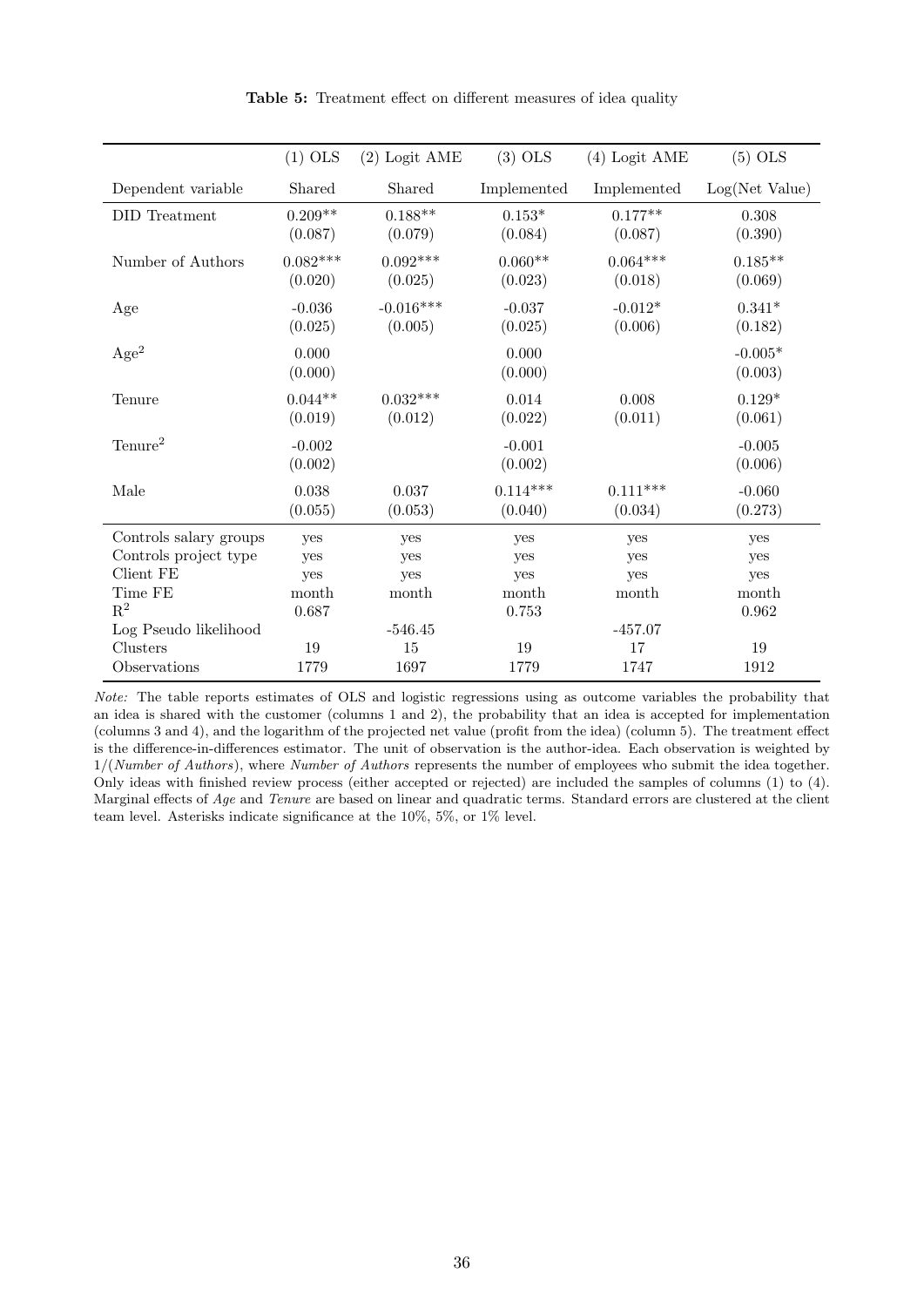|                                    | $(1)$ OLS             | $(2)$ Logit AME        | $(3)$ OLS             | (4) Logit AME         | $(5)$ OLS            |
|------------------------------------|-----------------------|------------------------|-----------------------|-----------------------|----------------------|
| Dependent variable                 | Shared                | Shared                 | Implemented           | Implemented           | Log(Net Value)       |
| DID Treatment                      | $0.209**$<br>(0.087)  | $0.188**$<br>(0.079)   | $0.153*$<br>(0.084)   | $0.177**$<br>(0.087)  | 0.308<br>(0.390)     |
| Number of Authors                  | $0.082***$<br>(0.020) | $0.092***$<br>(0.025)  | $0.060**$<br>(0.023)  | $0.064***$<br>(0.018) | $0.185**$<br>(0.069) |
| Age                                | $-0.036$<br>(0.025)   | $-0.016***$<br>(0.005) | $-0.037$<br>(0.025)   | $-0.012*$<br>(0.006)  | $0.341*$<br>(0.182)  |
| Age <sup>2</sup>                   | 0.000<br>(0.000)      |                        | 0.000<br>(0.000)      |                       | $-0.005*$<br>(0.003) |
| Tenure                             | $0.044**$<br>(0.019)  | $0.032***$<br>(0.012)  | $0.014\,$<br>(0.022)  | 0.008<br>(0.011)      | $0.129*$<br>(0.061)  |
| $T$ enure <sup>2</sup>             | $-0.002$<br>(0.002)   |                        | $-0.001$<br>(0.002)   |                       | $-0.005$<br>(0.006)  |
| Male                               | 0.038<br>(0.055)      | 0.037<br>(0.053)       | $0.114***$<br>(0.040) | $0.111***$<br>(0.034) | $-0.060$<br>(0.273)  |
| Controls salary groups             | yes                   | yes                    | yes                   | yes                   | yes                  |
| Controls project type<br>Client FE | yes                   | yes                    | yes                   | yes                   | yes                  |
| Time FE                            | yes<br>month          | yes<br>month           | yes<br>month          | yes<br>month          | yes<br>month         |
| $R^2$                              | 0.687                 |                        | 0.753                 |                       | 0.962                |
| Log Pseudo likelihood              |                       | $-546.45$              |                       | $-457.07$             |                      |
| Clusters                           | 19                    | 15                     | 19                    | 17                    | 19                   |
| Observations                       | 1779                  | 1697                   | 1779                  | 1747                  | 1912                 |

Table 5: Treatment effect on different measures of idea quality

Note: The table reports estimates of OLS and logistic regressions using as outcome variables the probability that an idea is shared with the customer (columns 1 and 2), the probability that an idea is accepted for implementation (columns 3 and 4), and the logarithm of the projected net value (profit from the idea) (column 5). The treatment effect is the difference-in-differences estimator. The unit of observation is the author-idea. Each observation is weighted by  $1/(Number of Authors)$ , where Number of Authors represents the number of employees who submit the idea together. Only ideas with finished review process (either accepted or rejected) are included the samples of columns (1) to (4). Marginal effects of Age and Tenure are based on linear and quadratic terms. Standard errors are clustered at the client team level. Asterisks indicate significance at the 10%, 5%, or 1% level.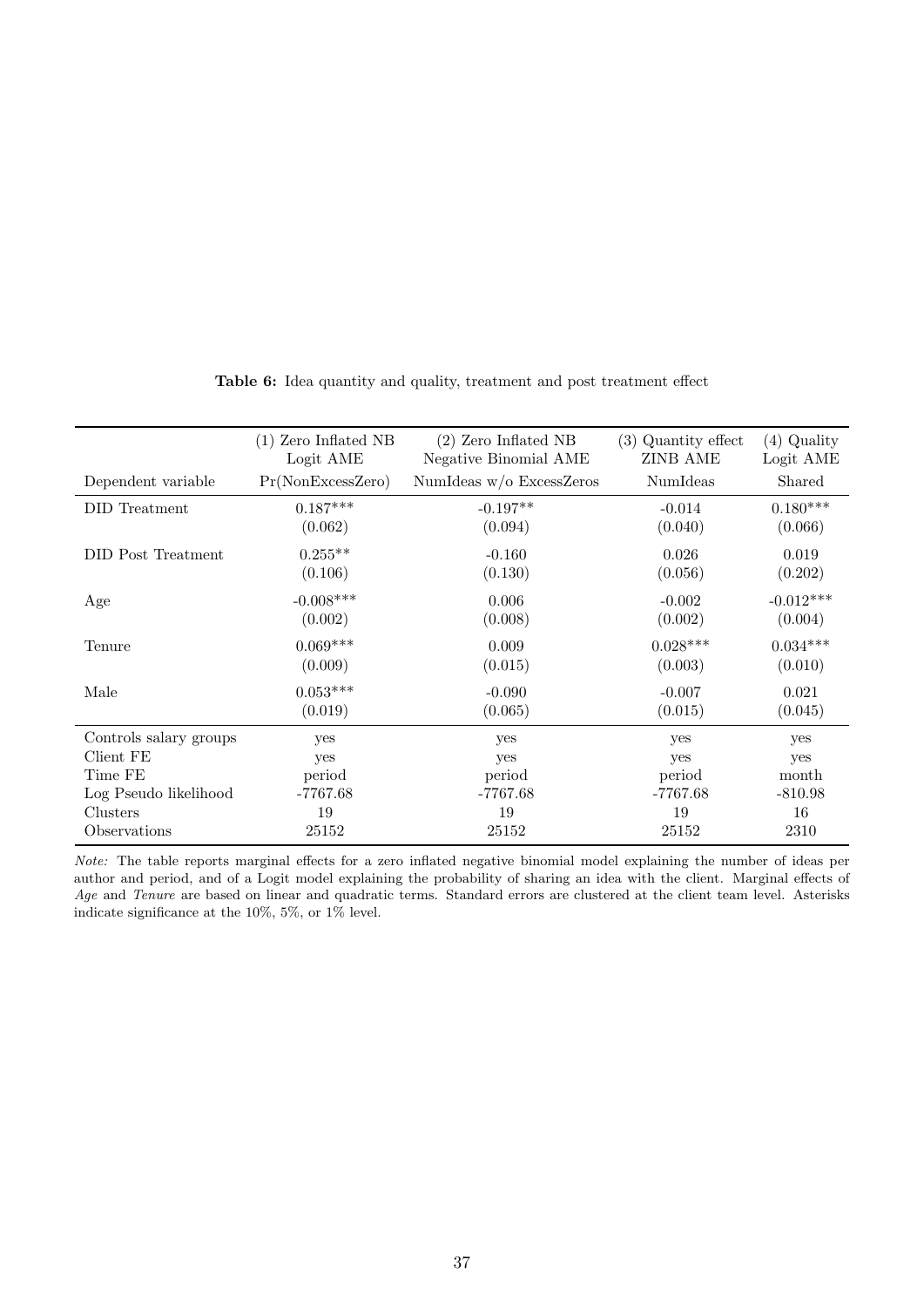| $(1)$ Zero Inflated NB                 | $(2)$ Zero Inflated NB                   | $(3)$ Quantity effect                    | $(4)$ Quality                                  |
|----------------------------------------|------------------------------------------|------------------------------------------|------------------------------------------------|
| Logit AME                              | Negative Binomial AME                    | <b>ZINB AME</b>                          | Logit AME                                      |
| Pr(NonExcessZero)                      | NumIdeas $w/o$ ExcessZeros               | NumIdeas                                 | Shared                                         |
| $0.187***$                             | $-0.197**$                               | $-0.014$                                 | $0.180***$                                     |
| (0.062)                                | (0.094)                                  | (0.040)                                  | (0.066)                                        |
| $0.255**$                              | $-0.160$                                 | 0.026                                    | 0.019                                          |
| (0.106)                                | (0.130)                                  | (0.056)                                  | (0.202)                                        |
| $-0.008***$                            | 0.006                                    | $-0.002$                                 | $-0.012***$                                    |
| (0.002)                                | (0.008)                                  | (0.002)                                  | (0.004)                                        |
| $0.069***$                             | 0.009                                    | $0.028***$                               | $0.034***$                                     |
| (0.009)                                | (0.015)                                  | (0.003)                                  | (0.010)                                        |
| $0.053***$                             | $-0.090$                                 | $-0.007$                                 | 0.021                                          |
| (0.019)                                | (0.065)                                  | (0.015)                                  | (0.045)                                        |
| yes<br>yes<br>period<br>-7767.68<br>19 | yes<br>yes<br>period<br>$-7767.68$<br>19 | yes<br>yes<br>period<br>$-7767.68$<br>19 | yes<br>yes<br>month<br>$-810.98$<br>16<br>2310 |
|                                        | 25152                                    | 25152                                    | 25152                                          |

Table 6: Idea quantity and quality, treatment and post treatment effect

Note: The table reports marginal effects for a zero inflated negative binomial model explaining the number of ideas per author and period, and of a Logit model explaining the probability of sharing an idea with the client. Marginal effects of Age and Tenure are based on linear and quadratic terms. Standard errors are clustered at the client team level. Asterisks indicate significance at the 10%, 5%, or  $1\%$  level.